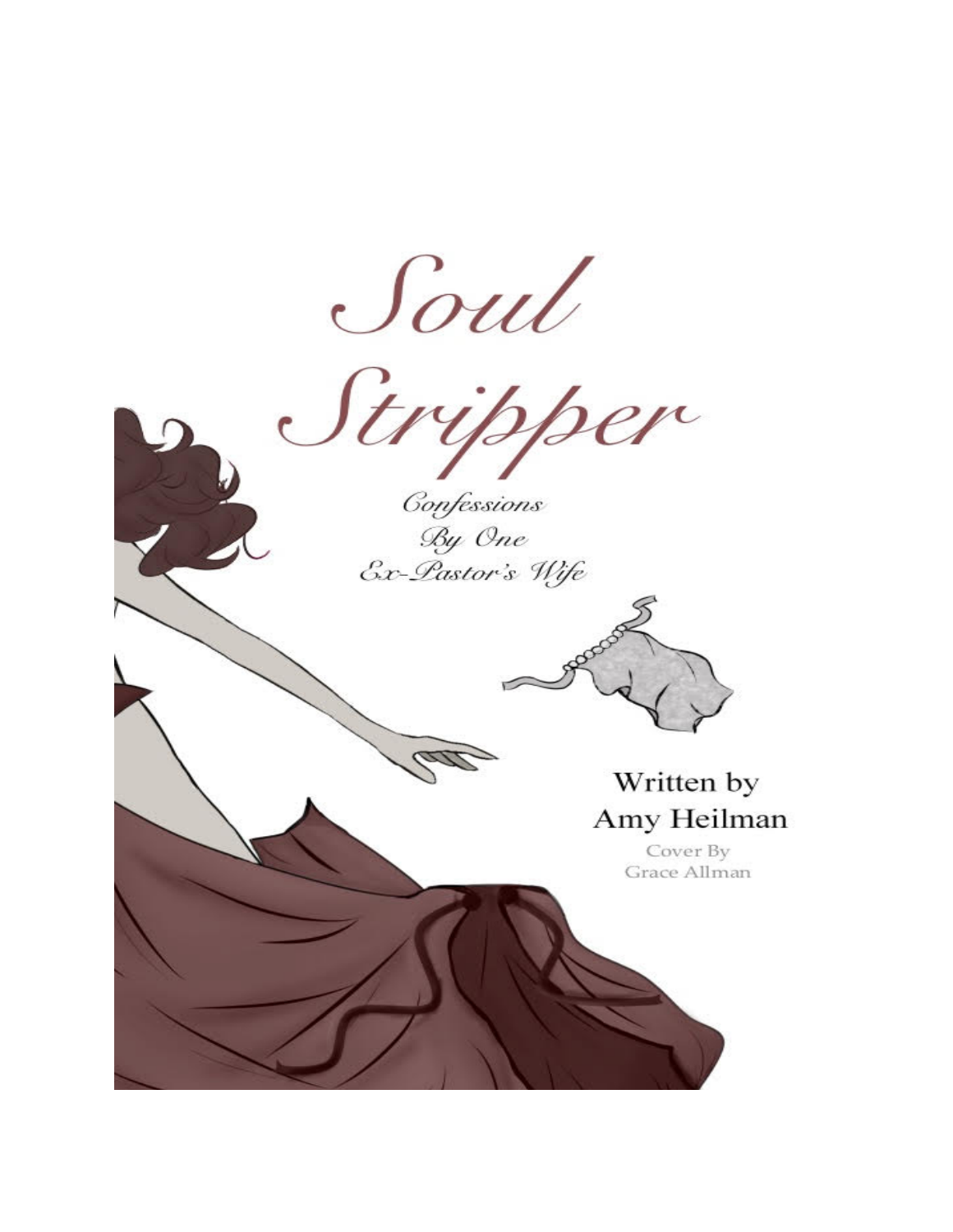





Cover By Grace Allman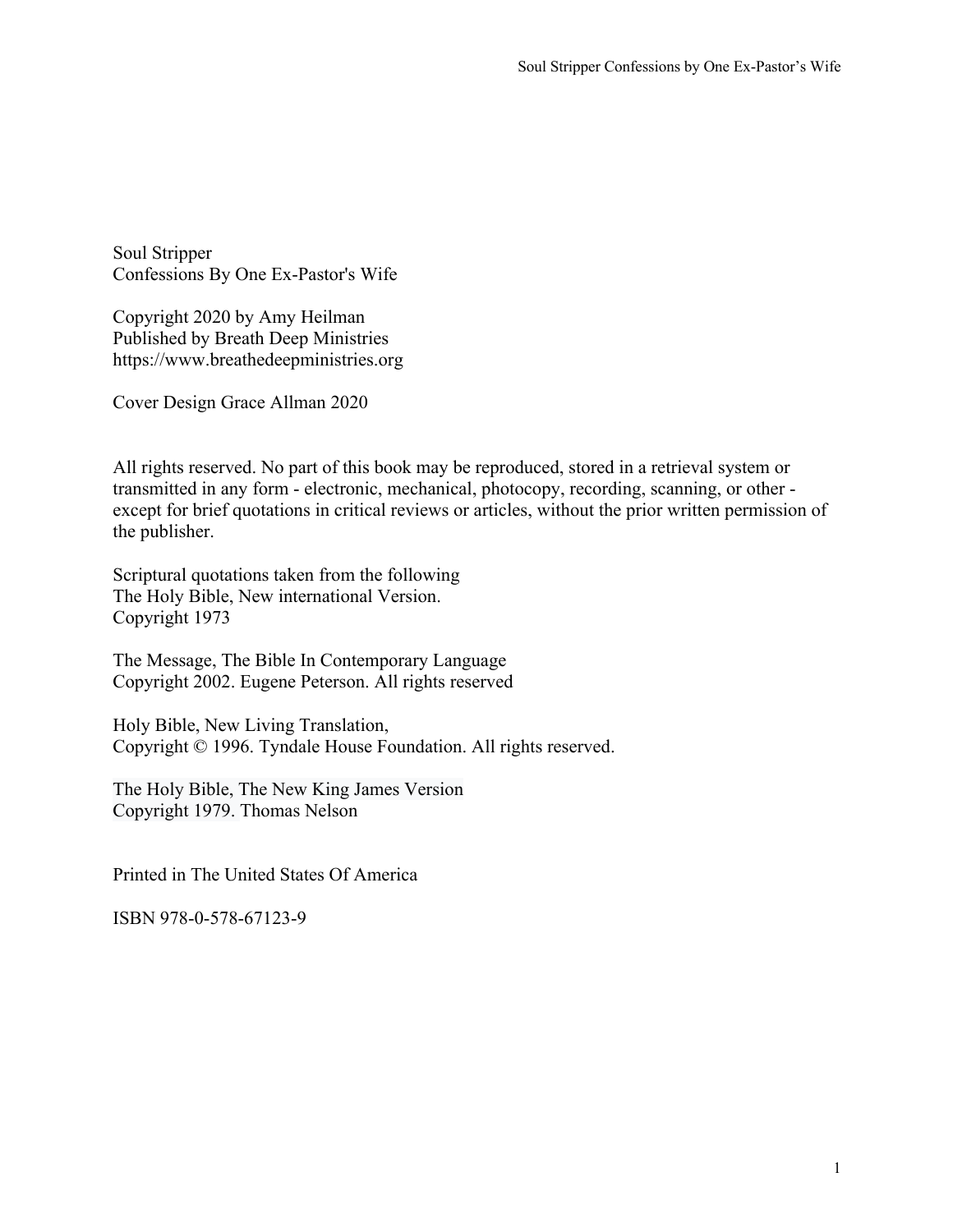Soul Stripper Confessions By One Ex-Pastor's Wife

Copyright 2020 by Amy Heilman Published by Breath Deep Ministries https://www.breathedeepministries.org

Cover Design Grace Allman 2020

All rights reserved. No part of this book may be reproduced, stored in a retrieval system or transmitted in any form - electronic, mechanical, photocopy, recording, scanning, or other except for brief quotations in critical reviews or articles, without the prior written permission of the publisher.

Scriptural quotations taken from the following The Holy Bible, New international Version. Copyright 1973

The Message, The Bible In Contemporary Language Copyright 2002. Eugene Peterson. All rights reserved

Holy Bible, New Living Translation, Copyright © 1996. Tyndale House Foundation. All rights reserved.

The Holy Bible, The New King James Version Copyright 1979. Thomas Nelson

Printed in The United States Of America

ISBN 978-0-578-67123-9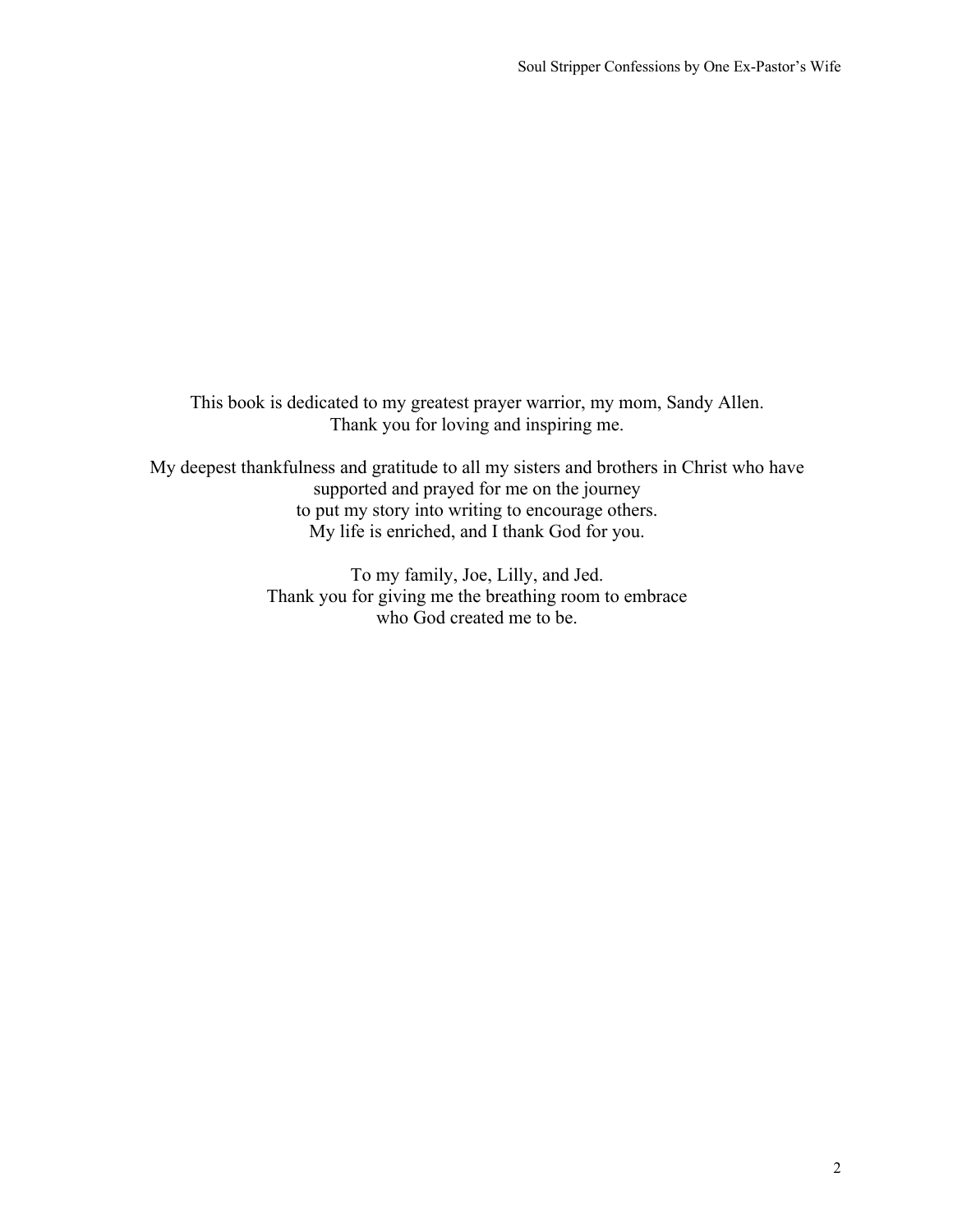This book is dedicated to my greatest prayer warrior, my mom, Sandy Allen. Thank you for loving and inspiring me.

My deepest thankfulness and gratitude to all my sisters and brothers in Christ who have supported and prayed for me on the journey to put my story into writing to encourage others. My life is enriched, and I thank God for you.

> To my family, Joe, Lilly, and Jed. Thank you for giving me the breathing room to embrace who God created me to be.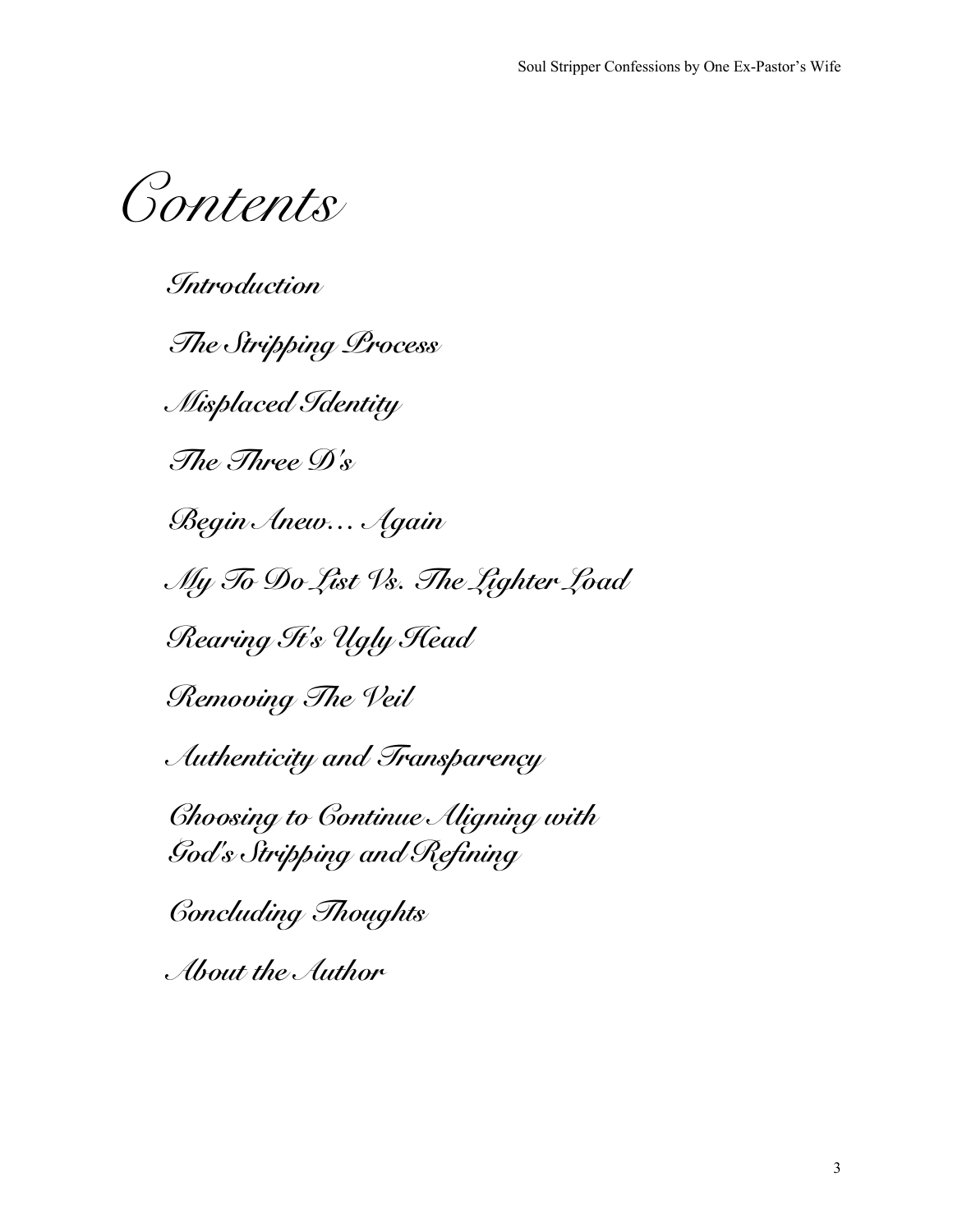*Contents*

*Introduction The Stripping Process Misplaced Identity The Three D's Begin Anew… Again My To Do List Vs. The Lighter Load Rearing It's Ugly Head Removing The Veil Authenticity and Transparency Choosing to Continue Aligning with God's Stripping and Refining Concluding Thoughts About the Author*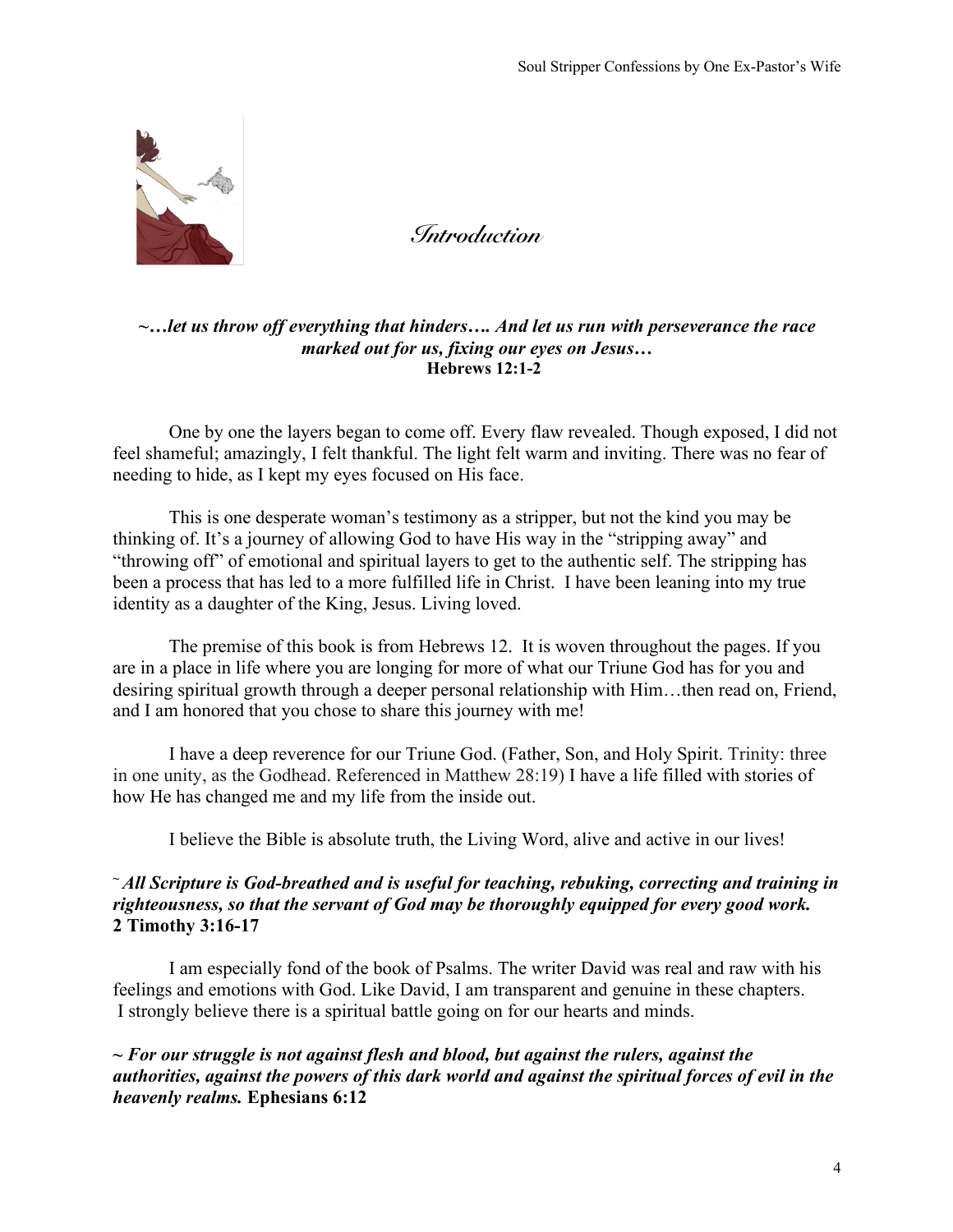

*Introduction*

### *~…let us throw off everything that hinders…. And let us run with perseverance the race marked out for us, fixing our eyes on Jesus…* **Hebrews 12:1-2**

One by one the layers began to come off. Every flaw revealed. Though exposed, I did not feel shameful; amazingly, I felt thankful. The light felt warm and inviting. There was no fear of needing to hide, as I kept my eyes focused on His face.

This is one desperate woman's testimony as a stripper, but not the kind you may be thinking of. It's a journey of allowing God to have His way in the "stripping away" and "throwing off" of emotional and spiritual layers to get to the authentic self. The stripping has been a process that has led to a more fulfilled life in Christ. I have been leaning into my true identity as a daughter of the King, Jesus. Living loved.

The premise of this book is from Hebrews 12. It is woven throughout the pages. If you are in a place in life where you are longing for more of what our Triune God has for you and desiring spiritual growth through a deeper personal relationship with Him…then read on, Friend, and I am honored that you chose to share this journey with me!

I have a deep reverence for our Triune God. (Father, Son, and Holy Spirit. Trinity: three in one unity, as the Godhead. Referenced in Matthew 28:19) I have a life filled with stories of how He has changed me and my life from the inside out.

I believe the Bible is absolute truth, the Living Word, alive and active in our lives!

# **<sup>~</sup>** *All Scripture is God-breathed and is useful for teaching, rebuking, correcting and training in righteousness, so that the servant of God may be thoroughly equipped for every good work.*  **2 Timothy 3:16-17**

I am especially fond of the book of Psalms. The writer David was real and raw with his feelings and emotions with God. Like David, I am transparent and genuine in these chapters. I strongly believe there is a spiritual battle going on for our hearts and minds.

# **~** *For our struggle is not against flesh and blood, but against the rulers, against the authorities, against the powers of this dark world and against the spiritual forces of evil in the heavenly realms.* **Ephesians 6:12**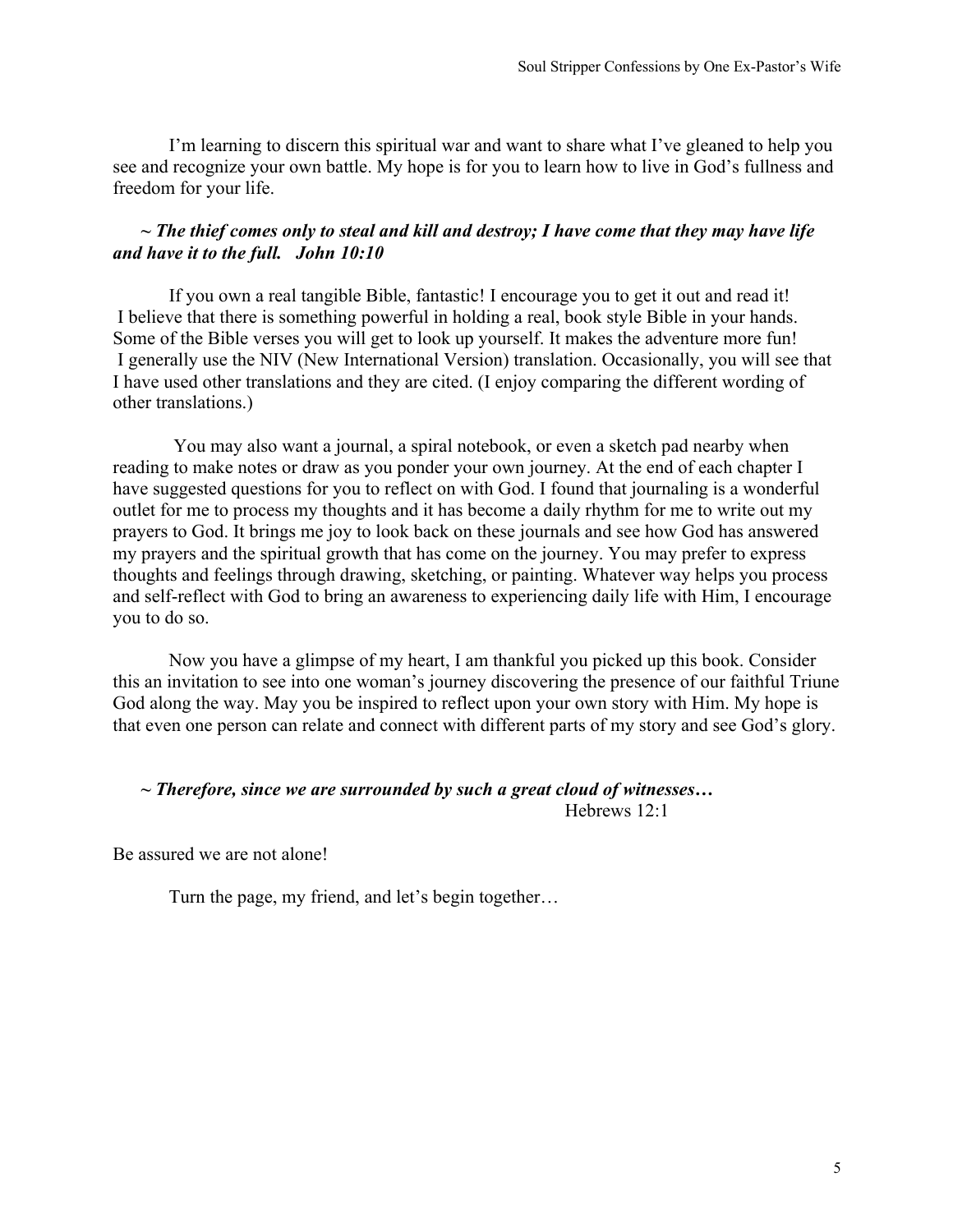I'm learning to discern this spiritual war and want to share what I've gleaned to help you see and recognize your own battle. My hope is for you to learn how to live in God's fullness and freedom for your life.

#### **~** *The thief comes only to steal and kill and destroy; I have come that they may have life and have it to the full. John 10:10*

If you own a real tangible Bible, fantastic! I encourage you to get it out and read it! I believe that there is something powerful in holding a real, book style Bible in your hands. Some of the Bible verses you will get to look up yourself. It makes the adventure more fun! I generally use the NIV (New International Version) translation. Occasionally, you will see that I have used other translations and they are cited. (I enjoy comparing the different wording of other translations.)

You may also want a journal, a spiral notebook, or even a sketch pad nearby when reading to make notes or draw as you ponder your own journey. At the end of each chapter I have suggested questions for you to reflect on with God. I found that journaling is a wonderful outlet for me to process my thoughts and it has become a daily rhythm for me to write out my prayers to God. It brings me joy to look back on these journals and see how God has answered my prayers and the spiritual growth that has come on the journey. You may prefer to express thoughts and feelings through drawing, sketching, or painting. Whatever way helps you process and self-reflect with God to bring an awareness to experiencing daily life with Him, I encourage you to do so.

Now you have a glimpse of my heart, I am thankful you picked up this book. Consider this an invitation to see into one woman's journey discovering the presence of our faithful Triune God along the way. May you be inspired to reflect upon your own story with Him. My hope is that even one person can relate and connect with different parts of my story and see God's glory.

## **~** *Therefore, since we are surrounded by such a great cloud of witnesses…*

Hebrews 12:1

Be assured we are not alone!

Turn the page, my friend, and let's begin together…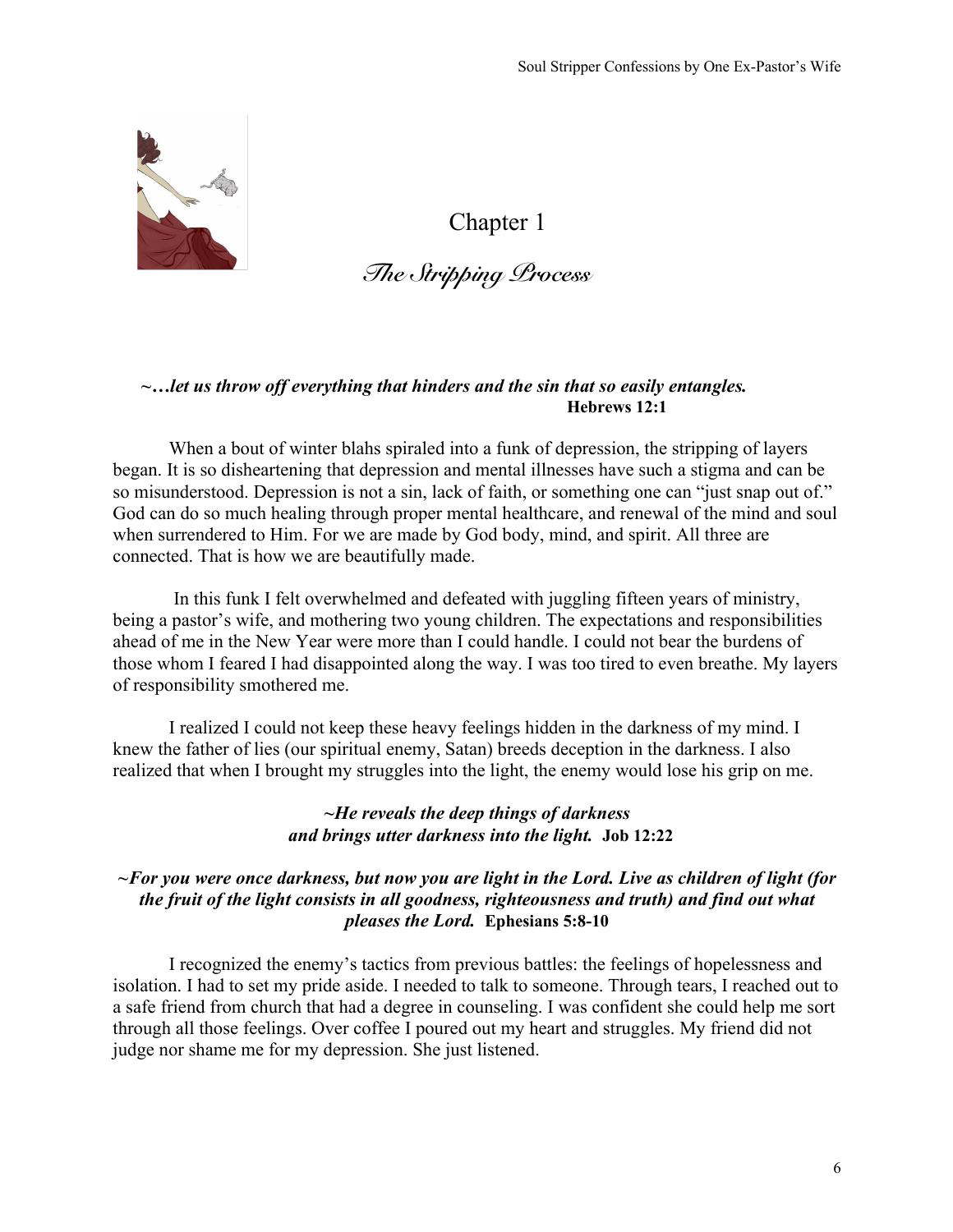

*The Stripping Process*

### *~…let us throw off everything that hinders and the sin that so easily entangles.* **Hebrews 12:1**

When a bout of winter blahs spiraled into a funk of depression, the stripping of layers began. It is so disheartening that depression and mental illnesses have such a stigma and can be so misunderstood. Depression is not a sin, lack of faith, or something one can "just snap out of." God can do so much healing through proper mental healthcare, and renewal of the mind and soul when surrendered to Him. For we are made by God body, mind, and spirit. All three are connected. That is how we are beautifully made.

In this funk I felt overwhelmed and defeated with juggling fifteen years of ministry, being a pastor's wife, and mothering two young children. The expectations and responsibilities ahead of me in the New Year were more than I could handle. I could not bear the burdens of those whom I feared I had disappointed along the way. I was too tired to even breathe. My layers of responsibility smothered me.

I realized I could not keep these heavy feelings hidden in the darkness of my mind. I knew the father of lies (our spiritual enemy, Satan) breeds deception in the darkness. I also realized that when I brought my struggles into the light, the enemy would lose his grip on me.

#### *~He reveals the deep things of darkness and brings utter darkness into the light.* **Job 12:22**

# *~For you were once darkness, but now you are light in the Lord. Live as children of light (for the fruit of the light consists in all goodness, righteousness and truth) and find out what pleases the Lord.* **Ephesians 5:8-10**

I recognized the enemy's tactics from previous battles: the feelings of hopelessness and isolation. I had to set my pride aside. I needed to talk to someone. Through tears, I reached out to a safe friend from church that had a degree in counseling. I was confident she could help me sort through all those feelings. Over coffee I poured out my heart and struggles. My friend did not judge nor shame me for my depression. She just listened.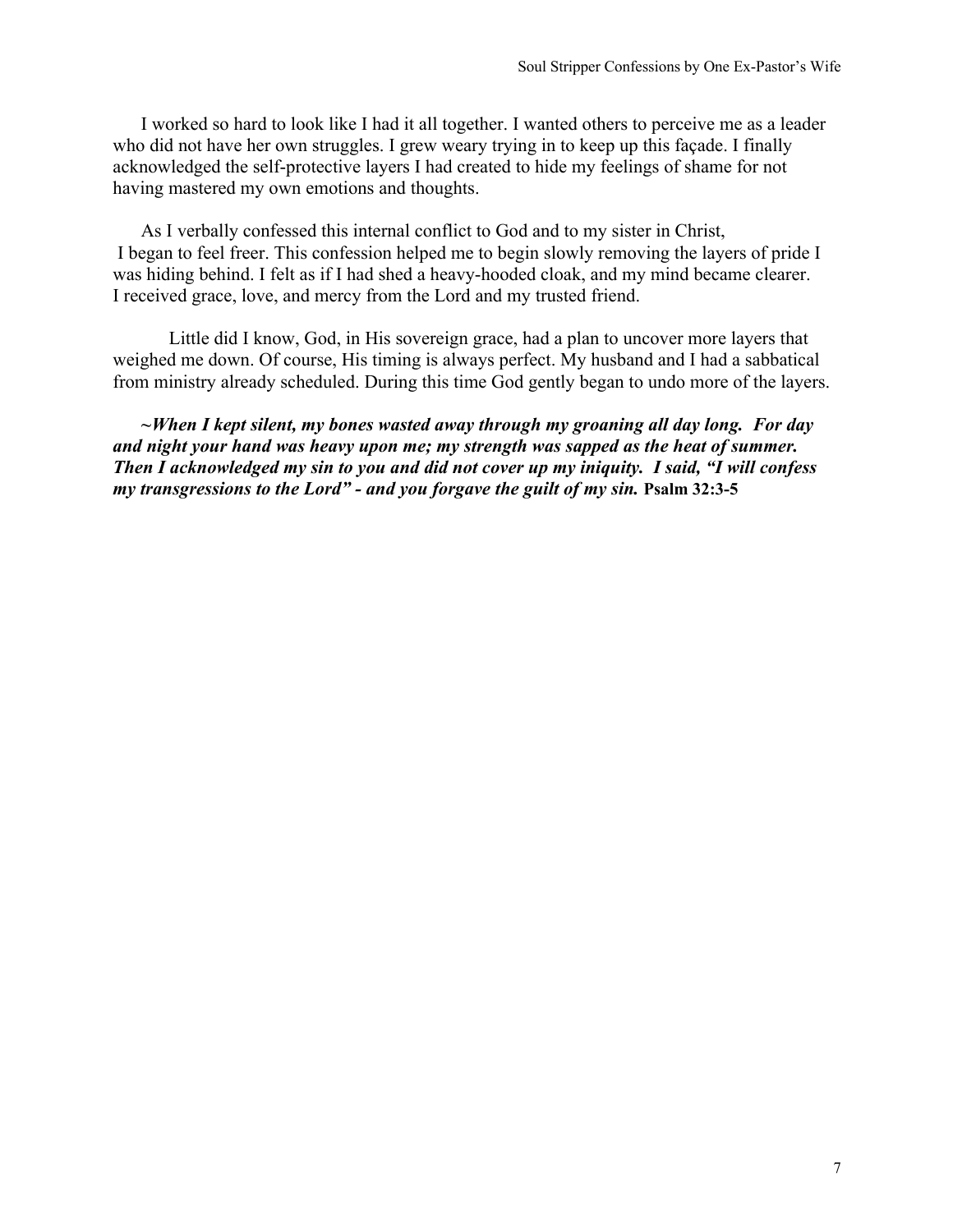I worked so hard to look like I had it all together. I wanted others to perceive me as a leader who did not have her own struggles. I grew weary trying in to keep up this façade. I finally acknowledged the self-protective layers I had created to hide my feelings of shame for not having mastered my own emotions and thoughts.

As I verbally confessed this internal conflict to God and to my sister in Christ, I began to feel freer. This confession helped me to begin slowly removing the layers of pride I was hiding behind. I felt as if I had shed a heavy-hooded cloak, and my mind became clearer. I received grace, love, and mercy from the Lord and my trusted friend.

Little did I know, God, in His sovereign grace, had a plan to uncover more layers that weighed me down. Of course, His timing is always perfect. My husband and I had a sabbatical from ministry already scheduled. During this time God gently began to undo more of the layers.

*~When I kept silent, my bones wasted away through my groaning all day long. For day and night your hand was heavy upon me; my strength was sapped as the heat of summer. Then I acknowledged my sin to you and did not cover up my iniquity. I said, "I will confess my transgressions to the Lord" - and you forgave the guilt of my sin.* **Psalm 32:3-5**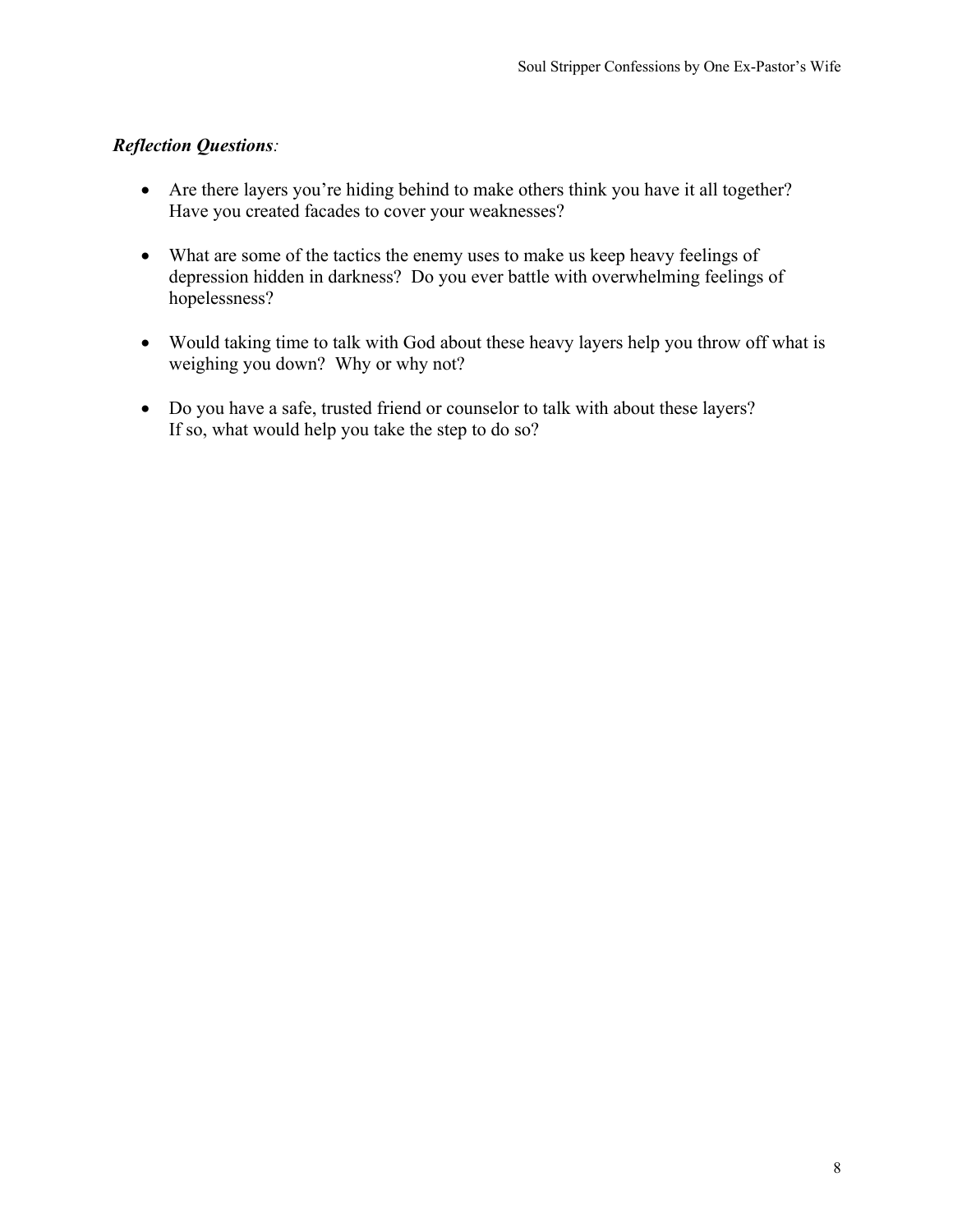- Are there layers you're hiding behind to make others think you have it all together? Have you created facades to cover your weaknesses?
- What are some of the tactics the enemy uses to make us keep heavy feelings of depression hidden in darkness? Do you ever battle with overwhelming feelings of hopelessness?
- Would taking time to talk with God about these heavy layers help you throw off what is weighing you down? Why or why not?
- Do you have a safe, trusted friend or counselor to talk with about these layers? If so, what would help you take the step to do so?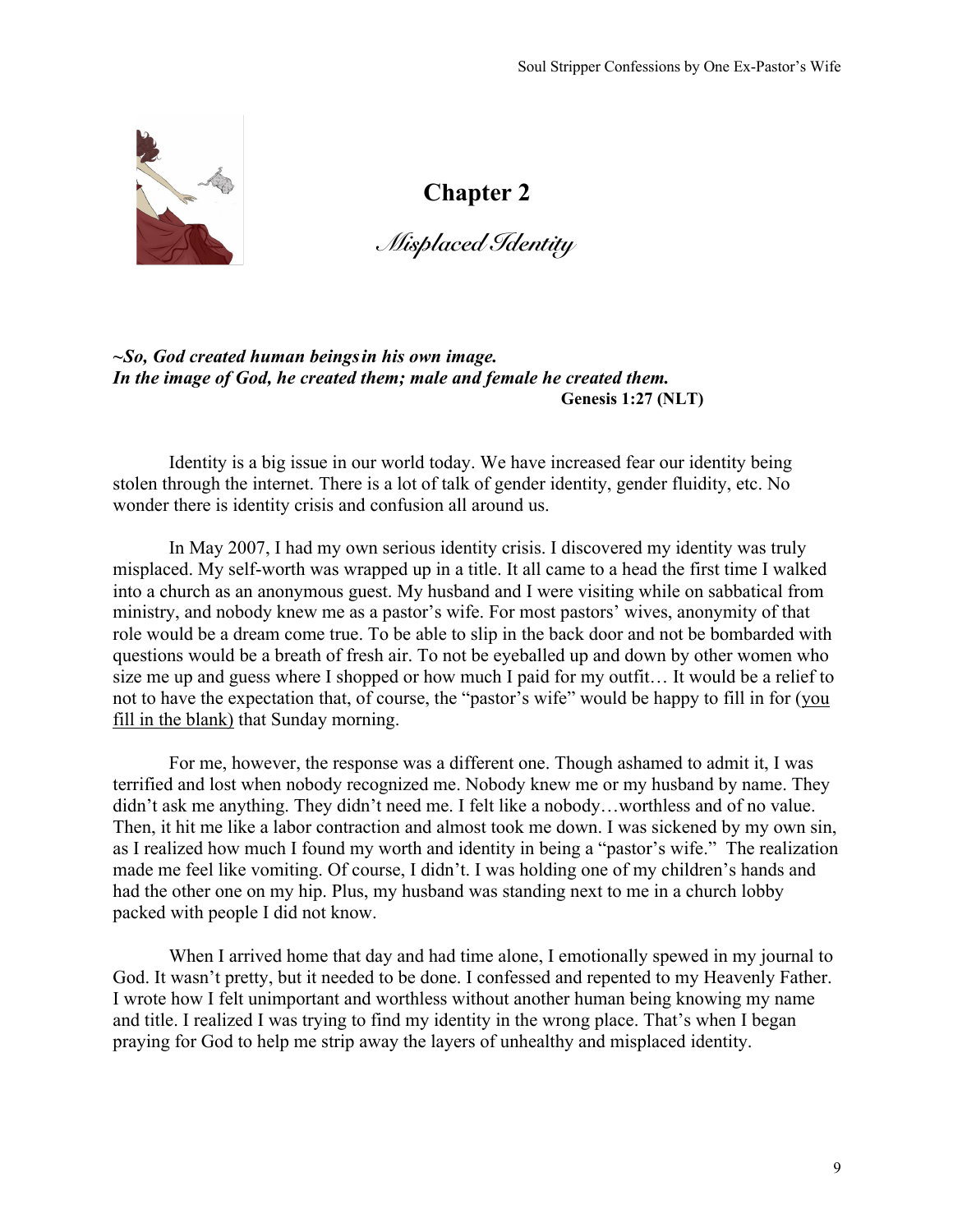

*Misplaced Identity*

#### *~So, God created human beingsin his own image. In the image of God, he created them; male and female he created them.* **Genesis 1:27 (NLT)**

Identity is a big issue in our world today. We have increased fear our identity being stolen through the internet. There is a lot of talk of gender identity, gender fluidity, etc. No wonder there is identity crisis and confusion all around us.

In May 2007, I had my own serious identity crisis. I discovered my identity was truly misplaced. My self-worth was wrapped up in a title. It all came to a head the first time I walked into a church as an anonymous guest. My husband and I were visiting while on sabbatical from ministry, and nobody knew me as a pastor's wife. For most pastors' wives, anonymity of that role would be a dream come true. To be able to slip in the back door and not be bombarded with questions would be a breath of fresh air. To not be eyeballed up and down by other women who size me up and guess where I shopped or how much I paid for my outfit… It would be a relief to not to have the expectation that, of course, the "pastor's wife" would be happy to fill in for (you fill in the blank) that Sunday morning.

For me, however, the response was a different one. Though ashamed to admit it, I was terrified and lost when nobody recognized me. Nobody knew me or my husband by name. They didn't ask me anything. They didn't need me. I felt like a nobody…worthless and of no value. Then, it hit me like a labor contraction and almost took me down. I was sickened by my own sin, as I realized how much I found my worth and identity in being a "pastor's wife." The realization made me feel like vomiting. Of course, I didn't. I was holding one of my children's hands and had the other one on my hip. Plus, my husband was standing next to me in a church lobby packed with people I did not know.

When I arrived home that day and had time alone, I emotionally spewed in my journal to God. It wasn't pretty, but it needed to be done. I confessed and repented to my Heavenly Father. I wrote how I felt unimportant and worthless without another human being knowing my name and title. I realized I was trying to find my identity in the wrong place. That's when I began praying for God to help me strip away the layers of unhealthy and misplaced identity.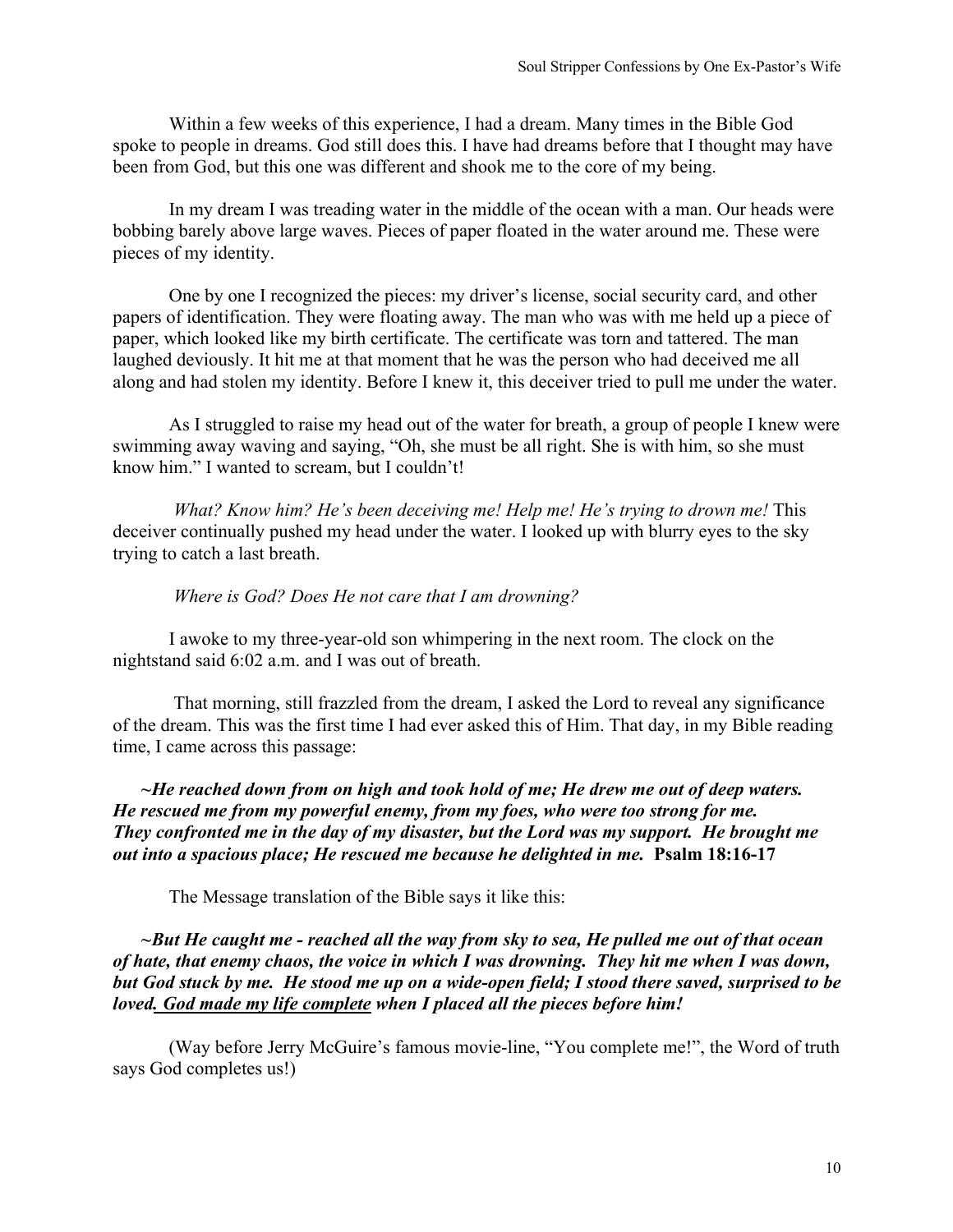Within a few weeks of this experience, I had a dream. Many times in the Bible God spoke to people in dreams. God still does this. I have had dreams before that I thought may have been from God, but this one was different and shook me to the core of my being.

In my dream I was treading water in the middle of the ocean with a man. Our heads were bobbing barely above large waves. Pieces of paper floated in the water around me. These were pieces of my identity.

One by one I recognized the pieces: my driver's license, social security card, and other papers of identification. They were floating away. The man who was with me held up a piece of paper, which looked like my birth certificate. The certificate was torn and tattered. The man laughed deviously. It hit me at that moment that he was the person who had deceived me all along and had stolen my identity. Before I knew it, this deceiver tried to pull me under the water.

As I struggled to raise my head out of the water for breath, a group of people I knew were swimming away waving and saying, "Oh, she must be all right. She is with him, so she must know him." I wanted to scream, but I couldn't!

*What? Know him? He's been deceiving me! Help me! He's trying to drown me!* This deceiver continually pushed my head under the water. I looked up with blurry eyes to the sky trying to catch a last breath.

#### *Where is God? Does He not care that I am drowning?*

I awoke to my three-year-old son whimpering in the next room. The clock on the nightstand said 6:02 a.m. and I was out of breath.

That morning, still frazzled from the dream, I asked the Lord to reveal any significance of the dream. This was the first time I had ever asked this of Him. That day, in my Bible reading time, I came across this passage:

*~He reached down from on high and took hold of me; He drew me out of deep waters. He rescued me from my powerful enemy, from my foes, who were too strong for me. They confronted me in the day of my disaster, but the Lord was my support. He brought me out into a spacious place; He rescued me because he delighted in me.* **Psalm 18:16-17** 

The Message translation of the Bible says it like this:

*~But He caught me - reached all the way from sky to sea, He pulled me out of that ocean of hate, that enemy chaos, the voice in which I was drowning. They hit me when I was down, but God stuck by me. He stood me up on a wide-open field; I stood there saved, surprised to be loved. God made my life complete when I placed all the pieces before him!* 

(Way before Jerry McGuire's famous movie-line, "You complete me!", the Word of truth says God completes us!)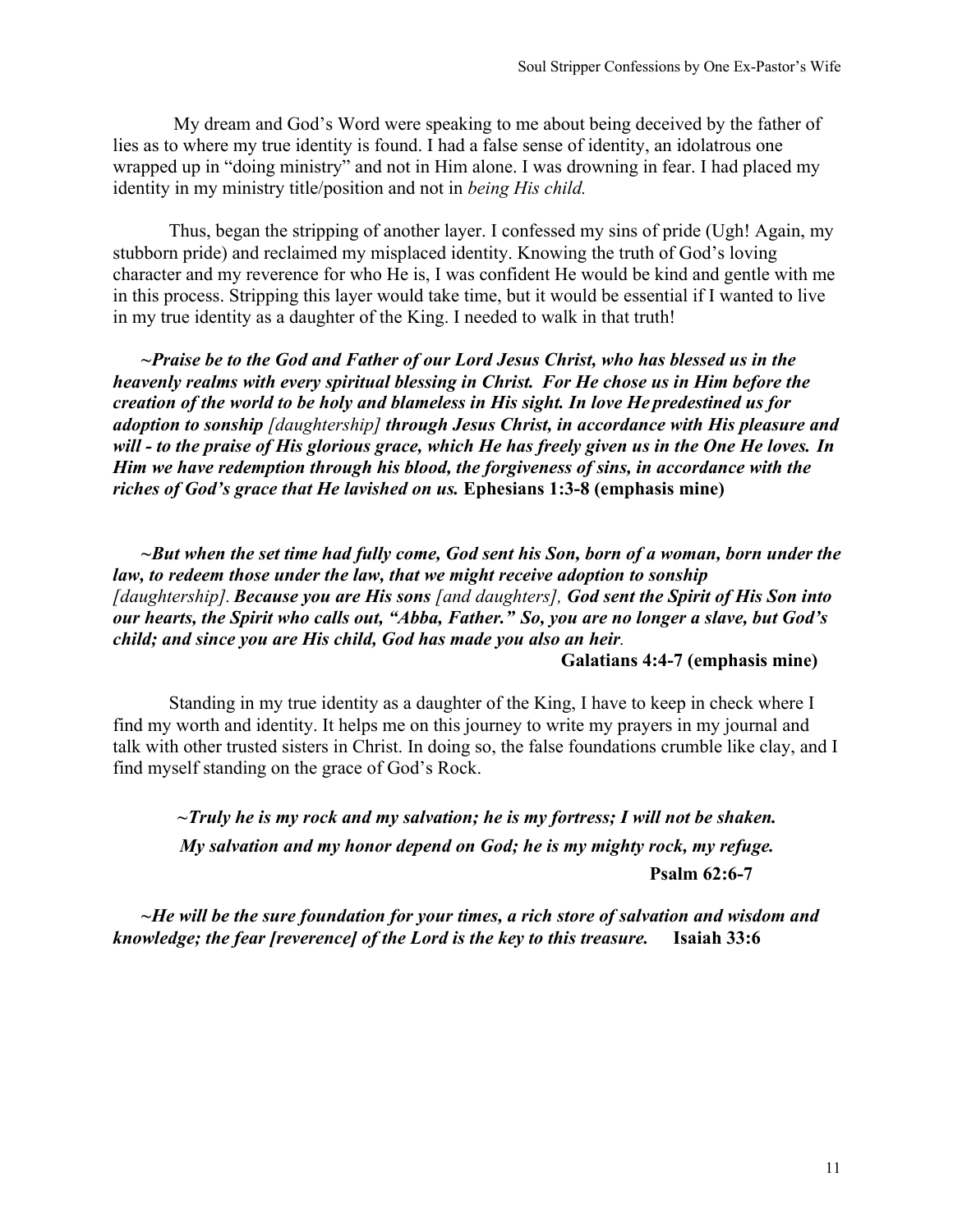My dream and God's Word were speaking to me about being deceived by the father of lies as to where my true identity is found. I had a false sense of identity, an idolatrous one wrapped up in "doing ministry" and not in Him alone. I was drowning in fear. I had placed my identity in my ministry title/position and not in *being His child.*

Thus, began the stripping of another layer. I confessed my sins of pride (Ugh! Again, my stubborn pride) and reclaimed my misplaced identity. Knowing the truth of God's loving character and my reverence for who He is, I was confident He would be kind and gentle with me in this process. Stripping this layer would take time, but it would be essential if I wanted to live in my true identity as a daughter of the King. I needed to walk in that truth!

*~Praise be to the God and Father of our Lord Jesus Christ, who has blessed us in the heavenly realms with every spiritual blessing in Christ. For He chose us in Him before the creation of the world to be holy and blameless in His sight. In love He predestined us for adoption to sonship [daughtership] through Jesus Christ, in accordance with His pleasure and will - to the praise of His glorious grace, which He has freely given us in the One He loves. In Him we have redemption through his blood, the forgiveness of sins, in accordance with the riches of God's grace that He lavished on us.* **Ephesians 1:3-8 (emphasis mine)**

*~But when the set time had fully come, God sent his Son, born of a woman, born under the law, to redeem those under the law, that we might receive adoption to sonship [daughtership].Because you are His sons [and daughters], God sent the Spirit of His Son into our hearts, the Spirit who calls out, "Abba, Father." So, you are no longer a slave, but God's child; and since you are His child, God has made you also an heir.*  **Galatians 4:4-7 (emphasis mine)**

Standing in my true identity as a daughter of the King, I have to keep in check where I find my worth and identity. It helps me on this journey to write my prayers in my journal and talk with other trusted sisters in Christ. In doing so, the false foundations crumble like clay, and I find myself standing on the grace of God's Rock.

*~Truly he is my rock and my salvation; he is my fortress; I will not be shaken. My salvation and my honor depend on God; he is my mighty rock, my refuge.*  **Psalm 62:6-7**

*~He will be the sure foundation for your times, a rich store of salvation and wisdom and knowledge; the fear [reverence] of the Lord is the key to this treasure.* **Isaiah 33:6**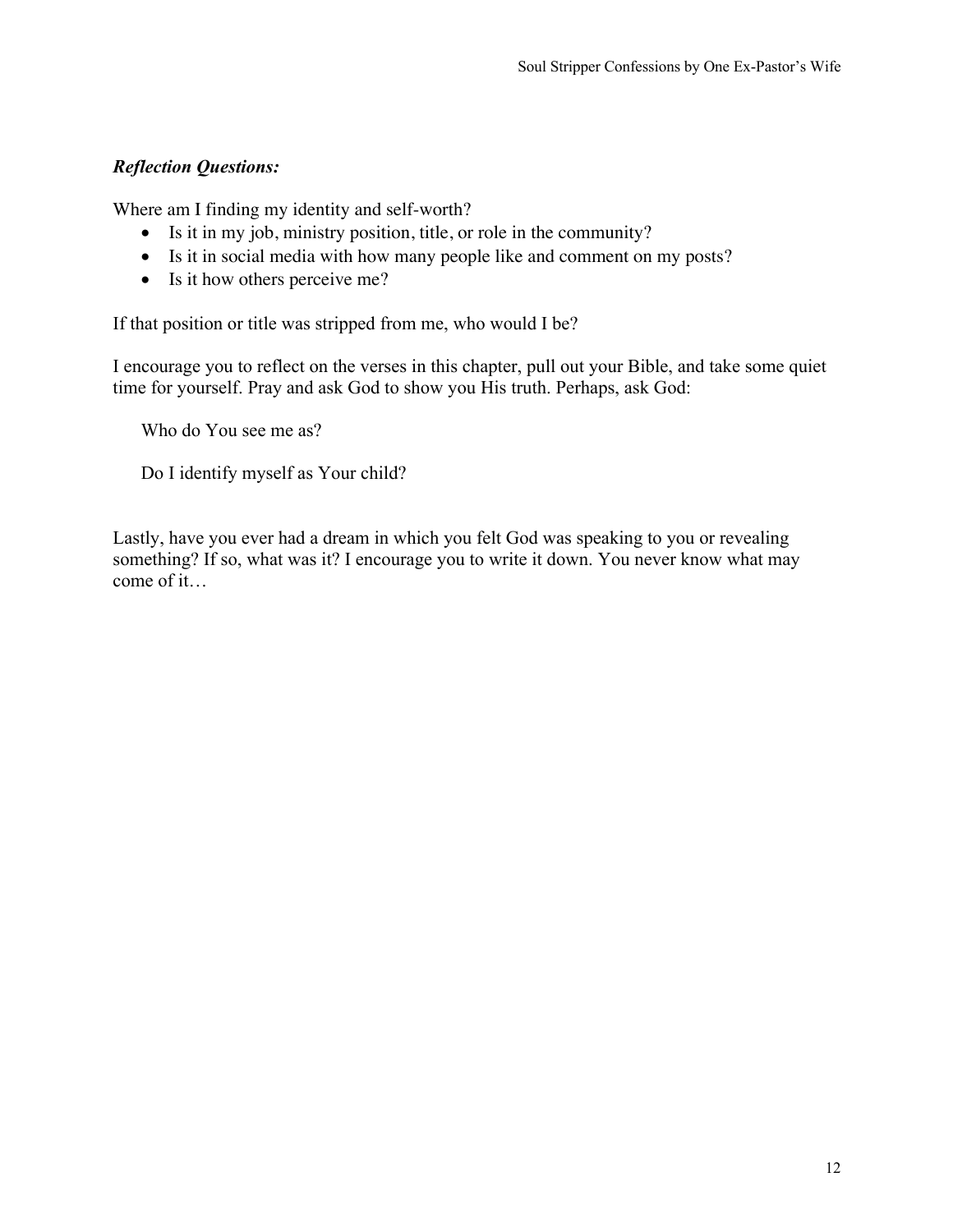Where am I finding my identity and self-worth?

- Is it in my job, ministry position, title, or role in the community?
- Is it in social media with how many people like and comment on my posts?
- Is it how others perceive me?

If that position or title was stripped from me, who would I be?

I encourage you to reflect on the verses in this chapter, pull out your Bible, and take some quiet time for yourself. Pray and ask God to show you His truth. Perhaps, ask God:

Who do You see me as?

Do I identify myself as Your child?

Lastly, have you ever had a dream in which you felt God was speaking to you or revealing something? If so, what was it? I encourage you to write it down. You never know what may come of it…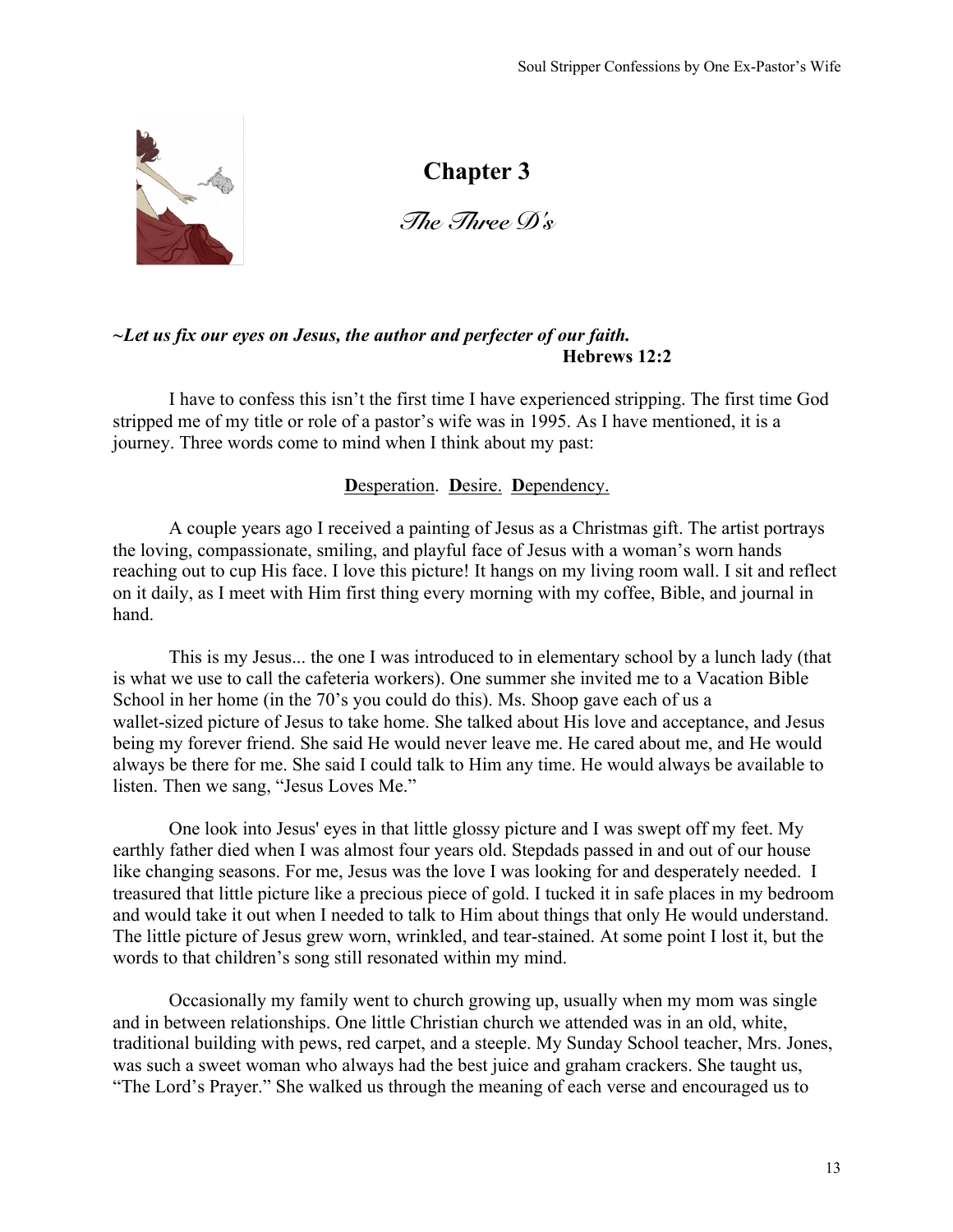

*The Three D's* 

# *~Let us fix our eyes on Jesus, the author and perfecter of our faith.* **Hebrews 12:2**

I have to confess this isn't the first time I have experienced stripping. The first time God stripped me of my title or role of a pastor's wife was in 1995. As I have mentioned, it is a journey. Three words come to mind when I think about my past:

# **D**esperation. **D**esire. **D**ependency.

A couple years ago I received a painting of Jesus as a Christmas gift. The artist portrays the loving, compassionate, smiling, and playful face of Jesus with a woman's worn hands reaching out to cup His face. I love this picture! It hangs on my living room wall. I sit and reflect on it daily, as I meet with Him first thing every morning with my coffee, Bible, and journal in hand.

This is my Jesus... the one I was introduced to in elementary school by a lunch lady (that is what we use to call the cafeteria workers). One summer she invited me to a Vacation Bible School in her home (in the 70's you could do this). Ms. Shoop gave each of us a wallet-sized picture of Jesus to take home. She talked about His love and acceptance, and Jesus being my forever friend. She said He would never leave me. He cared about me, and He would always be there for me. She said I could talk to Him any time. He would always be available to listen. Then we sang, "Jesus Loves Me."

One look into Jesus' eyes in that little glossy picture and I was swept off my feet. My earthly father died when I was almost four years old. Stepdads passed in and out of our house like changing seasons. For me, Jesus was the love I was looking for and desperately needed. I treasured that little picture like a precious piece of gold. I tucked it in safe places in my bedroom and would take it out when I needed to talk to Him about things that only He would understand. The little picture of Jesus grew worn, wrinkled, and tear-stained. At some point I lost it, but the words to that children's song still resonated within my mind.

Occasionally my family went to church growing up, usually when my mom was single and in between relationships. One little Christian church we attended was in an old, white, traditional building with pews, red carpet, and a steeple. My Sunday School teacher, Mrs. Jones, was such a sweet woman who always had the best juice and graham crackers. She taught us, "The Lord's Prayer." She walked us through the meaning of each verse and encouraged us to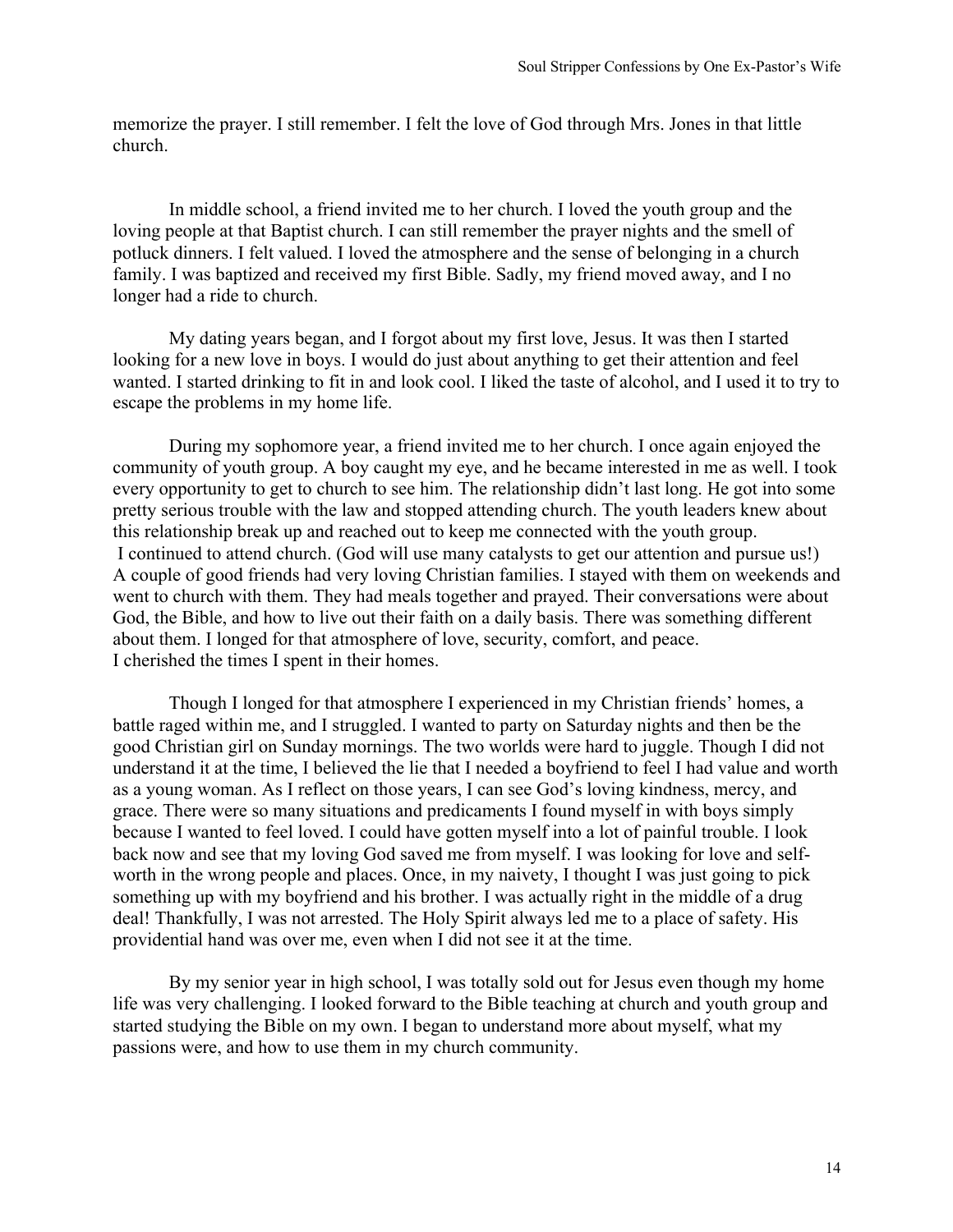memorize the prayer. I still remember. I felt the love of God through Mrs. Jones in that little church.

In middle school, a friend invited me to her church. I loved the youth group and the loving people at that Baptist church. I can still remember the prayer nights and the smell of potluck dinners. I felt valued. I loved the atmosphere and the sense of belonging in a church family. I was baptized and received my first Bible. Sadly, my friend moved away, and I no longer had a ride to church.

My dating years began, and I forgot about my first love, Jesus. It was then I started looking for a new love in boys. I would do just about anything to get their attention and feel wanted. I started drinking to fit in and look cool. I liked the taste of alcohol, and I used it to try to escape the problems in my home life.

During my sophomore year, a friend invited me to her church. I once again enjoyed the community of youth group. A boy caught my eye, and he became interested in me as well. I took every opportunity to get to church to see him. The relationship didn't last long. He got into some pretty serious trouble with the law and stopped attending church. The youth leaders knew about this relationship break up and reached out to keep me connected with the youth group. I continued to attend church. (God will use many catalysts to get our attention and pursue us!) A couple of good friends had very loving Christian families. I stayed with them on weekends and went to church with them. They had meals together and prayed. Their conversations were about God, the Bible, and how to live out their faith on a daily basis. There was something different about them. I longed for that atmosphere of love, security, comfort, and peace. I cherished the times I spent in their homes.

Though I longed for that atmosphere I experienced in my Christian friends' homes, a battle raged within me, and I struggled. I wanted to party on Saturday nights and then be the good Christian girl on Sunday mornings. The two worlds were hard to juggle. Though I did not understand it at the time, I believed the lie that I needed a boyfriend to feel I had value and worth as a young woman. As I reflect on those years, I can see God's loving kindness, mercy, and grace. There were so many situations and predicaments I found myself in with boys simply because I wanted to feel loved. I could have gotten myself into a lot of painful trouble. I look back now and see that my loving God saved me from myself. I was looking for love and selfworth in the wrong people and places. Once, in my naivety, I thought I was just going to pick something up with my boyfriend and his brother. I was actually right in the middle of a drug deal! Thankfully, I was not arrested. The Holy Spirit always led me to a place of safety. His providential hand was over me, even when I did not see it at the time.

By my senior year in high school, I was totally sold out for Jesus even though my home life was very challenging. I looked forward to the Bible teaching at church and youth group and started studying the Bible on my own. I began to understand more about myself, what my passions were, and how to use them in my church community.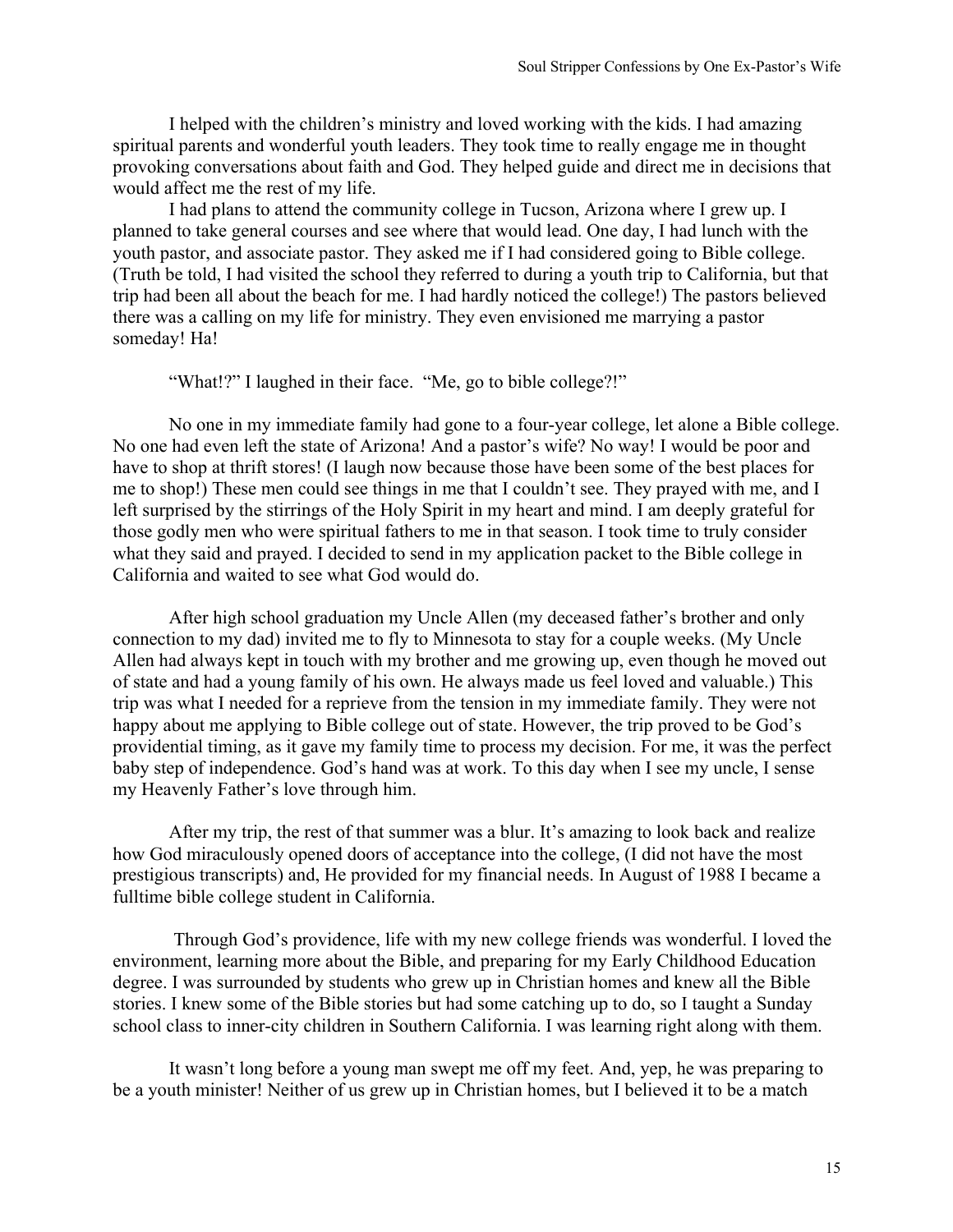I helped with the children's ministry and loved working with the kids. I had amazing spiritual parents and wonderful youth leaders. They took time to really engage me in thought provoking conversations about faith and God. They helped guide and direct me in decisions that would affect me the rest of my life.

I had plans to attend the community college in Tucson, Arizona where I grew up. I planned to take general courses and see where that would lead. One day, I had lunch with the youth pastor, and associate pastor. They asked me if I had considered going to Bible college. (Truth be told, I had visited the school they referred to during a youth trip to California, but that trip had been all about the beach for me. I had hardly noticed the college!) The pastors believed there was a calling on my life for ministry. They even envisioned me marrying a pastor someday! Ha!

"What!?" I laughed in their face. "Me, go to bible college?!"

No one in my immediate family had gone to a four-year college, let alone a Bible college. No one had even left the state of Arizona! And a pastor's wife? No way! I would be poor and have to shop at thrift stores! (I laugh now because those have been some of the best places for me to shop!) These men could see things in me that I couldn't see. They prayed with me, and I left surprised by the stirrings of the Holy Spirit in my heart and mind. I am deeply grateful for those godly men who were spiritual fathers to me in that season. I took time to truly consider what they said and prayed. I decided to send in my application packet to the Bible college in California and waited to see what God would do.

After high school graduation my Uncle Allen (my deceased father's brother and only connection to my dad) invited me to fly to Minnesota to stay for a couple weeks. (My Uncle Allen had always kept in touch with my brother and me growing up, even though he moved out of state and had a young family of his own. He always made us feel loved and valuable.) This trip was what I needed for a reprieve from the tension in my immediate family. They were not happy about me applying to Bible college out of state. However, the trip proved to be God's providential timing, as it gave my family time to process my decision. For me, it was the perfect baby step of independence. God's hand was at work. To this day when I see my uncle, I sense my Heavenly Father's love through him.

After my trip, the rest of that summer was a blur. It's amazing to look back and realize how God miraculously opened doors of acceptance into the college, (I did not have the most prestigious transcripts) and, He provided for my financial needs. In August of 1988 I became a fulltime bible college student in California.

Through God's providence, life with my new college friends was wonderful. I loved the environment, learning more about the Bible, and preparing for my Early Childhood Education degree. I was surrounded by students who grew up in Christian homes and knew all the Bible stories. I knew some of the Bible stories but had some catching up to do, so I taught a Sunday school class to inner-city children in Southern California. I was learning right along with them.

It wasn't long before a young man swept me off my feet. And, yep, he was preparing to be a youth minister! Neither of us grew up in Christian homes, but I believed it to be a match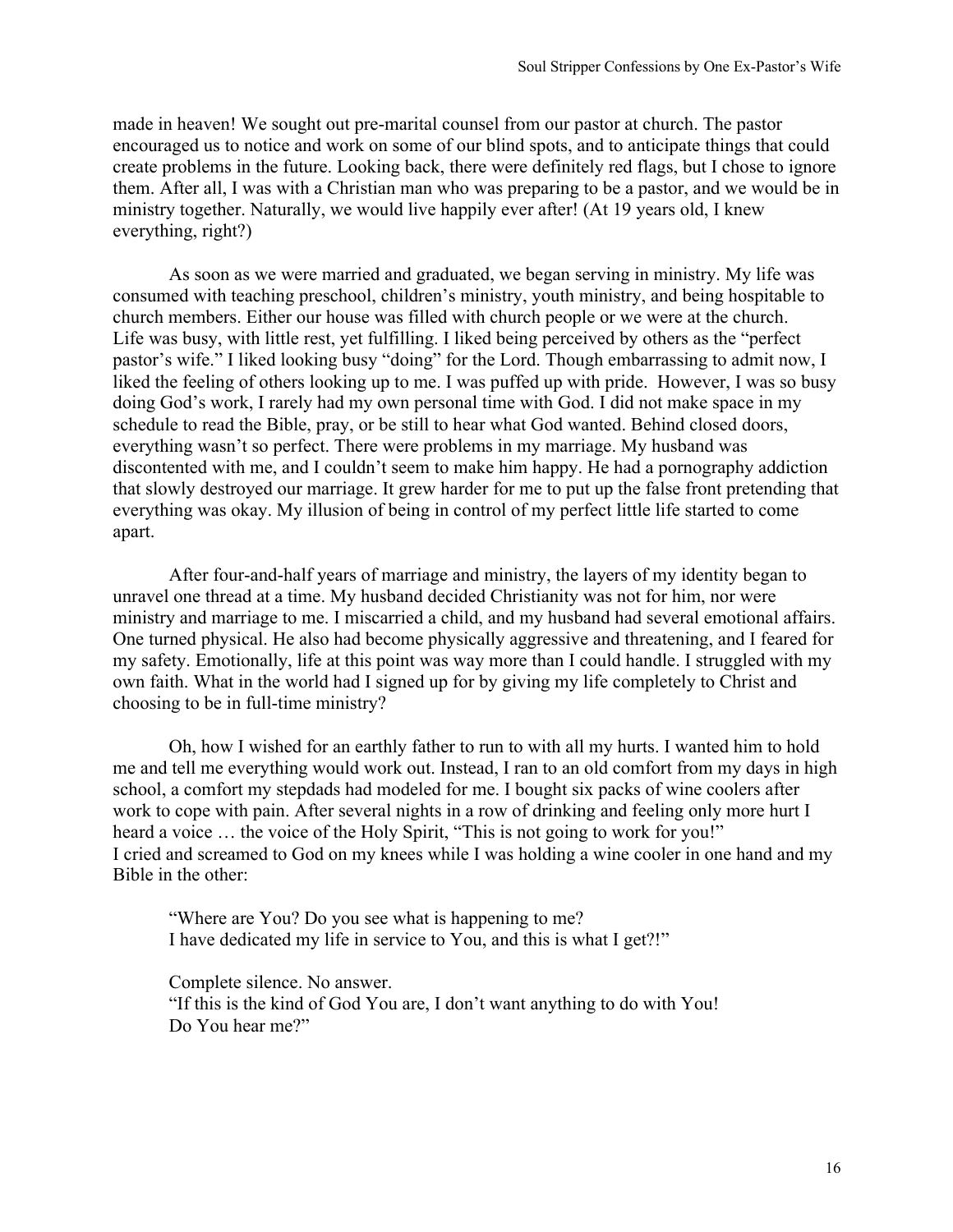made in heaven! We sought out pre-marital counsel from our pastor at church. The pastor encouraged us to notice and work on some of our blind spots, and to anticipate things that could create problems in the future. Looking back, there were definitely red flags, but I chose to ignore them. After all, I was with a Christian man who was preparing to be a pastor, and we would be in ministry together. Naturally, we would live happily ever after! (At 19 years old, I knew everything, right?)

As soon as we were married and graduated, we began serving in ministry. My life was consumed with teaching preschool, children's ministry, youth ministry, and being hospitable to church members. Either our house was filled with church people or we were at the church. Life was busy, with little rest, yet fulfilling. I liked being perceived by others as the "perfect pastor's wife." I liked looking busy "doing" for the Lord. Though embarrassing to admit now, I liked the feeling of others looking up to me. I was puffed up with pride. However, I was so busy doing God's work, I rarely had my own personal time with God. I did not make space in my schedule to read the Bible, pray, or be still to hear what God wanted. Behind closed doors, everything wasn't so perfect. There were problems in my marriage. My husband was discontented with me, and I couldn't seem to make him happy. He had a pornography addiction that slowly destroyed our marriage. It grew harder for me to put up the false front pretending that everything was okay. My illusion of being in control of my perfect little life started to come apart.

After four-and-half years of marriage and ministry, the layers of my identity began to unravel one thread at a time. My husband decided Christianity was not for him, nor were ministry and marriage to me. I miscarried a child, and my husband had several emotional affairs. One turned physical. He also had become physically aggressive and threatening, and I feared for my safety. Emotionally, life at this point was way more than I could handle. I struggled with my own faith. What in the world had I signed up for by giving my life completely to Christ and choosing to be in full-time ministry?

Oh, how I wished for an earthly father to run to with all my hurts. I wanted him to hold me and tell me everything would work out. Instead, I ran to an old comfort from my days in high school, a comfort my stepdads had modeled for me. I bought six packs of wine coolers after work to cope with pain. After several nights in a row of drinking and feeling only more hurt I heard a voice ... the voice of the Holy Spirit, "This is not going to work for you!" I cried and screamed to God on my knees while I was holding a wine cooler in one hand and my Bible in the other:

"Where are You? Do you see what is happening to me? I have dedicated my life in service to You, and this is what I get?!"

Complete silence. No answer. "If this is the kind of God You are, I don't want anything to do with You! Do You hear me?"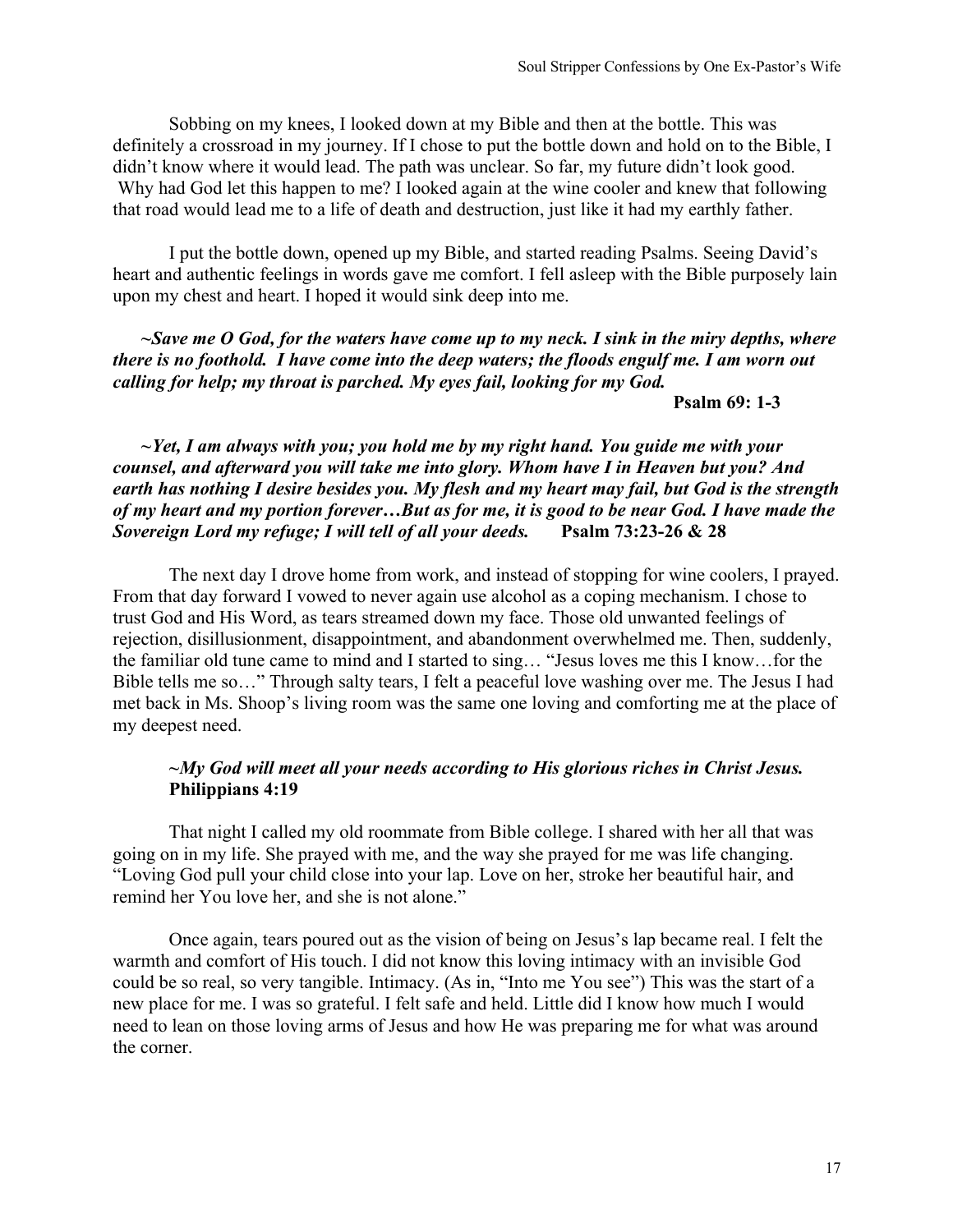Sobbing on my knees, I looked down at my Bible and then at the bottle. This was definitely a crossroad in my journey. If I chose to put the bottle down and hold on to the Bible, I didn't know where it would lead. The path was unclear. So far, my future didn't look good. Why had God let this happen to me? I looked again at the wine cooler and knew that following that road would lead me to a life of death and destruction, just like it had my earthly father.

I put the bottle down, opened up my Bible, and started reading Psalms. Seeing David's heart and authentic feelings in words gave me comfort. I fell asleep with the Bible purposely lain upon my chest and heart. I hoped it would sink deep into me.

*~Save me O God, for the waters have come up to my neck. I sink in the miry depths, where there is no foothold. I have come into the deep waters; the floods engulf me. I am worn out calling for help; my throat is parched. My eyes fail, looking for my God.*

**Psalm 69: 1-3**

*~Yet, I am always with you; you hold me by my right hand. You guide me with your counsel, and afterward you will take me into glory. Whom have I in Heaven but you? And earth has nothing I desire besides you. My flesh and my heart may fail, but God is the strength of my heart and my portion forever…But as for me, it is good to be near God. I have made the Sovereign Lord my refuge; I will tell of all your deeds.* **Psalm 73:23-26 & 28**

The next day I drove home from work, and instead of stopping for wine coolers, I prayed. From that day forward I vowed to never again use alcohol as a coping mechanism. I chose to trust God and His Word, as tears streamed down my face. Those old unwanted feelings of rejection, disillusionment, disappointment, and abandonment overwhelmed me. Then, suddenly, the familiar old tune came to mind and I started to sing… "Jesus loves me this I know…for the Bible tells me so…" Through salty tears, I felt a peaceful love washing over me. The Jesus I had met back in Ms. Shoop's living room was the same one loving and comforting me at the place of my deepest need.

#### *~My God will meet all your needs according to His glorious riches in Christ Jesus.* **Philippians 4:19**

That night I called my old roommate from Bible college. I shared with her all that was going on in my life. She prayed with me, and the way she prayed for me was life changing. "Loving God pull your child close into your lap. Love on her, stroke her beautiful hair, and remind her You love her, and she is not alone."

Once again, tears poured out as the vision of being on Jesus's lap became real. I felt the warmth and comfort of His touch. I did not know this loving intimacy with an invisible God could be so real, so very tangible. Intimacy. (As in, "Into me You see") This was the start of a new place for me. I was so grateful. I felt safe and held. Little did I know how much I would need to lean on those loving arms of Jesus and how He was preparing me for what was around the corner.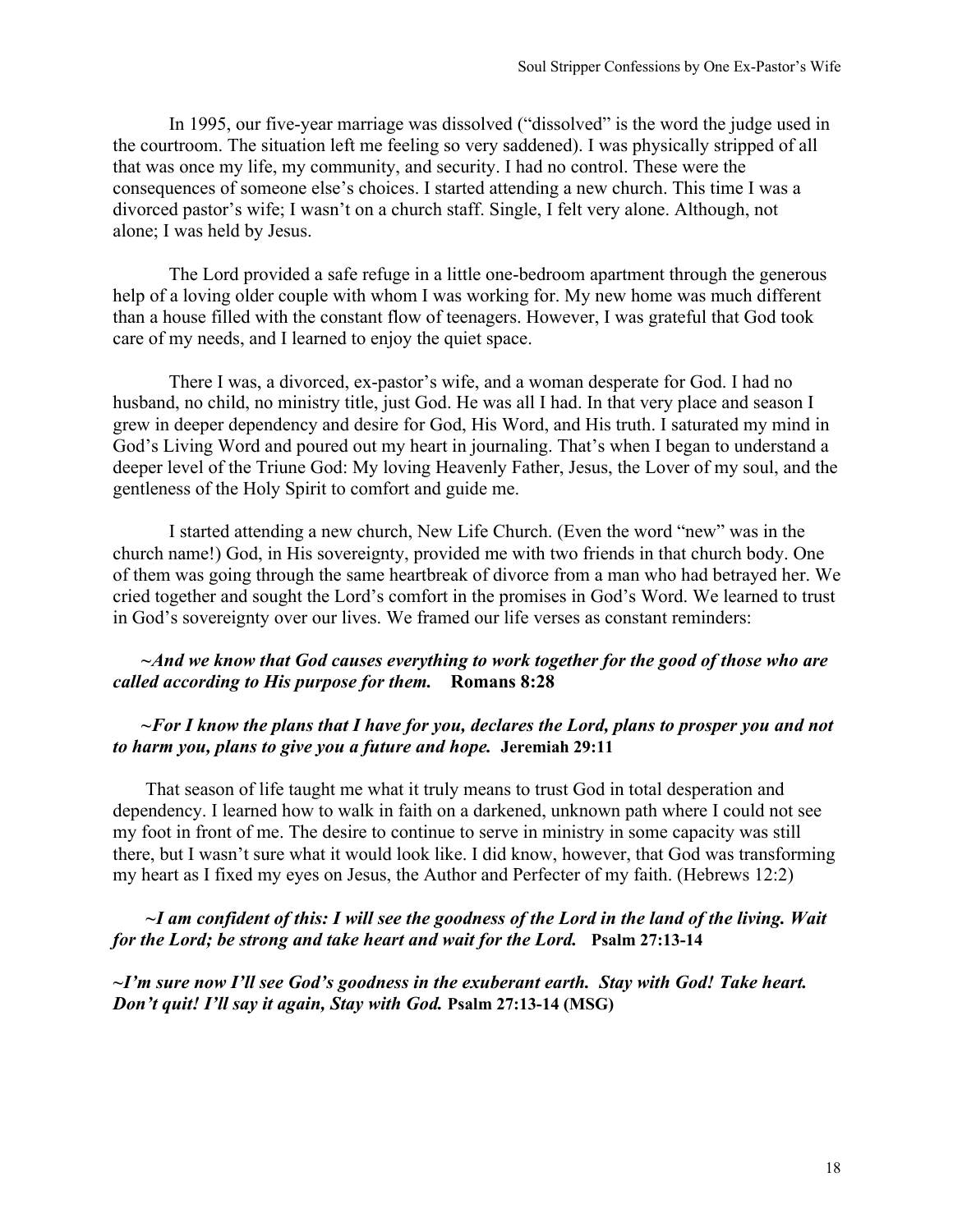In 1995, our five-year marriage was dissolved ("dissolved" is the word the judge used in the courtroom. The situation left me feeling so very saddened). I was physically stripped of all that was once my life, my community, and security. I had no control. These were the consequences of someone else's choices. I started attending a new church. This time I was a divorced pastor's wife; I wasn't on a church staff. Single, I felt very alone. Although, not alone; I was held by Jesus.

The Lord provided a safe refuge in a little one-bedroom apartment through the generous help of a loving older couple with whom I was working for. My new home was much different than a house filled with the constant flow of teenagers. However, I was grateful that God took care of my needs, and I learned to enjoy the quiet space.

There I was, a divorced, ex-pastor's wife, and a woman desperate for God. I had no husband, no child, no ministry title, just God. He was all I had. In that very place and season I grew in deeper dependency and desire for God, His Word, and His truth. I saturated my mind in God's Living Word and poured out my heart in journaling. That's when I began to understand a deeper level of the Triune God: My loving Heavenly Father, Jesus, the Lover of my soul, and the gentleness of the Holy Spirit to comfort and guide me.

I started attending a new church, New Life Church. (Even the word "new" was in the church name!) God, in His sovereignty, provided me with two friends in that church body. One of them was going through the same heartbreak of divorce from a man who had betrayed her. We cried together and sought the Lord's comfort in the promises in God's Word. We learned to trust in God's sovereignty over our lives. We framed our life verses as constant reminders:

#### *~And we know that God causes everything to work together for the good of those who are called according to His purpose for them.* **Romans 8:28**

#### *~For I know the plans that I have for you, declares the Lord, plans to prosper you and not to harm you, plans to give you a future and hope.* **Jeremiah 29:11**

That season of life taught me what it truly means to trust God in total desperation and dependency. I learned how to walk in faith on a darkened, unknown path where I could not see my foot in front of me. The desire to continue to serve in ministry in some capacity was still there, but I wasn't sure what it would look like. I did know, however, that God was transforming my heart as I fixed my eyes on Jesus, the Author and Perfecter of my faith. (Hebrews 12:2)

#### *~I am confident of this: I will see the goodness of the Lord in the land of the living. Wait for the Lord; be strong and take heart and wait for the Lord.* **Psalm 27:13-14**

*~I'm sure now I'll see God's goodness in the exuberant earth. Stay with God! Take heart. Don't quit! I'll say it again, Stay with God.* **Psalm 27:13-14 (MSG)**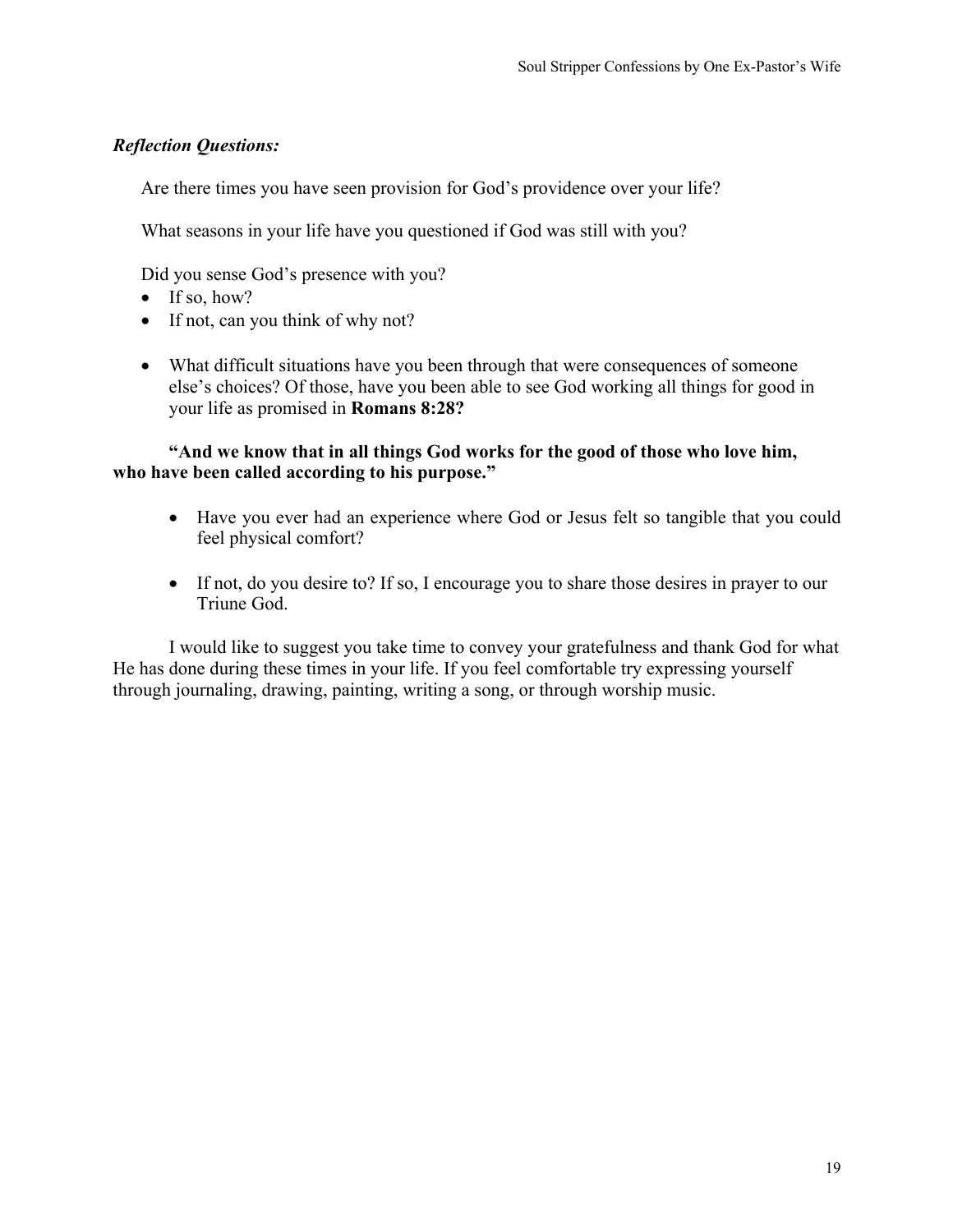Are there times you have seen provision for God's providence over your life?

What seasons in your life have you questioned if God was still with you?

Did you sense God's presence with you?

- If so, how?
- If not, can you think of why not?
- What difficult situations have you been through that were consequences of someone else's choices? Of those, have you been able to see God working all things for good in your life as promised in **Romans 8:28?**

### **"And we know that in all things God works for the good of those who love him, who have been called according to his purpose."**

- Have you ever had an experience where God or Jesus felt so tangible that you could feel physical comfort?
- If not, do you desire to? If so, I encourage you to share those desires in prayer to our Triune God.

I would like to suggest you take time to convey your gratefulness and thank God for what He has done during these times in your life. If you feel comfortable try expressing yourself through journaling, drawing, painting, writing a song, or through worship music.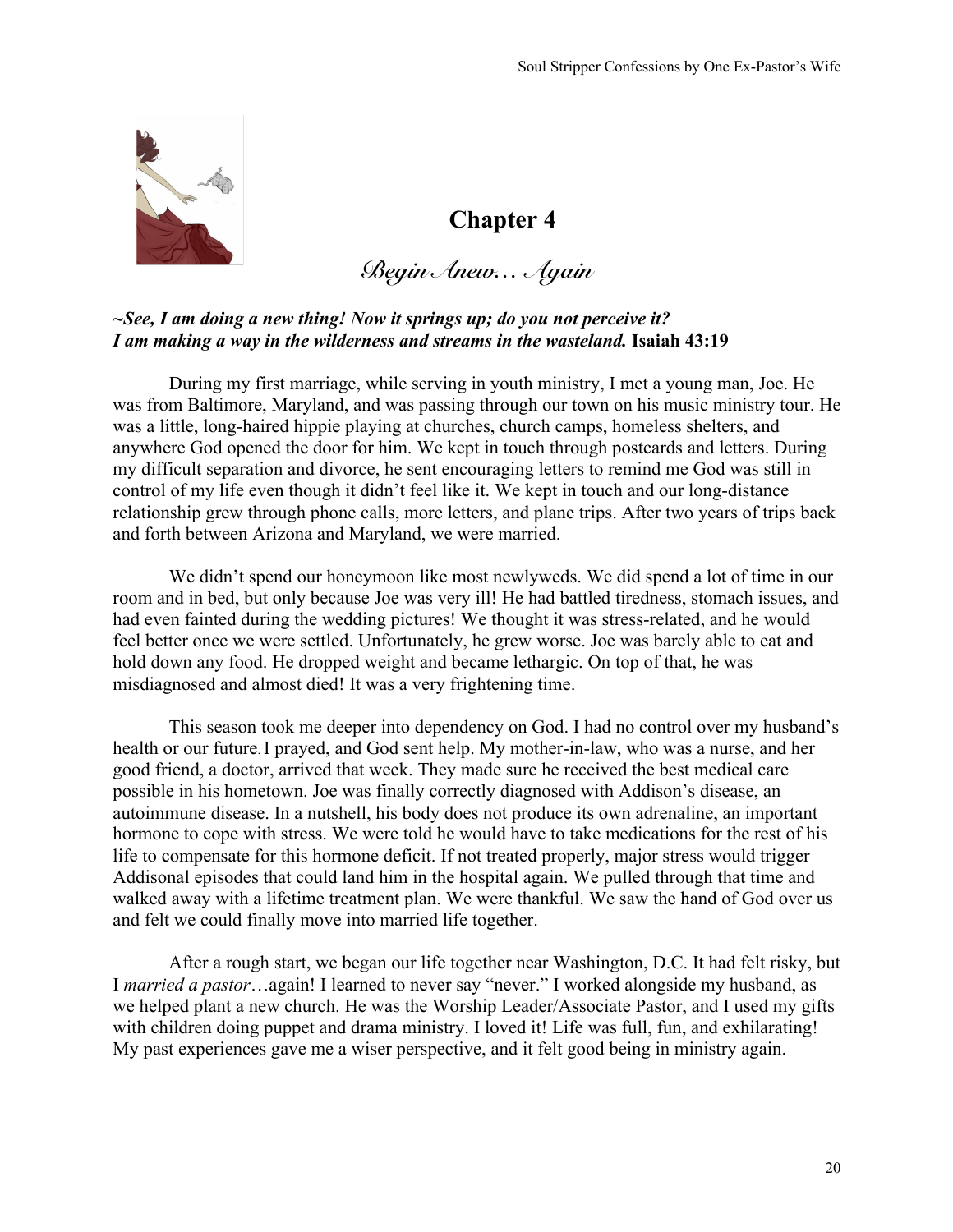

*Begin Anew… Again*

#### *~See, I am doing a new thing! Now it springs up; do you not perceive it? I am making a way in the wilderness and streams in the wasteland.* **Isaiah 43:19**

During my first marriage, while serving in youth ministry, I met a young man, Joe. He was from Baltimore, Maryland, and was passing through our town on his music ministry tour. He was a little, long-haired hippie playing at churches, church camps, homeless shelters, and anywhere God opened the door for him. We kept in touch through postcards and letters. During my difficult separation and divorce, he sent encouraging letters to remind me God was still in control of my life even though it didn't feel like it. We kept in touch and our long-distance relationship grew through phone calls, more letters, and plane trips. After two years of trips back and forth between Arizona and Maryland, we were married.

We didn't spend our honeymoon like most newlyweds. We did spend a lot of time in our room and in bed, but only because Joe was very ill! He had battled tiredness, stomach issues, and had even fainted during the wedding pictures! We thought it was stress-related, and he would feel better once we were settled. Unfortunately, he grew worse. Joe was barely able to eat and hold down any food. He dropped weight and became lethargic. On top of that, he was misdiagnosed and almost died! It was a very frightening time.

This season took me deeper into dependency on God. I had no control over my husband's health or our future. I prayed, and God sent help. My mother-in-law, who was a nurse, and her good friend, a doctor, arrived that week. They made sure he received the best medical care possible in his hometown. Joe was finally correctly diagnosed with Addison's disease, an autoimmune disease. In a nutshell, his body does not produce its own adrenaline, an important hormone to cope with stress. We were told he would have to take medications for the rest of his life to compensate for this hormone deficit. If not treated properly, major stress would trigger Addisonal episodes that could land him in the hospital again. We pulled through that time and walked away with a lifetime treatment plan. We were thankful. We saw the hand of God over us and felt we could finally move into married life together.

After a rough start, we began our life together near Washington, D.C. It had felt risky, but I *married a pastor*…again! I learned to never say "never." I worked alongside my husband, as we helped plant a new church. He was the Worship Leader/Associate Pastor, and I used my gifts with children doing puppet and drama ministry. I loved it! Life was full, fun, and exhilarating! My past experiences gave me a wiser perspective, and it felt good being in ministry again.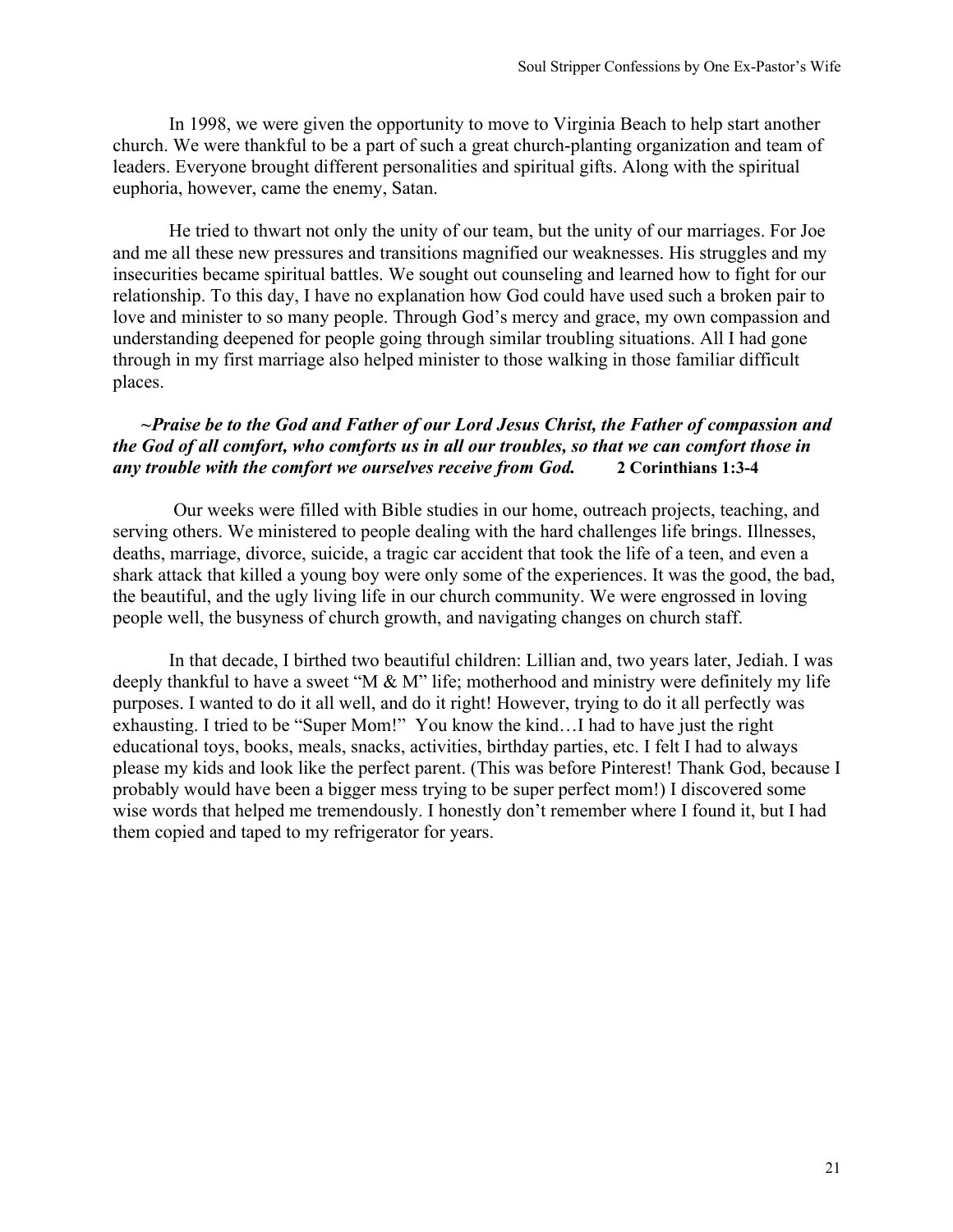In 1998, we were given the opportunity to move to Virginia Beach to help start another church. We were thankful to be a part of such a great church-planting organization and team of leaders. Everyone brought different personalities and spiritual gifts. Along with the spiritual euphoria, however, came the enemy, Satan.

He tried to thwart not only the unity of our team, but the unity of our marriages. For Joe and me all these new pressures and transitions magnified our weaknesses. His struggles and my insecurities became spiritual battles. We sought out counseling and learned how to fight for our relationship. To this day, I have no explanation how God could have used such a broken pair to love and minister to so many people. Through God's mercy and grace, my own compassion and understanding deepened for people going through similar troubling situations. All I had gone through in my first marriage also helped minister to those walking in those familiar difficult places.

### *~Praise be to the God and Father of our Lord Jesus Christ, the Father of compassion and the God of all comfort, who comforts us in all our troubles, so that we can comfort those in any trouble with the comfort we ourselves receive from God.* **2 Corinthians 1:3-4**

Our weeks were filled with Bible studies in our home, outreach projects, teaching, and serving others. We ministered to people dealing with the hard challenges life brings. Illnesses, deaths, marriage, divorce, suicide, a tragic car accident that took the life of a teen, and even a shark attack that killed a young boy were only some of the experiences. It was the good, the bad, the beautiful, and the ugly living life in our church community. We were engrossed in loving people well, the busyness of church growth, and navigating changes on church staff.

In that decade, I birthed two beautiful children: Lillian and, two years later, Jediah. I was deeply thankful to have a sweet "M & M" life; motherhood and ministry were definitely my life purposes. I wanted to do it all well, and do it right! However, trying to do it all perfectly was exhausting. I tried to be "Super Mom!" You know the kind…I had to have just the right educational toys, books, meals, snacks, activities, birthday parties, etc. I felt I had to always please my kids and look like the perfect parent. (This was before Pinterest! Thank God, because I probably would have been a bigger mess trying to be super perfect mom!) I discovered some wise words that helped me tremendously. I honestly don't remember where I found it, but I had them copied and taped to my refrigerator for years.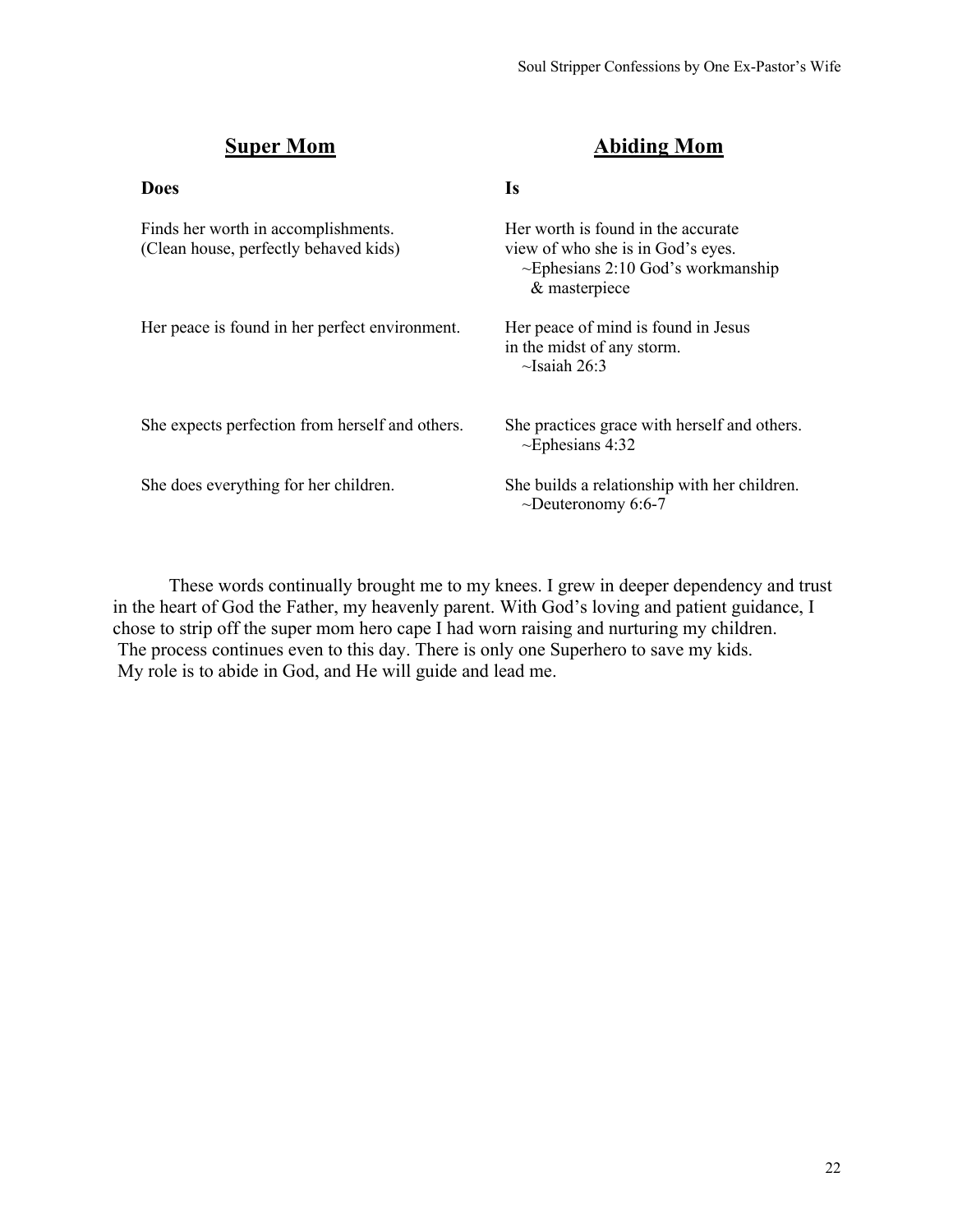Does **Is** 

# **Super Mom Abiding Mom**

| Finds her worth in accomplishments.<br>(Clean house, perfectly behaved kids) | Her worth is found in the accurate<br>view of who she is in God's eyes.<br>$\sim$ Ephesians 2:10 God's workmanship<br>& masterpiece |
|------------------------------------------------------------------------------|-------------------------------------------------------------------------------------------------------------------------------------|
| Her peace is found in her perfect environment.                               | Her peace of mind is found in Jesus<br>in the midst of any storm.<br>$\sim$ Isaiah 26:3                                             |
| She expects perfection from herself and others.                              | She practices grace with herself and others.<br>$\sim$ Ephesians 4:32                                                               |
| She does everything for her children.                                        | She builds a relationship with her children.<br>$\sim$ Deuteronomy 6:6-7                                                            |

These words continually brought me to my knees. I grew in deeper dependency and trust in the heart of God the Father, my heavenly parent. With God's loving and patient guidance, I chose to strip off the super mom hero cape I had worn raising and nurturing my children. The process continues even to this day. There is only one Superhero to save my kids. My role is to abide in God, and He will guide and lead me.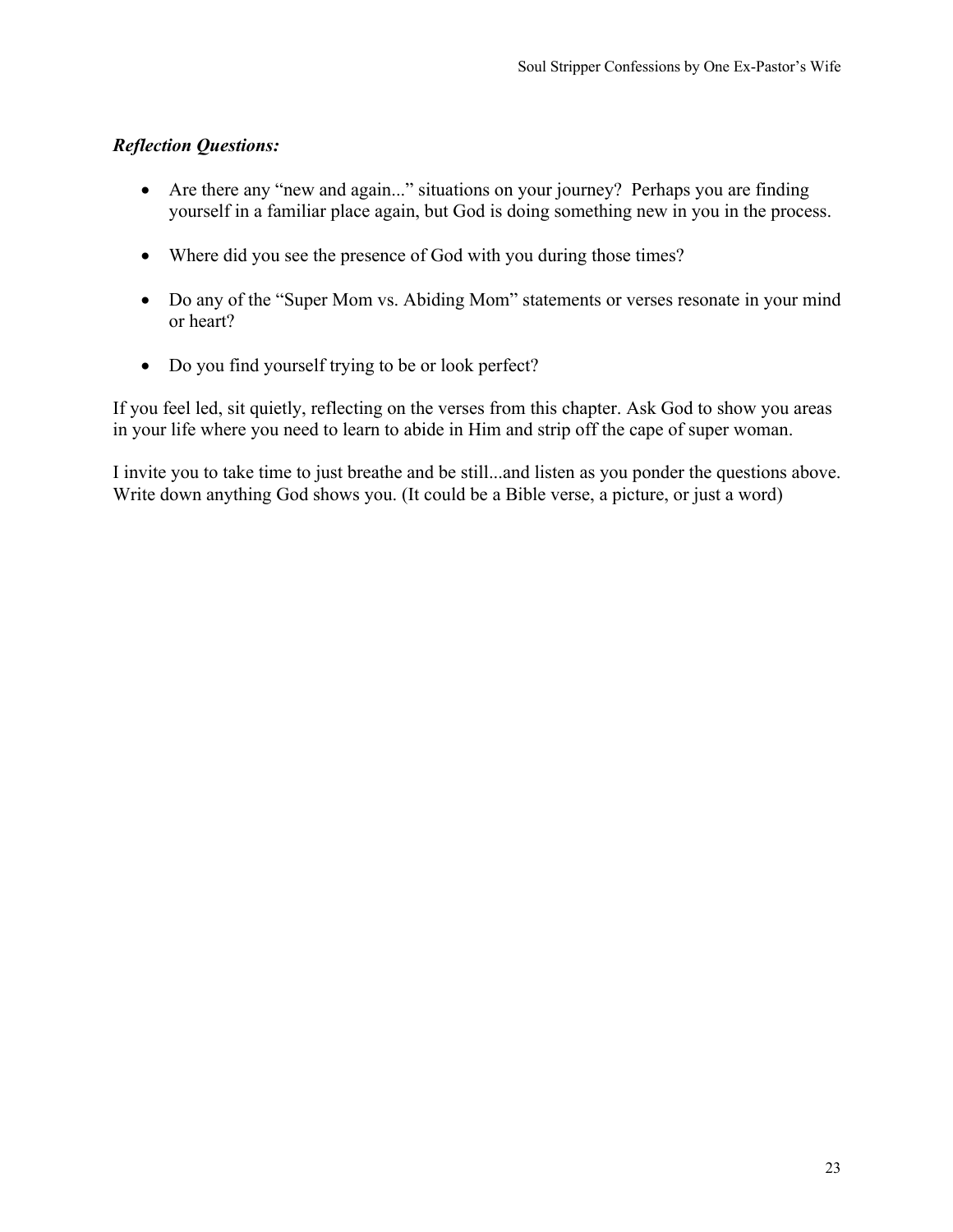- Are there any "new and again..." situations on your journey? Perhaps you are finding yourself in a familiar place again, but God is doing something new in you in the process.
- Where did you see the presence of God with you during those times?
- Do any of the "Super Mom vs. Abiding Mom" statements or verses resonate in your mind or heart?
- Do you find yourself trying to be or look perfect?

If you feel led, sit quietly, reflecting on the verses from this chapter. Ask God to show you areas in your life where you need to learn to abide in Him and strip off the cape of super woman.

I invite you to take time to just breathe and be still...and listen as you ponder the questions above. Write down anything God shows you. (It could be a Bible verse, a picture, or just a word)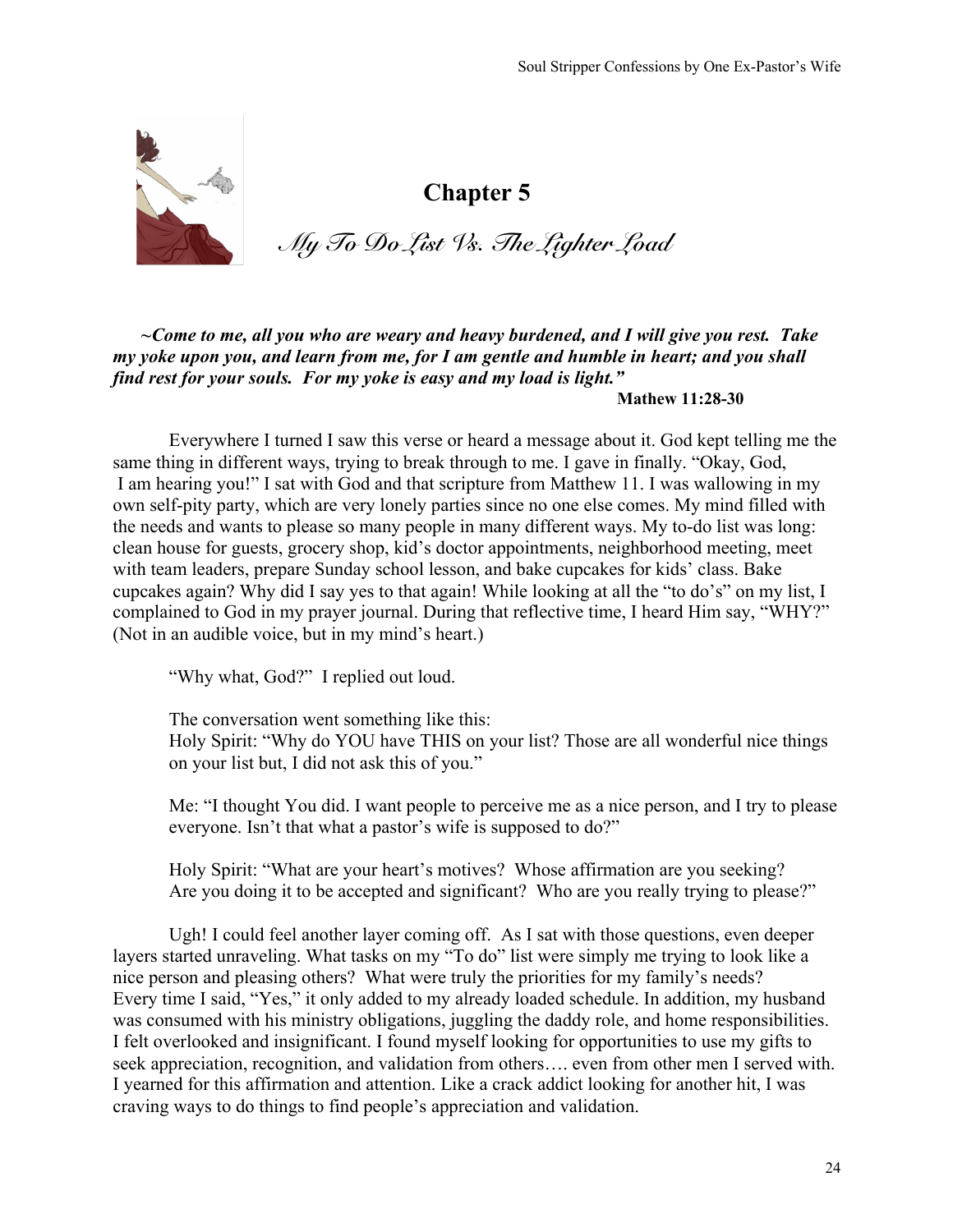

*My To Do List Vs. The Lighter Load*

*~Come to me, all you who are weary and heavy burdened, and I will give you rest. Take my yoke upon you, and learn from me, for I am gentle and humble in heart; and you shall find rest for your souls. For my yoke is easy and my load is light."* 

**Mathew 11:28-30**

Everywhere I turned I saw this verse or heard a message about it. God kept telling me the same thing in different ways, trying to break through to me. I gave in finally. "Okay, God, I am hearing you!" I sat with God and that scripture from Matthew 11. I was wallowing in my own self-pity party, which are very lonely parties since no one else comes. My mind filled with the needs and wants to please so many people in many different ways. My to-do list was long: clean house for guests, grocery shop, kid's doctor appointments, neighborhood meeting, meet with team leaders, prepare Sunday school lesson, and bake cupcakes for kids' class. Bake cupcakes again? Why did I say yes to that again! While looking at all the "to do's" on my list, I complained to God in my prayer journal. During that reflective time, I heard Him say, "WHY?" (Not in an audible voice, but in my mind's heart.)

"Why what, God?" I replied out loud.

The conversation went something like this:

Holy Spirit: "Why do YOU have THIS on your list? Those are all wonderful nice things on your list but, I did not ask this of you."

Me: "I thought You did. I want people to perceive me as a nice person, and I try to please everyone. Isn't that what a pastor's wife is supposed to do?"

Holy Spirit: "What are your heart's motives? Whose affirmation are you seeking? Are you doing it to be accepted and significant? Who are you really trying to please?"

Ugh! I could feel another layer coming off. As I sat with those questions, even deeper layers started unraveling. What tasks on my "To do" list were simply me trying to look like a nice person and pleasing others? What were truly the priorities for my family's needs? Every time I said, "Yes," it only added to my already loaded schedule. In addition, my husband was consumed with his ministry obligations, juggling the daddy role, and home responsibilities. I felt overlooked and insignificant. I found myself looking for opportunities to use my gifts to seek appreciation, recognition, and validation from others…. even from other men I served with. I yearned for this affirmation and attention. Like a crack addict looking for another hit, I was craving ways to do things to find people's appreciation and validation.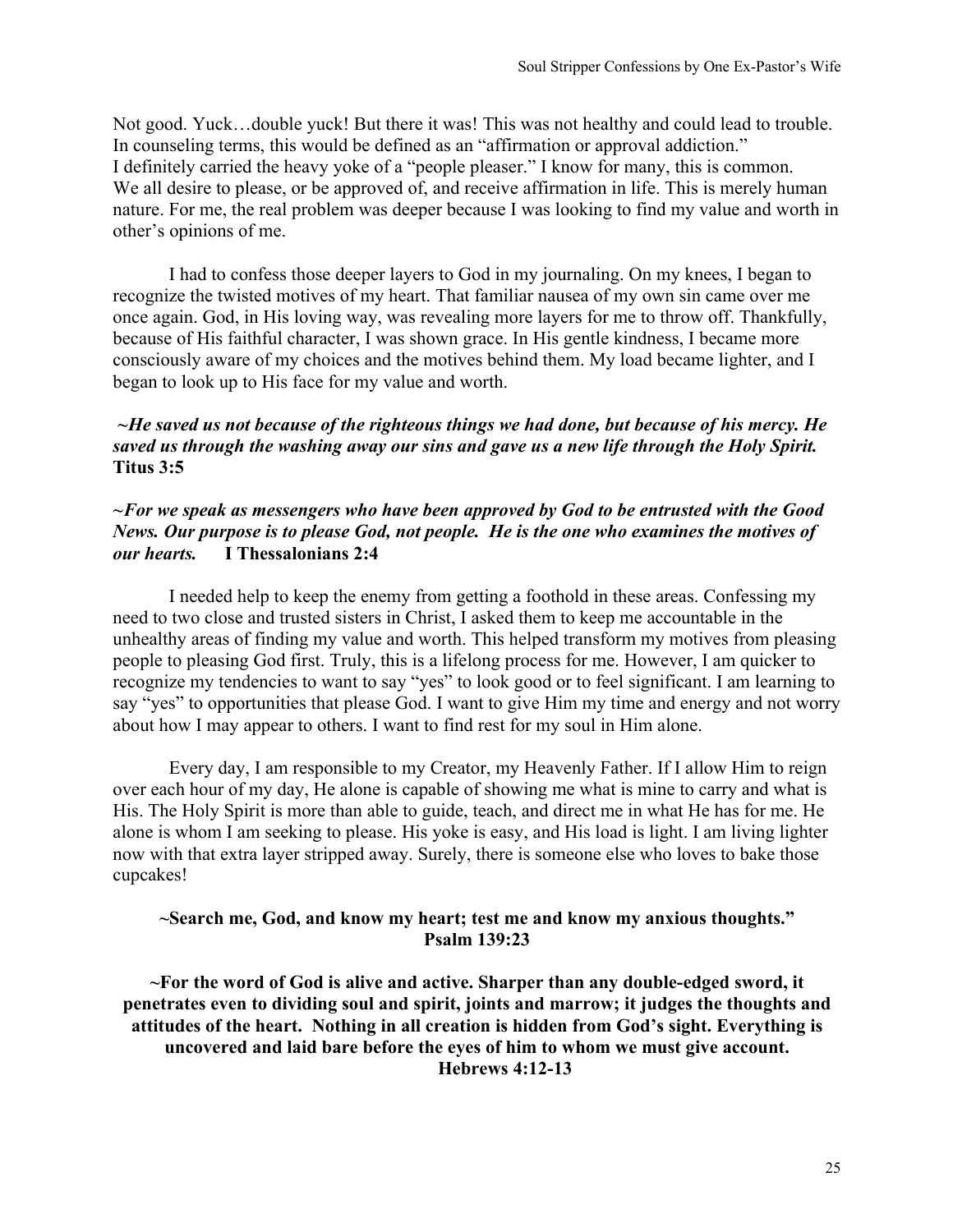Not good. Yuck…double yuck! But there it was! This was not healthy and could lead to trouble. In counseling terms, this would be defined as an "affirmation or approval addiction." I definitely carried the heavy yoke of a "people pleaser." I know for many, this is common. We all desire to please, or be approved of, and receive affirmation in life. This is merely human nature. For me, the real problem was deeper because I was looking to find my value and worth in other's opinions of me.

I had to confess those deeper layers to God in my journaling. On my knees, I began to recognize the twisted motives of my heart. That familiar nausea of my own sin came over me once again. God, in His loving way, was revealing more layers for me to throw off. Thankfully, because of His faithful character, I was shown grace. In His gentle kindness, I became more consciously aware of my choices and the motives behind them. My load became lighter, and I began to look up to His face for my value and worth.

#### *~He saved us not because of the righteous things we had done, but because of his mercy. He saved us through the washing away our sins and gave us a new life through the Holy Spirit.*  **Titus 3:5**

#### *~For we speak as messengers who have been approved by God to be entrusted with the Good News. Our purpose is to please God, not people. He is the one who examines the motives of our hearts.* **I Thessalonians 2:4**

I needed help to keep the enemy from getting a foothold in these areas. Confessing my need to two close and trusted sisters in Christ, I asked them to keep me accountable in the unhealthy areas of finding my value and worth. This helped transform my motives from pleasing people to pleasing God first. Truly, this is a lifelong process for me. However, I am quicker to recognize my tendencies to want to say "yes" to look good or to feel significant. I am learning to say "yes" to opportunities that please God. I want to give Him my time and energy and not worry about how I may appear to others. I want to find rest for my soul in Him alone.

Every day, I am responsible to my Creator, my Heavenly Father. If I allow Him to reign over each hour of my day, He alone is capable of showing me what is mine to carry and what is His. The Holy Spirit is more than able to guide, teach, and direct me in what He has for me. He alone is whom I am seeking to please. His yoke is easy, and His load is light. I am living lighter now with that extra layer stripped away. Surely, there is someone else who loves to bake those cupcakes!

# **~Search me, God, and know my heart; test me and know my anxious thoughts." Psalm 139:23**

**~For the word of God is alive and active. Sharper than any double-edged sword, it penetrates even to dividing soul and spirit, joints and marrow; it judges the thoughts and attitudes of the heart. Nothing in all creation is hidden from God's sight. Everything is uncovered and laid bare before the eyes of him to whom we must give account.** **Hebrews 4:12-13**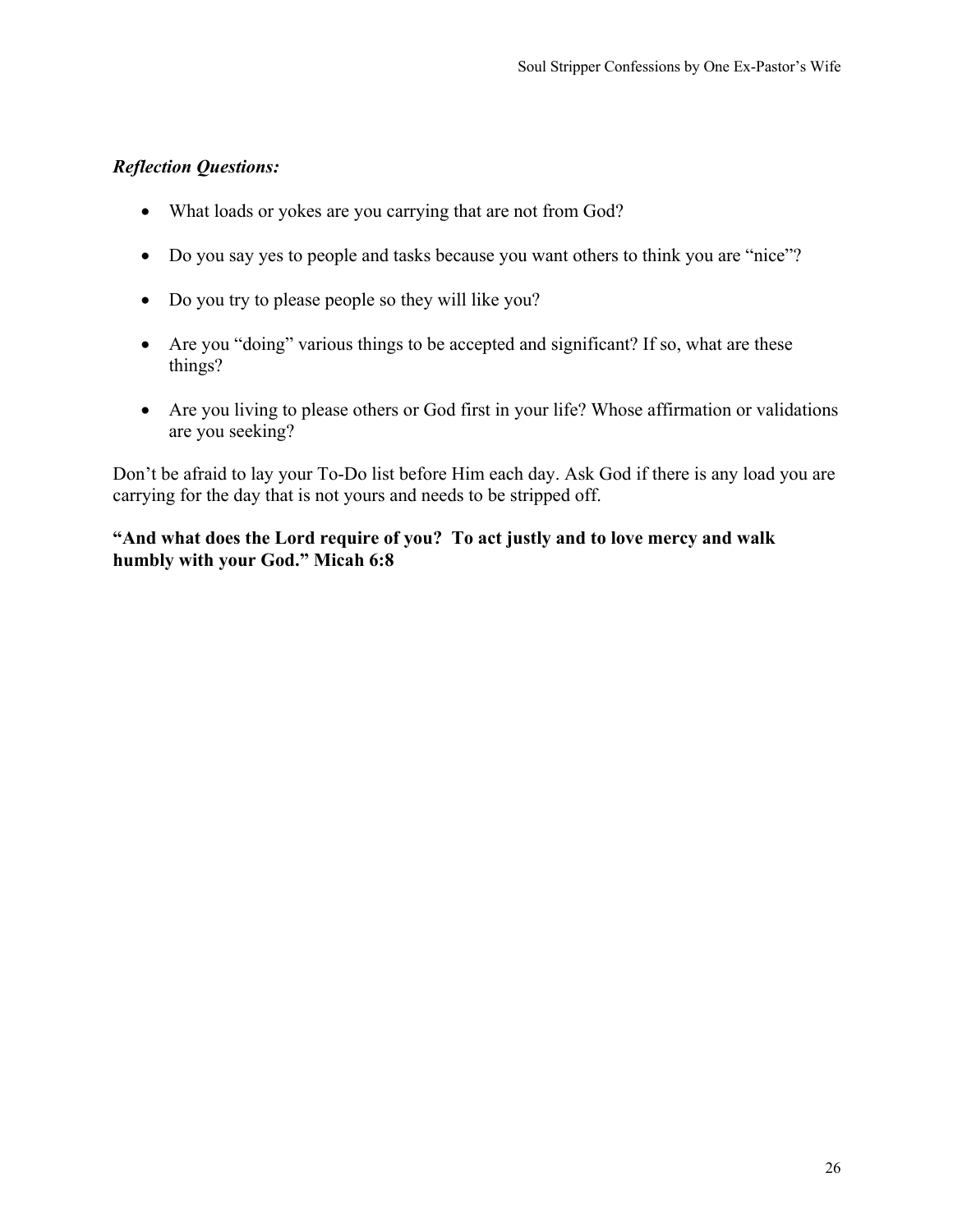- What loads or yokes are you carrying that are not from God?
- Do you say yes to people and tasks because you want others to think you are "nice"?
- Do you try to please people so they will like you?
- Are you "doing" various things to be accepted and significant? If so, what are these things?
- Are you living to please others or God first in your life? Whose affirmation or validations are you seeking?

Don't be afraid to lay your To-Do list before Him each day. Ask God if there is any load you are carrying for the day that is not yours and needs to be stripped off.

# **"And what does the Lord require of you? To act justly and to love mercy and walk humbly with your God." Micah 6:8**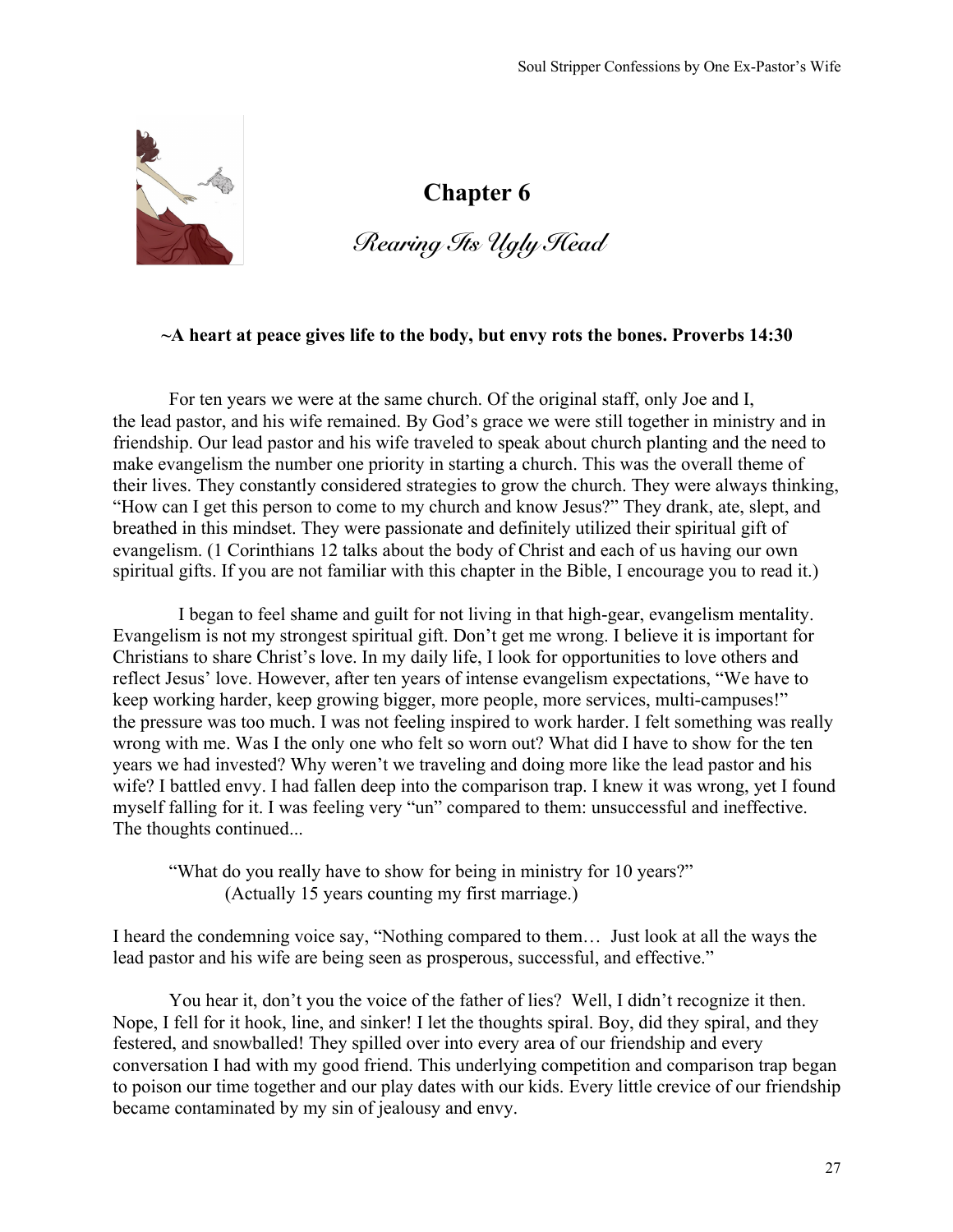

# *Rearing Its Ugly Head*

#### **~A heart at peace gives life to the body, but envy rots the bones. Proverbs 14:30**

For ten years we were at the same church. Of the original staff, only Joe and I, the lead pastor, and his wife remained. By God's grace we were still together in ministry and in friendship. Our lead pastor and his wife traveled to speak about church planting and the need to make evangelism the number one priority in starting a church. This was the overall theme of their lives. They constantly considered strategies to grow the church. They were always thinking, "How can I get this person to come to my church and know Jesus?" They drank, ate, slept, and breathed in this mindset. They were passionate and definitely utilized their spiritual gift of evangelism. (1 Corinthians 12 talks about the body of Christ and each of us having our own spiritual gifts. If you are not familiar with this chapter in the Bible, I encourage you to read it.)

 I began to feel shame and guilt for not living in that high-gear, evangelism mentality. Evangelism is not my strongest spiritual gift. Don't get me wrong. I believe it is important for Christians to share Christ's love. In my daily life, I look for opportunities to love others and reflect Jesus' love. However, after ten years of intense evangelism expectations, "We have to keep working harder, keep growing bigger, more people, more services, multi-campuses!" the pressure was too much. I was not feeling inspired to work harder. I felt something was really wrong with me. Was I the only one who felt so worn out? What did I have to show for the ten years we had invested? Why weren't we traveling and doing more like the lead pastor and his wife? I battled envy. I had fallen deep into the comparison trap. I knew it was wrong, yet I found myself falling for it. I was feeling very "un" compared to them: unsuccessful and ineffective. The thoughts continued...

"What do you really have to show for being in ministry for 10 years?" (Actually 15 years counting my first marriage.)

I heard the condemning voice say, "Nothing compared to them… Just look at all the ways the lead pastor and his wife are being seen as prosperous, successful, and effective."

You hear it, don't you the voice of the father of lies? Well, I didn't recognize it then. Nope, I fell for it hook, line, and sinker! I let the thoughts spiral. Boy, did they spiral, and they festered, and snowballed! They spilled over into every area of our friendship and every conversation I had with my good friend. This underlying competition and comparison trap began to poison our time together and our play dates with our kids. Every little crevice of our friendship became contaminated by my sin of jealousy and envy.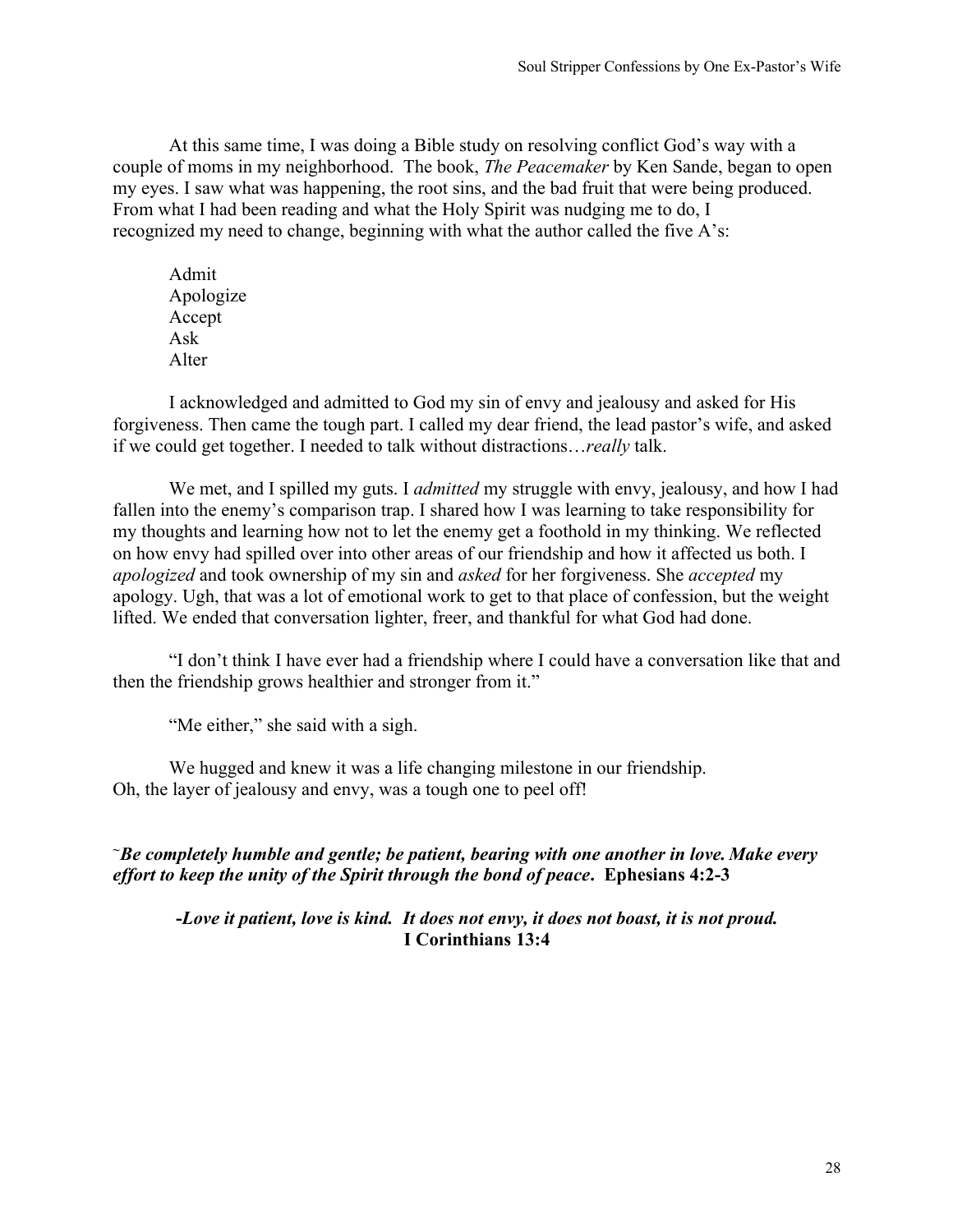At this same time, I was doing a Bible study on resolving conflict God's way with a couple of moms in my neighborhood. The book, *The Peacemaker* by Ken Sande, began to open my eyes. I saw what was happening, the root sins, and the bad fruit that were being produced. From what I had been reading and what the Holy Spirit was nudging me to do, I recognized my need to change, beginning with what the author called the five A's:

Admit Apologize Accept Ask Alter

I acknowledged and admitted to God my sin of envy and jealousy and asked for His forgiveness. Then came the tough part. I called my dear friend, the lead pastor's wife, and asked if we could get together. I needed to talk without distractions…*really* talk.

We met, and I spilled my guts. I *admitted* my struggle with envy, jealousy, and how I had fallen into the enemy's comparison trap. I shared how I was learning to take responsibility for my thoughts and learning how not to let the enemy get a foothold in my thinking. We reflected on how envy had spilled over into other areas of our friendship and how it affected us both. I *apologized* and took ownership of my sin and *asked* for her forgiveness. She *accepted* my apology. Ugh, that was a lot of emotional work to get to that place of confession, but the weight lifted. We ended that conversation lighter, freer, and thankful for what God had done.

"I don't think I have ever had a friendship where I could have a conversation like that and then the friendship grows healthier and stronger from it."

"Me either," she said with a sigh.

We hugged and knew it was a life changing milestone in our friendship. Oh, the layer of jealousy and envy, was a tough one to peel off!

*~Be completely humble and gentle; be patient, bearing with one another in love. Make every effort to keep the unity of the Spirit through the bond of peace***. Ephesians 4:2-3**

**-***Love it patient, love is kind. It does not envy, it does not boast, it is not proud.* **I Corinthians 13:4**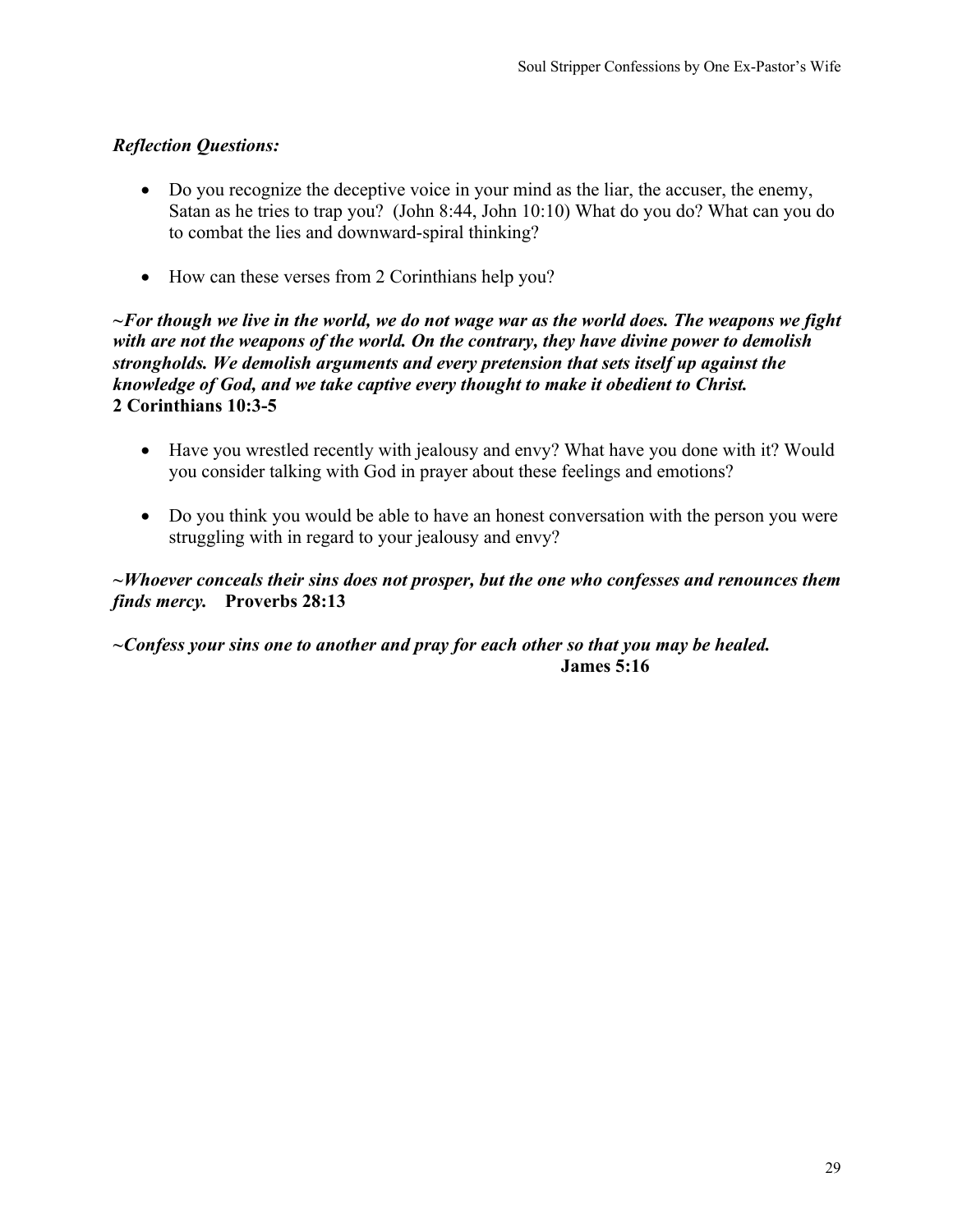- Do you recognize the deceptive voice in your mind as the liar, the accuser, the enemy, Satan as he tries to trap you? (John 8:44, John 10:10) What do you do? What can you do to combat the lies and downward-spiral thinking?
- How can these verses from 2 Corinthians help you?

*~For though we live in the world, we do not wage war as the world does. The weapons we fight with are not the weapons of the world. On the contrary, they have divine power to demolish strongholds. We demolish arguments and every pretension that sets itself up against the knowledge of God, and we take captive every thought to make it obedient to Christ.*  **2 Corinthians 10:3-5**

- Have you wrestled recently with jealousy and envy? What have you done with it? Would you consider talking with God in prayer about these feelings and emotions?
- Do you think you would be able to have an honest conversation with the person you were struggling with in regard to your jealousy and envy?

## *~Whoever conceals their sins does not prosper, but the one who confesses and renounces them finds mercy.* **Proverbs 28:13**

# *~Confess your sins one to another and pray for each other so that you may be healed.* **James 5:16**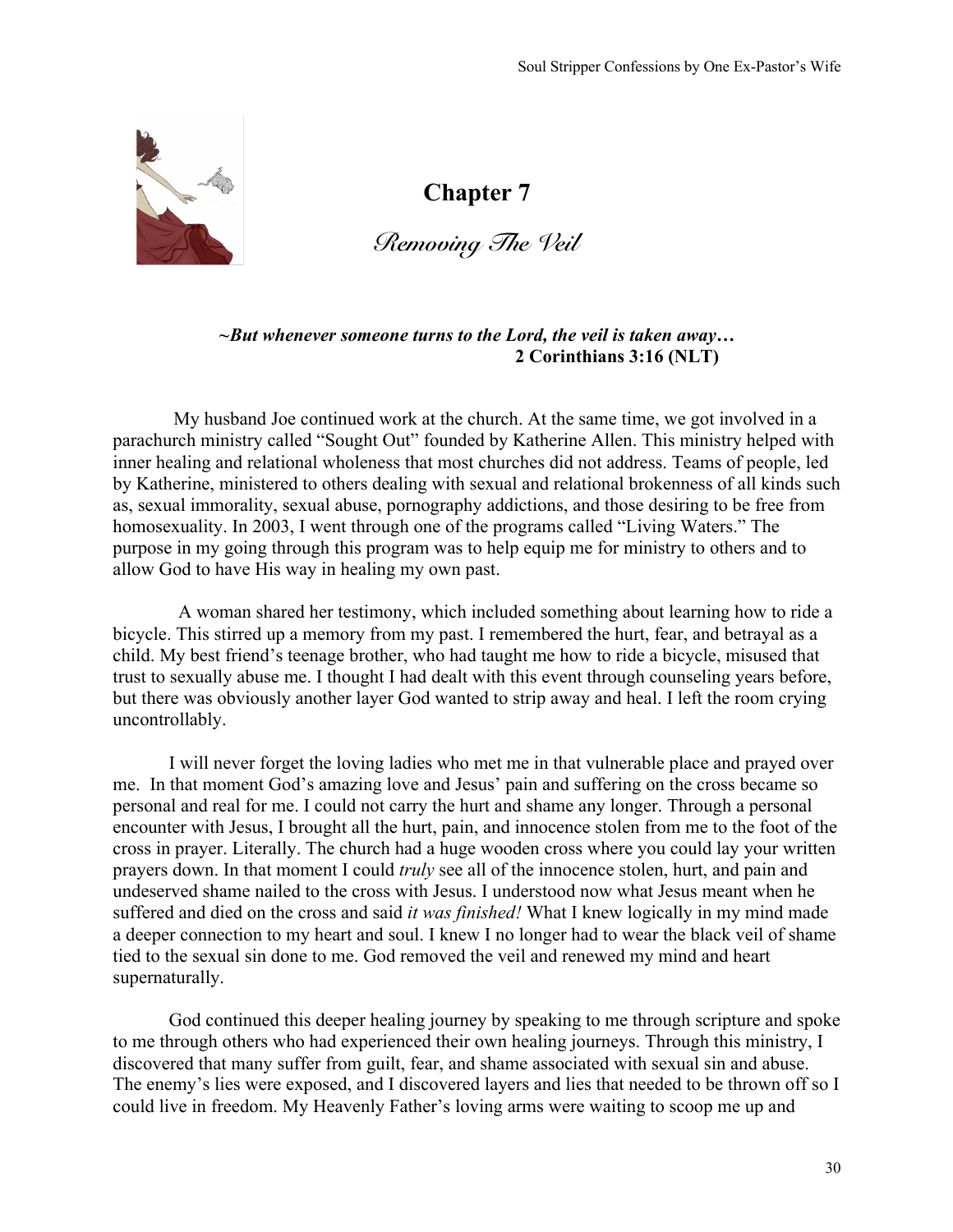

*Removing The Veil*

*~But whenever someone turns to the Lord, the veil is taken away…* **2 Corinthians 3:16 (NLT)**

My husband Joe continued work at the church. At the same time, we got involved in a parachurch ministry called "Sought Out" founded by Katherine Allen. This ministry helped with inner healing and relational wholeness that most churches did not address. Teams of people, led by Katherine, ministered to others dealing with sexual and relational brokenness of all kinds such as, sexual immorality, sexual abuse, pornography addictions, and those desiring to be free from homosexuality. In 2003, I went through one of the programs called "Living Waters." The purpose in my going through this program was to help equip me for ministry to others and to allow God to have His way in healing my own past.

 A woman shared her testimony, which included something about learning how to ride a bicycle. This stirred up a memory from my past. I remembered the hurt, fear, and betrayal as a child. My best friend's teenage brother, who had taught me how to ride a bicycle, misused that trust to sexually abuse me. I thought I had dealt with this event through counseling years before, but there was obviously another layer God wanted to strip away and heal. I left the room crying uncontrollably.

I will never forget the loving ladies who met me in that vulnerable place and prayed over me. In that moment God's amazing love and Jesus' pain and suffering on the cross became so personal and real for me. I could not carry the hurt and shame any longer. Through a personal encounter with Jesus, I brought all the hurt, pain, and innocence stolen from me to the foot of the cross in prayer. Literally. The church had a huge wooden cross where you could lay your written prayers down. In that moment I could *truly* see all of the innocence stolen, hurt, and pain and undeserved shame nailed to the cross with Jesus. I understood now what Jesus meant when he suffered and died on the cross and said *it was finished!* What I knew logically in my mind made a deeper connection to my heart and soul. I knew I no longer had to wear the black veil of shame tied to the sexual sin done to me. God removed the veil and renewed my mind and heart supernaturally.

God continued this deeper healing journey by speaking to me through scripture and spoke to me through others who had experienced their own healing journeys. Through this ministry, I discovered that many suffer from guilt, fear, and shame associated with sexual sin and abuse. The enemy's lies were exposed, and I discovered layers and lies that needed to be thrown off so I could live in freedom. My Heavenly Father's loving arms were waiting to scoop me up and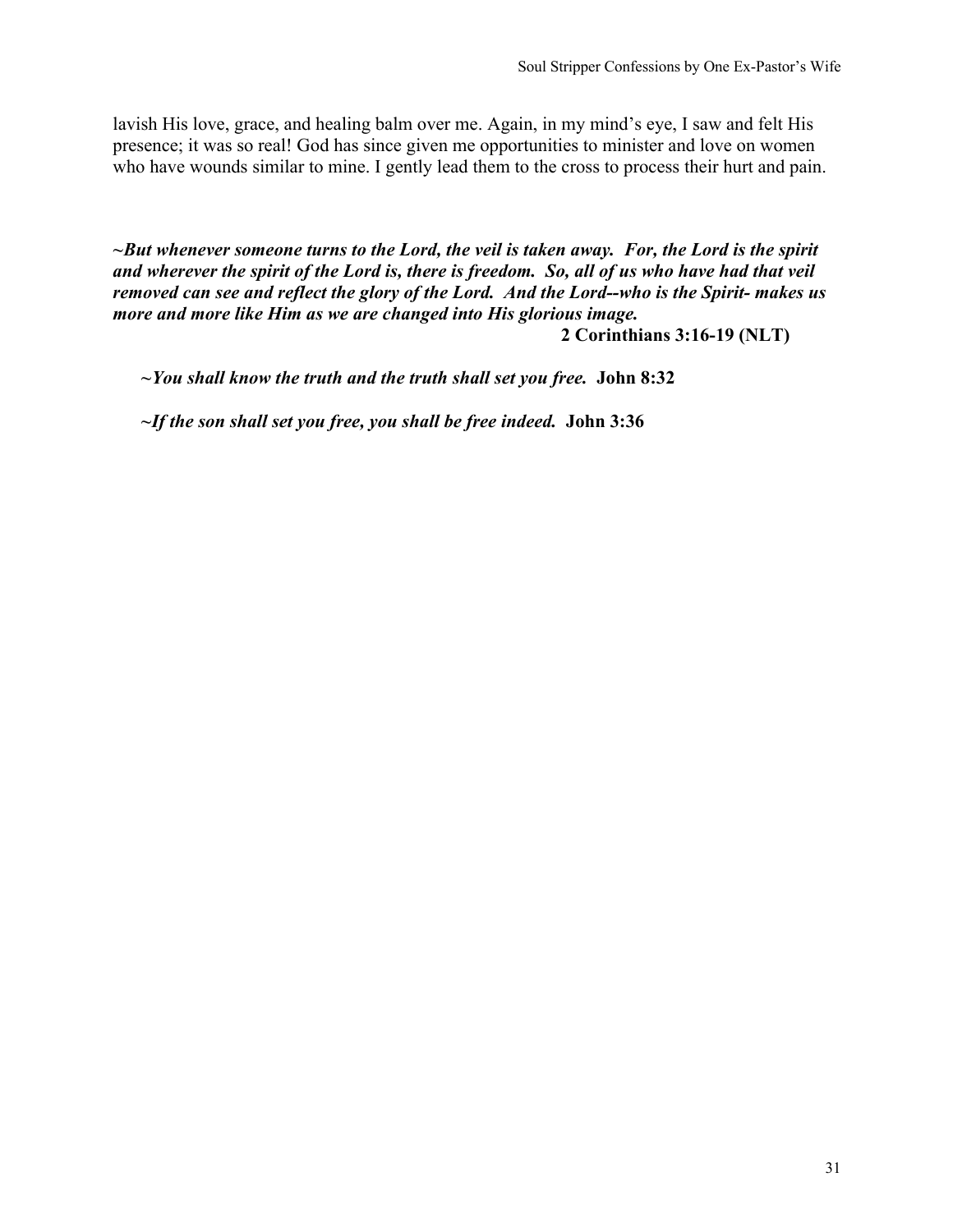lavish His love, grace, and healing balm over me. Again, in my mind's eye, I saw and felt His presence; it was so real! God has since given me opportunities to minister and love on women who have wounds similar to mine. I gently lead them to the cross to process their hurt and pain.

*~But whenever someone turns to the Lord, the veil is taken away. For, the Lord is the spirit and wherever the spirit of the Lord is, there is freedom. So, all of us who have had that veil removed can see and reflect the glory of the Lord. And the Lord--who is the Spirit- makes us more and more like Him as we are changed into His glorious image.* 

**2 Corinthians 3:16-19 (NLT)**

*~You shall know the truth and the truth shall set you free.* **John 8:32**

*~If the son shall set you free, you shall be free indeed.* **John 3:36**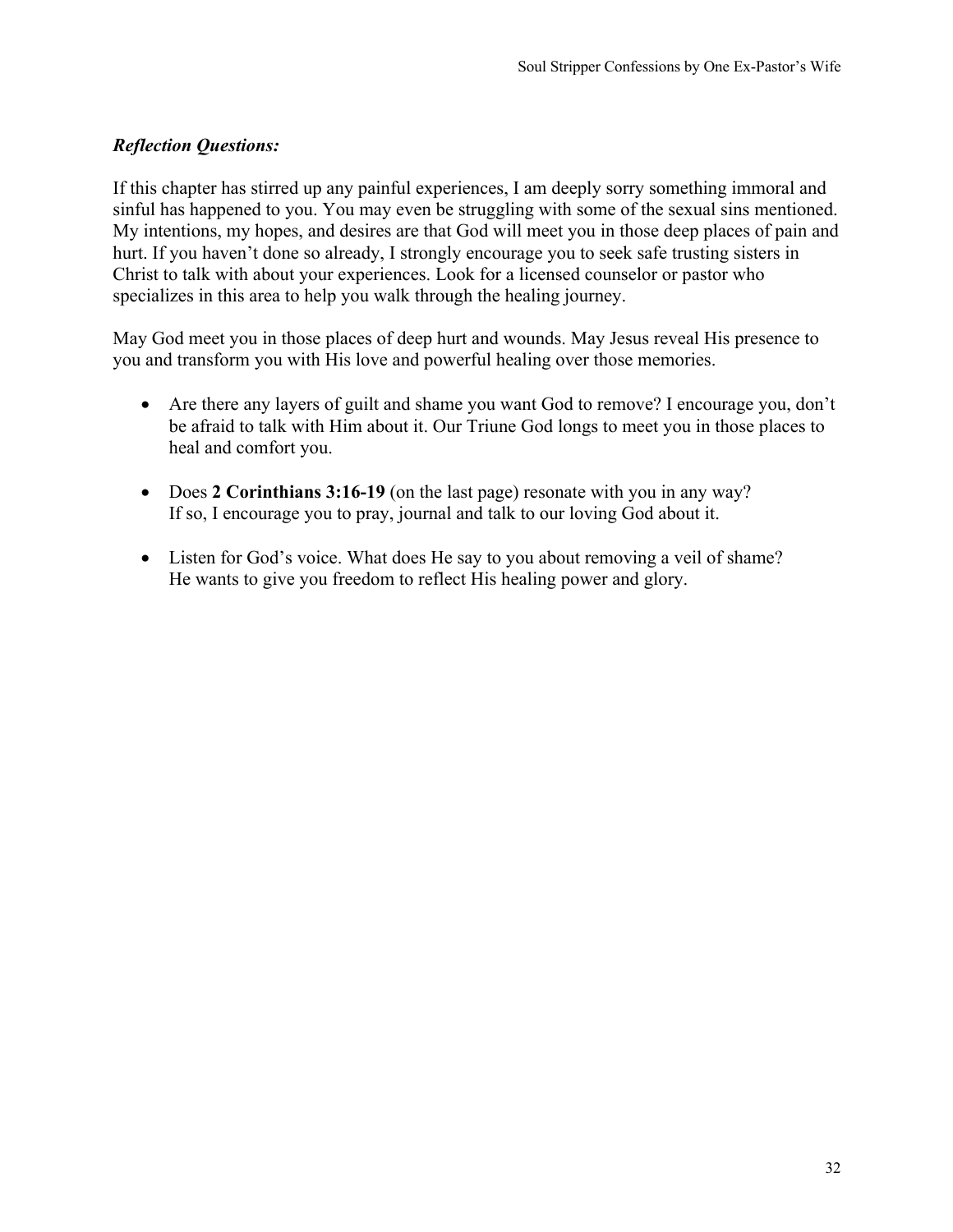If this chapter has stirred up any painful experiences, I am deeply sorry something immoral and sinful has happened to you. You may even be struggling with some of the sexual sins mentioned. My intentions, my hopes, and desires are that God will meet you in those deep places of pain and hurt. If you haven't done so already, I strongly encourage you to seek safe trusting sisters in Christ to talk with about your experiences. Look for a licensed counselor or pastor who specializes in this area to help you walk through the healing journey.

May God meet you in those places of deep hurt and wounds. May Jesus reveal His presence to you and transform you with His love and powerful healing over those memories.

- Are there any layers of guilt and shame you want God to remove? I encourage you, don't be afraid to talk with Him about it. Our Triune God longs to meet you in those places to heal and comfort you.
- Does 2 **Corinthians 3:16-19** (on the last page) resonate with you in any way? If so, I encourage you to pray, journal and talk to our loving God about it.
- Listen for God's voice. What does He say to you about removing a veil of shame? He wants to give you freedom to reflect His healing power and glory.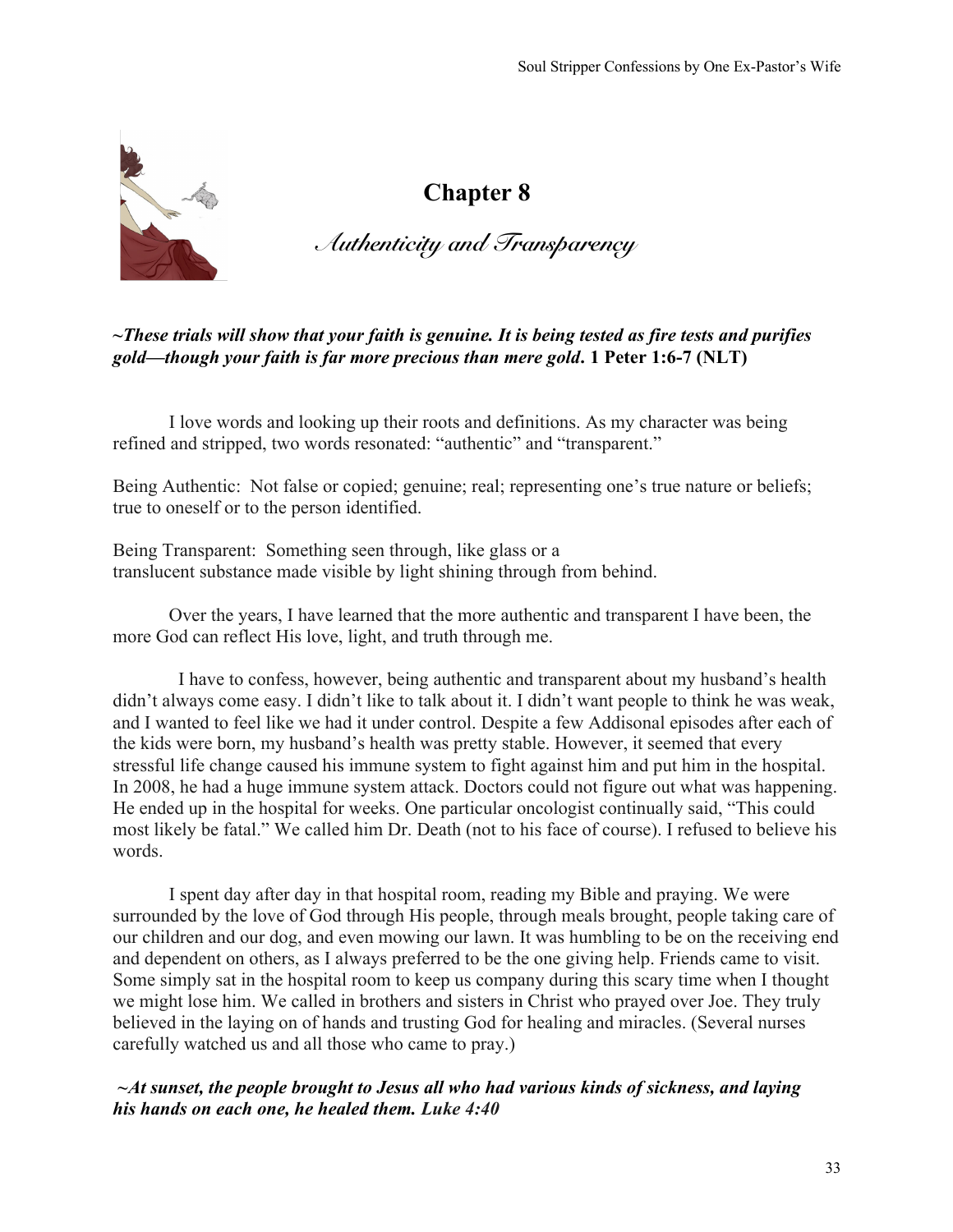

# *Authenticity and Transparency*

# **~***These trials will show that your faith is genuine. It is being tested as fire tests and purifies gold—though your faith is far more precious than mere gold***. 1 Peter 1:6-7 (NLT)**

I love words and looking up their roots and definitions. As my character was being refined and stripped, two words resonated: "authentic" and "transparent."

Being Authentic: Not false or copied; genuine; real; representing one's true nature or beliefs; true to oneself or to the person identified.

Being Transparent: Something seen through, like glass or a translucent substance made visible by light shining through from behind.

Over the years, I have learned that the more authentic and transparent I have been, the more God can reflect His love, light, and truth through me.

 I have to confess, however, being authentic and transparent about my husband's health didn't always come easy. I didn't like to talk about it. I didn't want people to think he was weak, and I wanted to feel like we had it under control. Despite a few Addisonal episodes after each of the kids were born, my husband's health was pretty stable. However, it seemed that every stressful life change caused his immune system to fight against him and put him in the hospital. In 2008, he had a huge immune system attack. Doctors could not figure out what was happening. He ended up in the hospital for weeks. One particular oncologist continually said, "This could most likely be fatal." We called him Dr. Death (not to his face of course). I refused to believe his words.

I spent day after day in that hospital room, reading my Bible and praying. We were surrounded by the love of God through His people, through meals brought, people taking care of our children and our dog, and even mowing our lawn. It was humbling to be on the receiving end and dependent on others, as I always preferred to be the one giving help. Friends came to visit. Some simply sat in the hospital room to keep us company during this scary time when I thought we might lose him. We called in brothers and sisters in Christ who prayed over Joe. They truly believed in the laying on of hands and trusting God for healing and miracles. (Several nurses carefully watched us and all those who came to pray.)

# *~At sunset, the people brought to Jesus all who had various kinds of sickness, and laying his hands on each one, he healed them. Luke 4:40*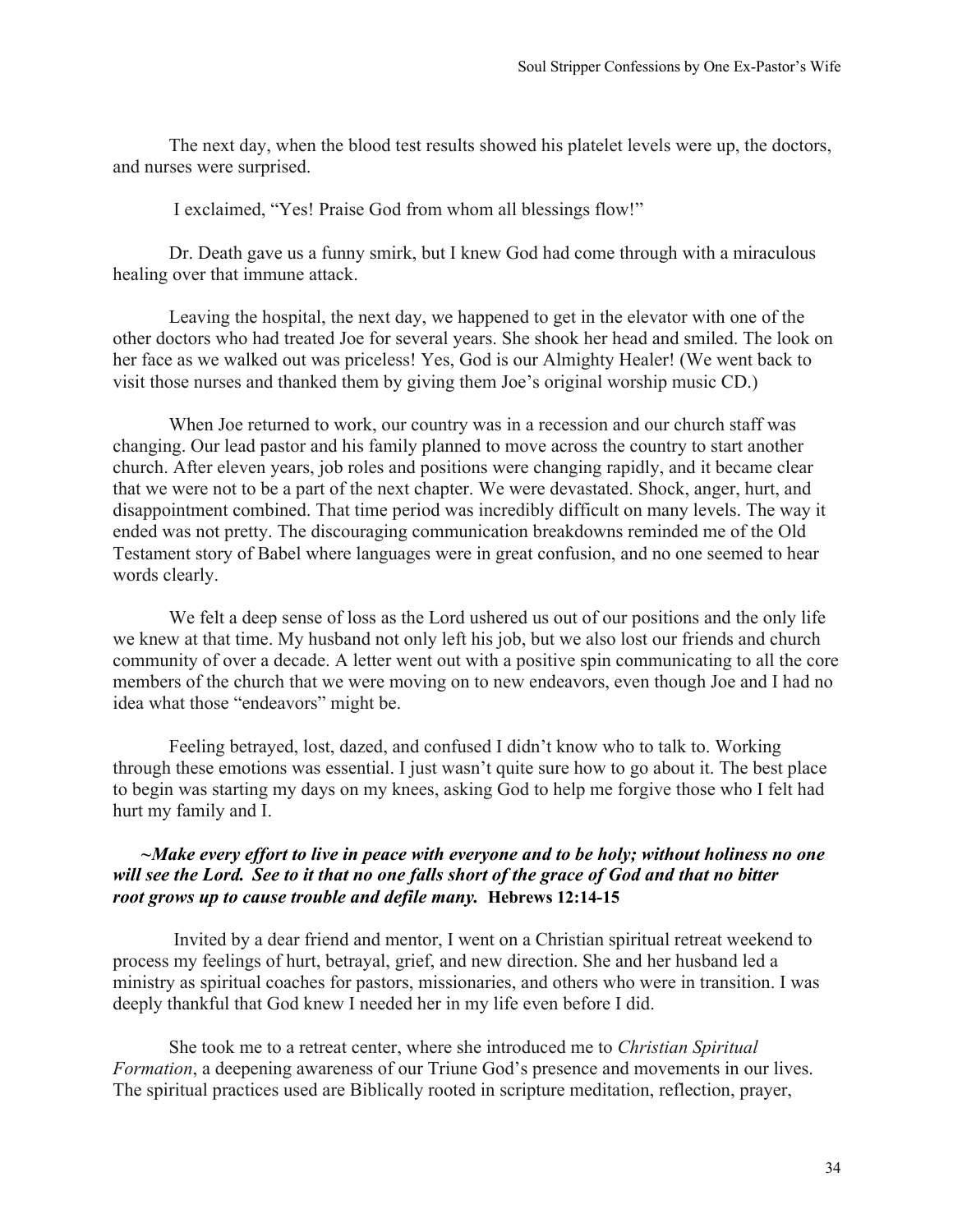The next day, when the blood test results showed his platelet levels were up, the doctors, and nurses were surprised.

I exclaimed, "Yes! Praise God from whom all blessings flow!"

Dr. Death gave us a funny smirk, but I knew God had come through with a miraculous healing over that immune attack.

Leaving the hospital, the next day, we happened to get in the elevator with one of the other doctors who had treated Joe for several years. She shook her head and smiled. The look on her face as we walked out was priceless! Yes, God is our Almighty Healer! (We went back to visit those nurses and thanked them by giving them Joe's original worship music CD.)

When Joe returned to work, our country was in a recession and our church staff was changing. Our lead pastor and his family planned to move across the country to start another church. After eleven years, job roles and positions were changing rapidly, and it became clear that we were not to be a part of the next chapter. We were devastated. Shock, anger, hurt, and disappointment combined. That time period was incredibly difficult on many levels. The way it ended was not pretty. The discouraging communication breakdowns reminded me of the Old Testament story of Babel where languages were in great confusion, and no one seemed to hear words clearly.

We felt a deep sense of loss as the Lord ushered us out of our positions and the only life we knew at that time. My husband not only left his job, but we also lost our friends and church community of over a decade. A letter went out with a positive spin communicating to all the core members of the church that we were moving on to new endeavors, even though Joe and I had no idea what those "endeavors" might be.

Feeling betrayed, lost, dazed, and confused I didn't know who to talk to. Working through these emotions was essential. I just wasn't quite sure how to go about it. The best place to begin was starting my days on my knees, asking God to help me forgive those who I felt had hurt my family and I.

#### *~Make every effort to live in peace with everyone and to be holy; without holiness no one will see the Lord. See to it that no one falls short of the grace of God and that no bitter root grows up to cause trouble and defile many.* **Hebrews 12:14-15**

Invited by a dear friend and mentor, I went on a Christian spiritual retreat weekend to process my feelings of hurt, betrayal, grief, and new direction. She and her husband led a ministry as spiritual coaches for pastors, missionaries, and others who were in transition. I was deeply thankful that God knew I needed her in my life even before I did.

She took me to a retreat center, where she introduced me to *Christian Spiritual Formation*, a deepening awareness of our Triune God's presence and movements in our lives. The spiritual practices used are Biblically rooted in scripture meditation, reflection, prayer,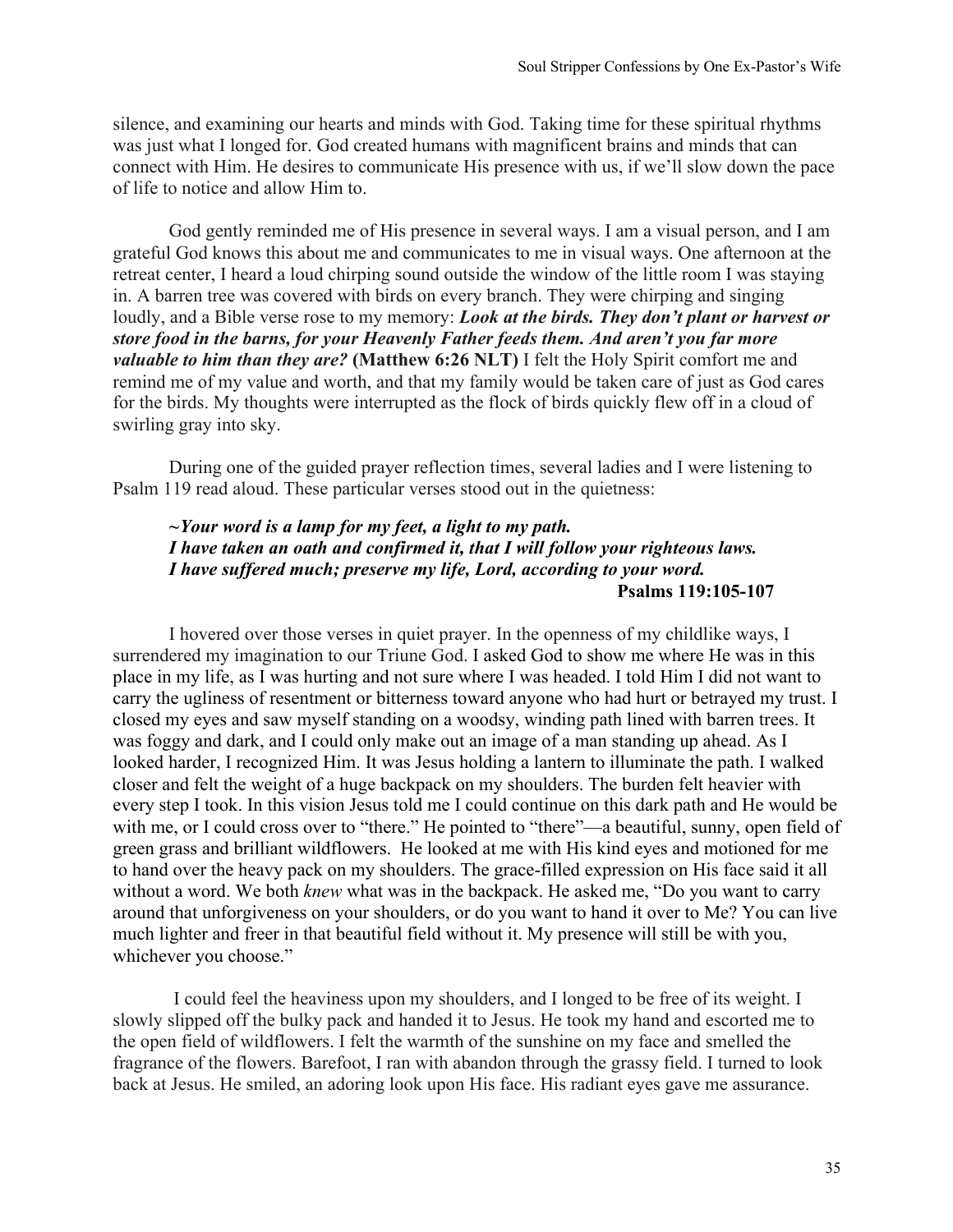silence, and examining our hearts and minds with God. Taking time for these spiritual rhythms was just what I longed for. God created humans with magnificent brains and minds that can connect with Him. He desires to communicate His presence with us, if we'll slow down the pace of life to notice and allow Him to.

God gently reminded me of His presence in several ways. I am a visual person, and I am grateful God knows this about me and communicates to me in visual ways. One afternoon at the retreat center, I heard a loud chirping sound outside the window of the little room I was staying in. A barren tree was covered with birds on every branch. They were chirping and singing loudly, and a Bible verse rose to my memory: *Look at the birds. They don't plant or harvest or store food in the barns, for your Heavenly Father feeds them. And aren't you far more valuable to him than they are?* **(Matthew 6:26 NLT)** I felt the Holy Spirit comfort me and remind me of my value and worth, and that my family would be taken care of just as God cares for the birds. My thoughts were interrupted as the flock of birds quickly flew off in a cloud of swirling gray into sky.

During one of the guided prayer reflection times, several ladies and I were listening to Psalm 119 read aloud. These particular verses stood out in the quietness:

#### *~Your word is a lamp for my feet, a light to my path. I have taken an oath and confirmed it, that I will follow your righteous laws. I have suffered much; preserve my life, Lord, according to your word.*  **Psalms 119:105-107**

I hovered over those verses in quiet prayer. In the openness of my childlike ways, I surrendered my imagination to our Triune God. I asked God to show me where He was in this place in my life, as I was hurting and not sure where I was headed. I told Him I did not want to carry the ugliness of resentment or bitterness toward anyone who had hurt or betrayed my trust. I closed my eyes and saw myself standing on a woodsy, winding path lined with barren trees. It was foggy and dark, and I could only make out an image of a man standing up ahead. As I looked harder, I recognized Him. It was Jesus holding a lantern to illuminate the path. I walked closer and felt the weight of a huge backpack on my shoulders. The burden felt heavier with every step I took. In this vision Jesus told me I could continue on this dark path and He would be with me, or I could cross over to "there." He pointed to "there"—a beautiful, sunny, open field of green grass and brilliant wildflowers. He looked at me with His kind eyes and motioned for me to hand over the heavy pack on my shoulders. The grace-filled expression on His face said it all without a word. We both *knew* what was in the backpack. He asked me, "Do you want to carry around that unforgiveness on your shoulders, or do you want to hand it over to Me? You can live much lighter and freer in that beautiful field without it. My presence will still be with you, whichever you choose."

I could feel the heaviness upon my shoulders, and I longed to be free of its weight. I slowly slipped off the bulky pack and handed it to Jesus. He took my hand and escorted me to the open field of wildflowers. I felt the warmth of the sunshine on my face and smelled the fragrance of the flowers. Barefoot, I ran with abandon through the grassy field. I turned to look back at Jesus. He smiled, an adoring look upon His face. His radiant eyes gave me assurance.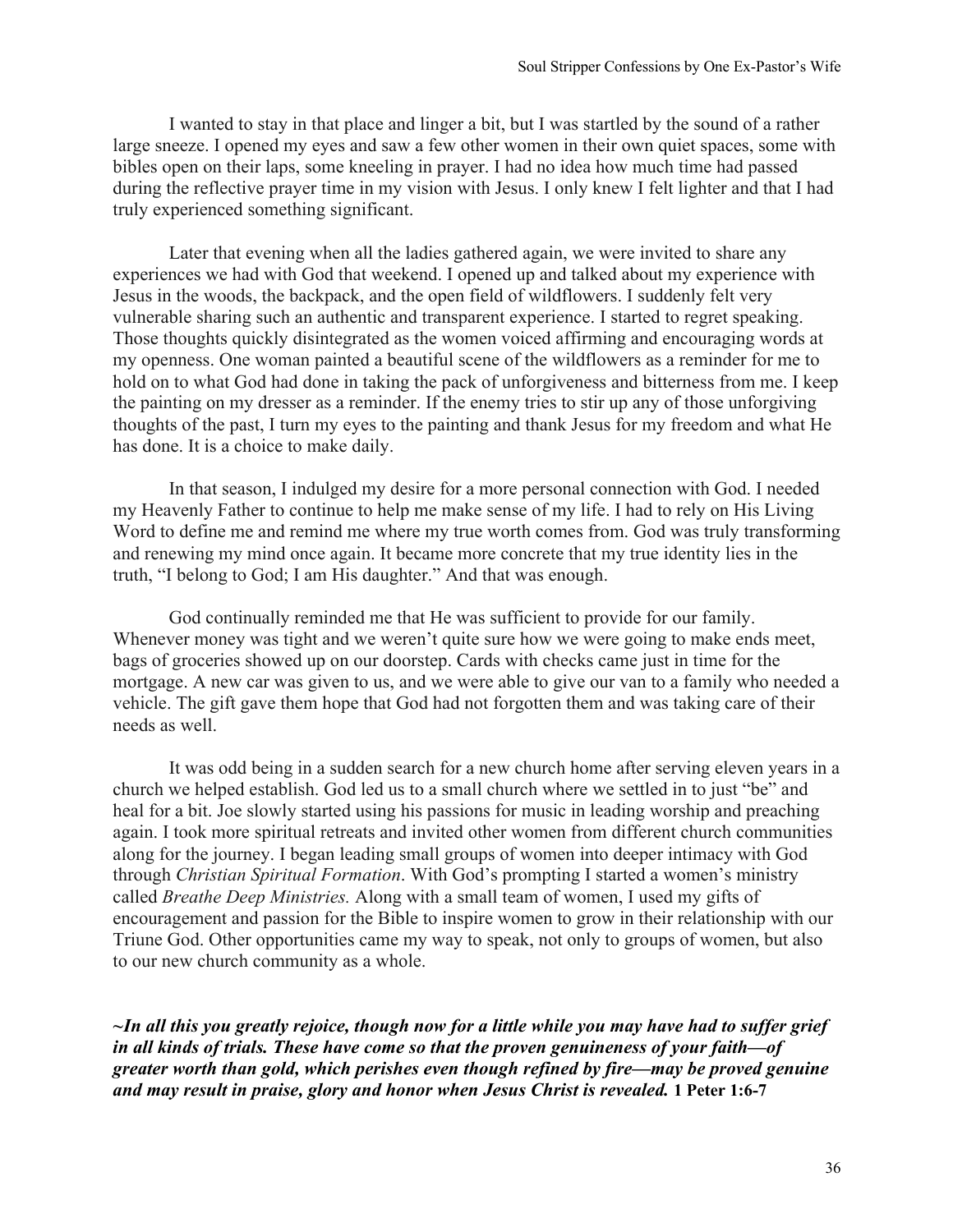I wanted to stay in that place and linger a bit, but I was startled by the sound of a rather large sneeze. I opened my eyes and saw a few other women in their own quiet spaces, some with bibles open on their laps, some kneeling in prayer. I had no idea how much time had passed during the reflective prayer time in my vision with Jesus. I only knew I felt lighter and that I had truly experienced something significant.

Later that evening when all the ladies gathered again, we were invited to share any experiences we had with God that weekend. I opened up and talked about my experience with Jesus in the woods, the backpack, and the open field of wildflowers. I suddenly felt very vulnerable sharing such an authentic and transparent experience. I started to regret speaking. Those thoughts quickly disintegrated as the women voiced affirming and encouraging words at my openness. One woman painted a beautiful scene of the wildflowers as a reminder for me to hold on to what God had done in taking the pack of unforgiveness and bitterness from me. I keep the painting on my dresser as a reminder. If the enemy tries to stir up any of those unforgiving thoughts of the past, I turn my eyes to the painting and thank Jesus for my freedom and what He has done. It is a choice to make daily.

In that season, I indulged my desire for a more personal connection with God. I needed my Heavenly Father to continue to help me make sense of my life. I had to rely on His Living Word to define me and remind me where my true worth comes from. God was truly transforming and renewing my mind once again. It became more concrete that my true identity lies in the truth, "I belong to God; I am His daughter." And that was enough.

God continually reminded me that He was sufficient to provide for our family. Whenever money was tight and we weren't quite sure how we were going to make ends meet, bags of groceries showed up on our doorstep. Cards with checks came just in time for the mortgage. A new car was given to us, and we were able to give our van to a family who needed a vehicle. The gift gave them hope that God had not forgotten them and was taking care of their needs as well.

It was odd being in a sudden search for a new church home after serving eleven years in a church we helped establish. God led us to a small church where we settled in to just "be" and heal for a bit. Joe slowly started using his passions for music in leading worship and preaching again. I took more spiritual retreats and invited other women from different church communities along for the journey. I began leading small groups of women into deeper intimacy with God through *Christian Spiritual Formation*. With God's prompting I started a women's ministry called *Breathe Deep Ministries.* Along with a small team of women, I used my gifts of encouragement and passion for the Bible to inspire women to grow in their relationship with our Triune God. Other opportunities came my way to speak, not only to groups of women, but also to our new church community as a whole.

*~In all this you greatly rejoice, though now for a little while you may have had to suffer grief in all kinds of trials. These have come so that the proven genuineness of your faith—of greater worth than gold, which perishes even though refined by fire—may be proved genuine and may result in praise, glory and honor when Jesus Christ is revealed.* **1 Peter 1:6-7**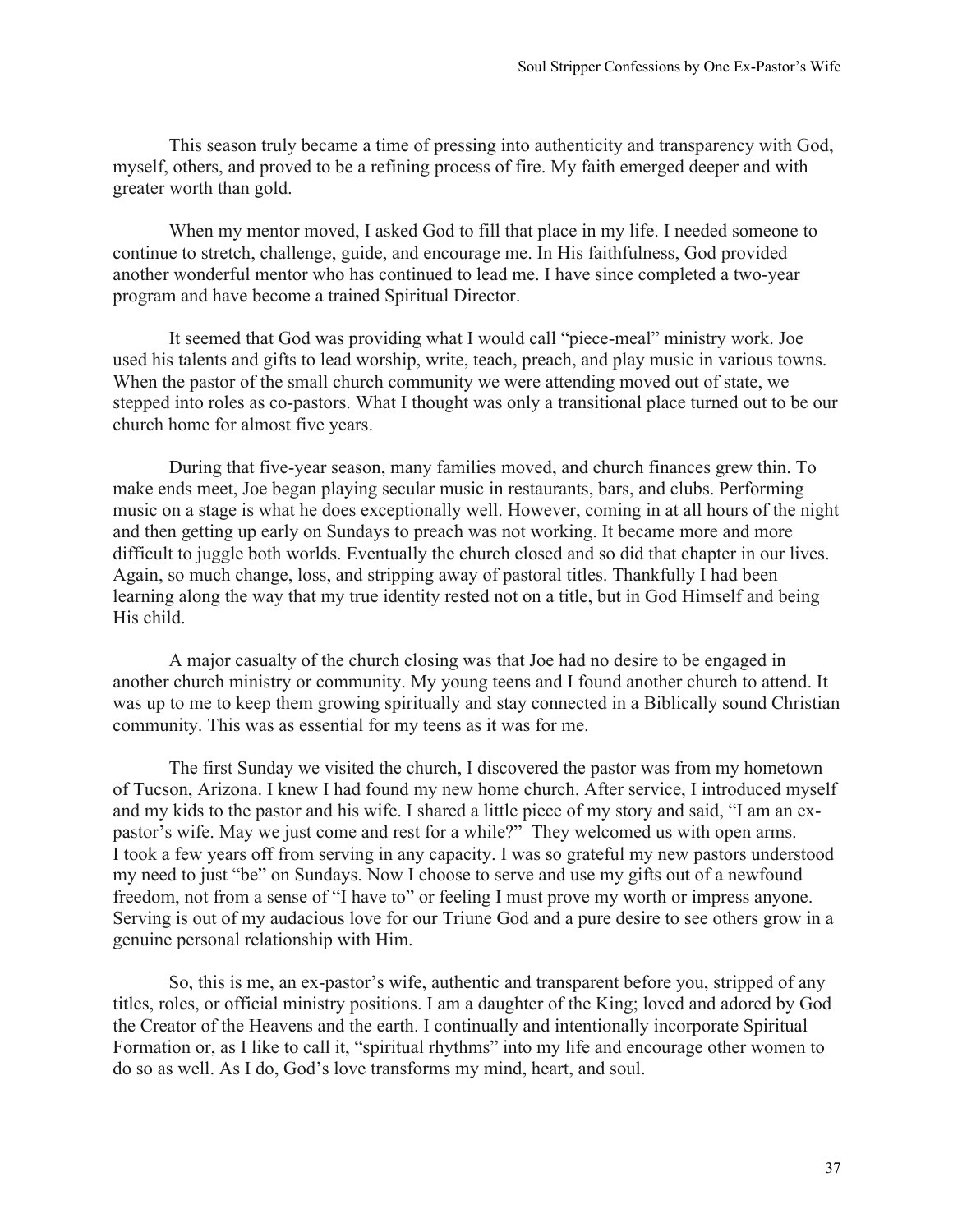This season truly became a time of pressing into authenticity and transparency with God, myself, others, and proved to be a refining process of fire. My faith emerged deeper and with greater worth than gold.

When my mentor moved, I asked God to fill that place in my life. I needed someone to continue to stretch, challenge, guide, and encourage me. In His faithfulness, God provided another wonderful mentor who has continued to lead me. I have since completed a two-year program and have become a trained Spiritual Director.

It seemed that God was providing what I would call "piece-meal" ministry work. Joe used his talents and gifts to lead worship, write, teach, preach, and play music in various towns. When the pastor of the small church community we were attending moved out of state, we stepped into roles as co-pastors. What I thought was only a transitional place turned out to be our church home for almost five years.

During that five-year season, many families moved, and church finances grew thin. To make ends meet, Joe began playing secular music in restaurants, bars, and clubs. Performing music on a stage is what he does exceptionally well. However, coming in at all hours of the night and then getting up early on Sundays to preach was not working. It became more and more difficult to juggle both worlds. Eventually the church closed and so did that chapter in our lives. Again, so much change, loss, and stripping away of pastoral titles. Thankfully I had been learning along the way that my true identity rested not on a title, but in God Himself and being His child.

A major casualty of the church closing was that Joe had no desire to be engaged in another church ministry or community. My young teens and I found another church to attend. It was up to me to keep them growing spiritually and stay connected in a Biblically sound Christian community. This was as essential for my teens as it was for me.

The first Sunday we visited the church, I discovered the pastor was from my hometown of Tucson, Arizona. I knew I had found my new home church. After service, I introduced myself and my kids to the pastor and his wife. I shared a little piece of my story and said, "I am an expastor's wife. May we just come and rest for a while?" They welcomed us with open arms. I took a few years off from serving in any capacity. I was so grateful my new pastors understood my need to just "be" on Sundays. Now I choose to serve and use my gifts out of a newfound freedom, not from a sense of "I have to" or feeling I must prove my worth or impress anyone. Serving is out of my audacious love for our Triune God and a pure desire to see others grow in a genuine personal relationship with Him.

So, this is me, an ex-pastor's wife, authentic and transparent before you, stripped of any titles, roles, or official ministry positions. I am a daughter of the King; loved and adored by God the Creator of the Heavens and the earth. I continually and intentionally incorporate Spiritual Formation or, as I like to call it, "spiritual rhythms" into my life and encourage other women to do so as well. As I do, God's love transforms my mind, heart, and soul.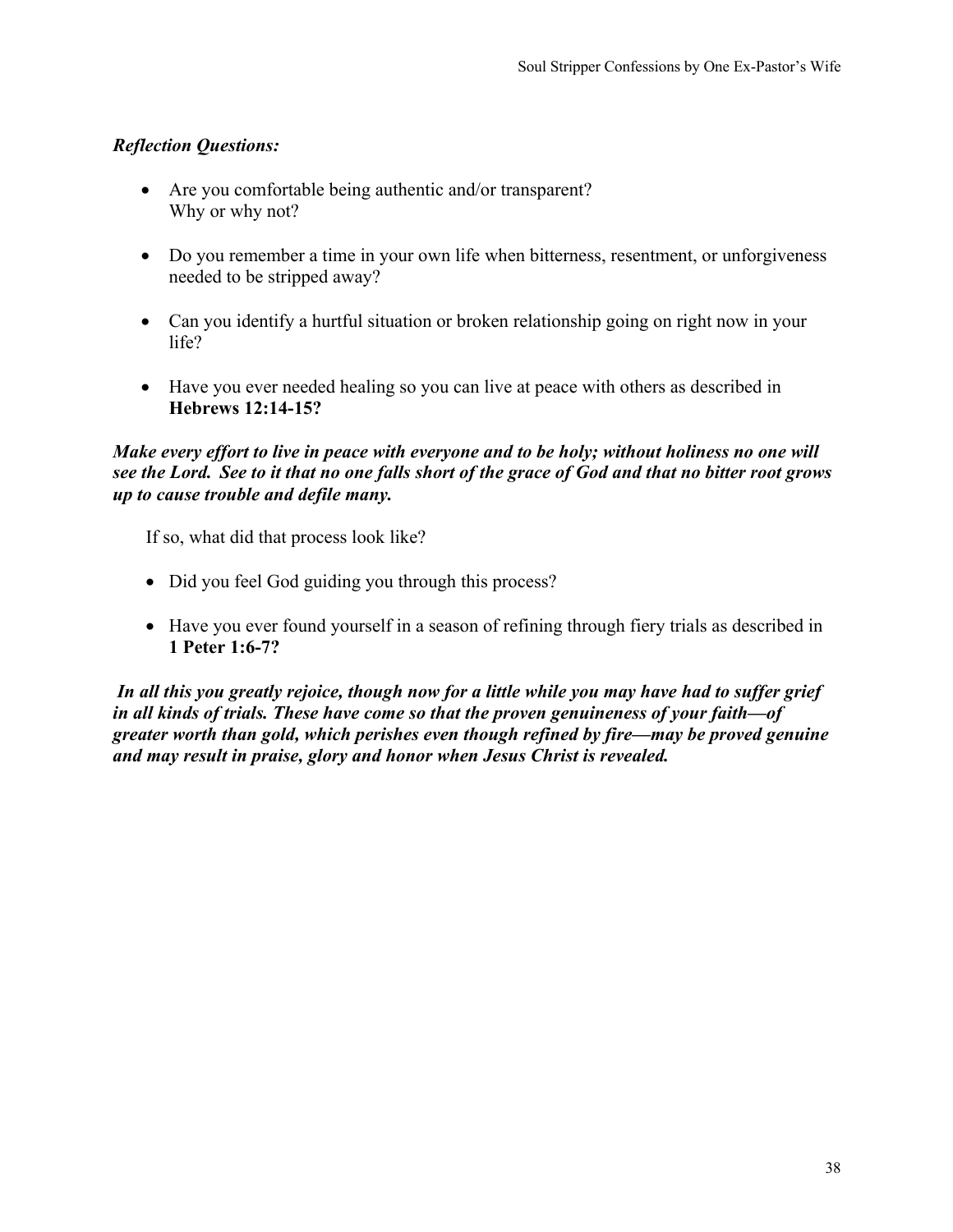- Are you comfortable being authentic and/or transparent? Why or why not?
- Do you remember a time in your own life when bitterness, resentment, or unforgiveness needed to be stripped away?
- Can you identify a hurtful situation or broken relationship going on right now in your life?
- Have you ever needed healing so you can live at peace with others as described in **Hebrews 12:14-15?**

# *Make every effort to live in peace with everyone and to be holy; without holiness no one will see the Lord. See to it that no one falls short of the grace of God and that no bitter root grows up to cause trouble and defile many.*

If so, what did that process look like?

- Did you feel God guiding you through this process?
- Have you ever found yourself in a season of refining through fiery trials as described in **1 Peter 1:6-7?**

*In all this you greatly rejoice, though now for a little while you may have had to suffer grief in all kinds of trials. These have come so that the proven genuineness of your faith—of greater worth than gold, which perishes even though refined by fire—may be proved genuine and may result in praise, glory and honor when Jesus Christ is revealed.*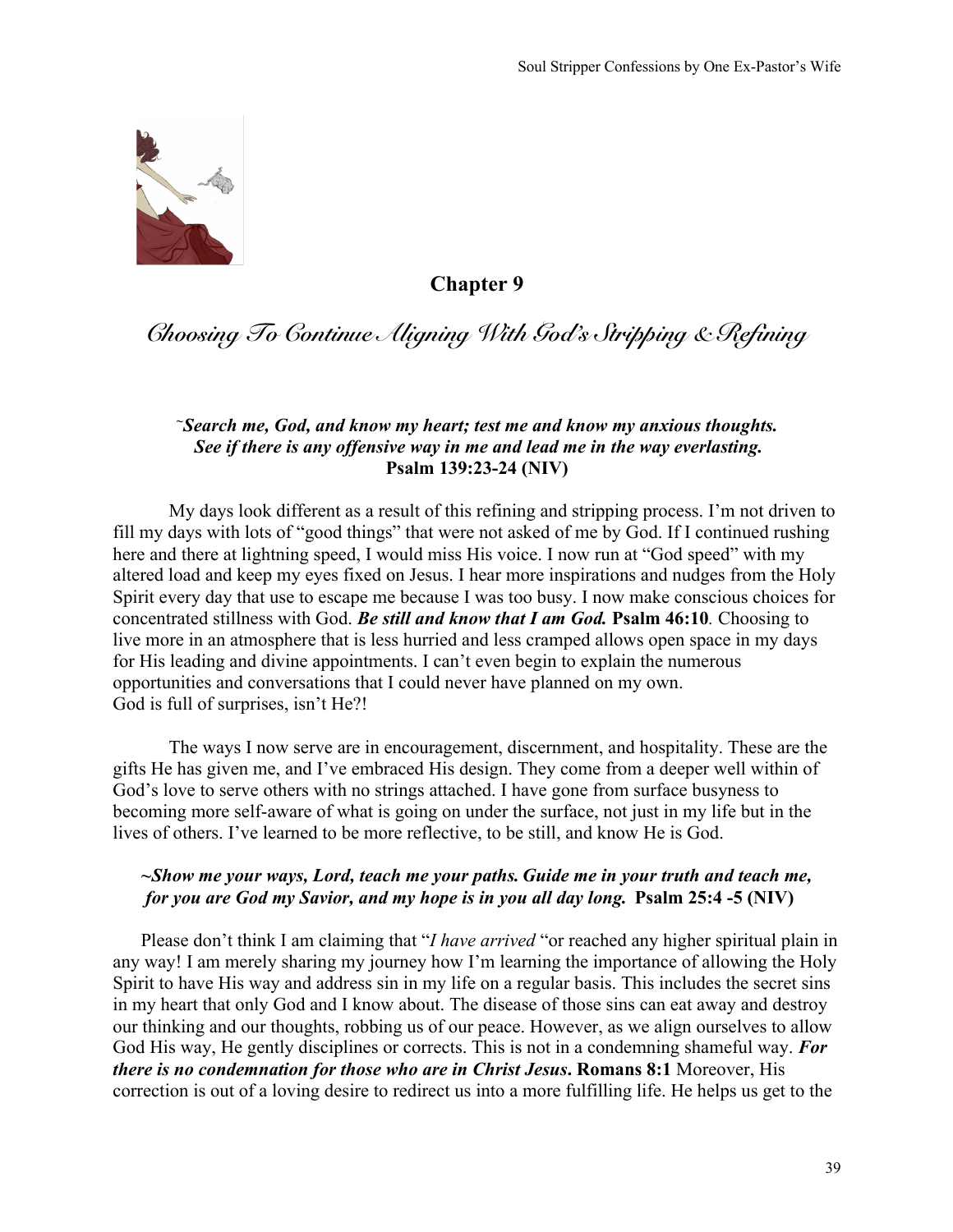

# *Choosing To Continue Aligning With God's Stripping & Refining*

#### *~Search me, God, and know my heart; test me and know my anxious thoughts. See if there is any offensive way in me and lead me in the way everlasting.* **Psalm 139:23-24 (NIV)**

My days look different as a result of this refining and stripping process. I'm not driven to fill my days with lots of "good things" that were not asked of me by God. If I continued rushing here and there at lightning speed, I would miss His voice. I now run at "God speed" with my altered load and keep my eyes fixed on Jesus. I hear more inspirations and nudges from the Holy Spirit every day that use to escape me because I was too busy. I now make conscious choices for concentrated stillness with God. *Be still and know that I am God.* **Psalm 46:10***.* Choosing to live more in an atmosphere that is less hurried and less cramped allows open space in my days for His leading and divine appointments. I can't even begin to explain the numerous opportunities and conversations that I could never have planned on my own. God is full of surprises, isn't He?!

The ways I now serve are in encouragement, discernment, and hospitality. These are the gifts He has given me, and I've embraced His design. They come from a deeper well within of God's love to serve others with no strings attached. I have gone from surface busyness to becoming more self-aware of what is going on under the surface, not just in my life but in the lives of others. I've learned to be more reflective, to be still, and know He is God.

### *~Show me your ways, Lord, teach me your paths. Guide me in your truth and teach me, for you are God my Savior, and my hope is in you all day long.* **Psalm 25:4 -5 (NIV)**

Please don't think I am claiming that "*I have arrived* "or reached any higher spiritual plain in any way! I am merely sharing my journey how I'm learning the importance of allowing the Holy Spirit to have His way and address sin in my life on a regular basis. This includes the secret sins in my heart that only God and I know about. The disease of those sins can eat away and destroy our thinking and our thoughts, robbing us of our peace. However, as we align ourselves to allow God His way, He gently disciplines or corrects. This is not in a condemning shameful way. *For there is no condemnation for those who are in Christ Jesus***. Romans 8:1** Moreover, His correction is out of a loving desire to redirect us into a more fulfilling life. He helps us get to the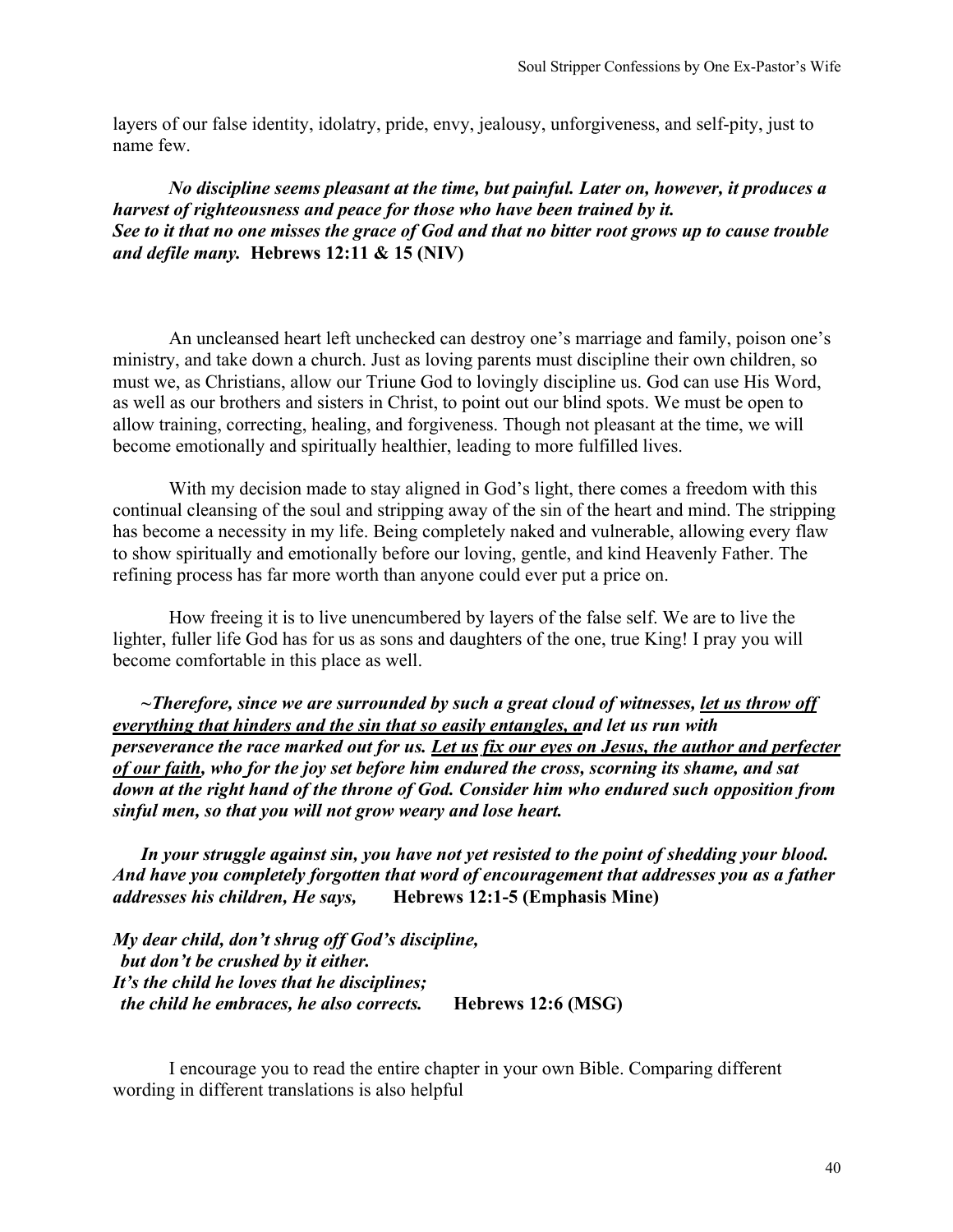layers of our false identity, idolatry, pride, envy, jealousy, unforgiveness, and self-pity, just to name few.

*No discipline seems pleasant at the time, but painful. Later on, however, it produces a harvest of righteousness and peace for those who have been trained by it. See to it that no one misses the grace of God and that no bitter root grows up to cause trouble and defile many.* **Hebrews 12:11 & 15 (NIV)**

An uncleansed heart left unchecked can destroy one's marriage and family, poison one's ministry, and take down a church. Just as loving parents must discipline their own children, so must we, as Christians, allow our Triune God to lovingly discipline us. God can use His Word, as well as our brothers and sisters in Christ, to point out our blind spots. We must be open to allow training, correcting, healing, and forgiveness. Though not pleasant at the time, we will become emotionally and spiritually healthier, leading to more fulfilled lives.

With my decision made to stay aligned in God's light, there comes a freedom with this continual cleansing of the soul and stripping away of the sin of the heart and mind. The stripping has become a necessity in my life. Being completely naked and vulnerable, allowing every flaw to show spiritually and emotionally before our loving, gentle, and kind Heavenly Father. The refining process has far more worth than anyone could ever put a price on.

How freeing it is to live unencumbered by layers of the false self. We are to live the lighter, fuller life God has for us as sons and daughters of the one, true King! I pray you will become comfortable in this place as well.

*~Therefore, since we are surrounded by such a great cloud of witnesses, let us throw off everything that hinders and the sin that so easily entangles, and let us run with perseverance the race marked out for us. Let us fix our eyes on Jesus, the author and perfecter of our faith, who for the joy set before him endured the cross, scorning its shame, and sat down at the right hand of the throne of God. Consider him who endured such opposition from sinful men, so that you will not grow weary and lose heart.*

*In your struggle against sin, you have not yet resisted to the point of shedding your blood. And have you completely forgotten that word of encouragement that addresses you as a father addresses his children, He says,* **Hebrews 12:1-5 (Emphasis Mine)**

*My dear child, don't shrug off God's discipline, but don't be crushed by it either. It's the child he loves that he disciplines; the child he embraces, he also corrects.* **Hebrews 12:6 (MSG)**

I encourage you to read the entire chapter in your own Bible. Comparing different wording in different translations is also helpful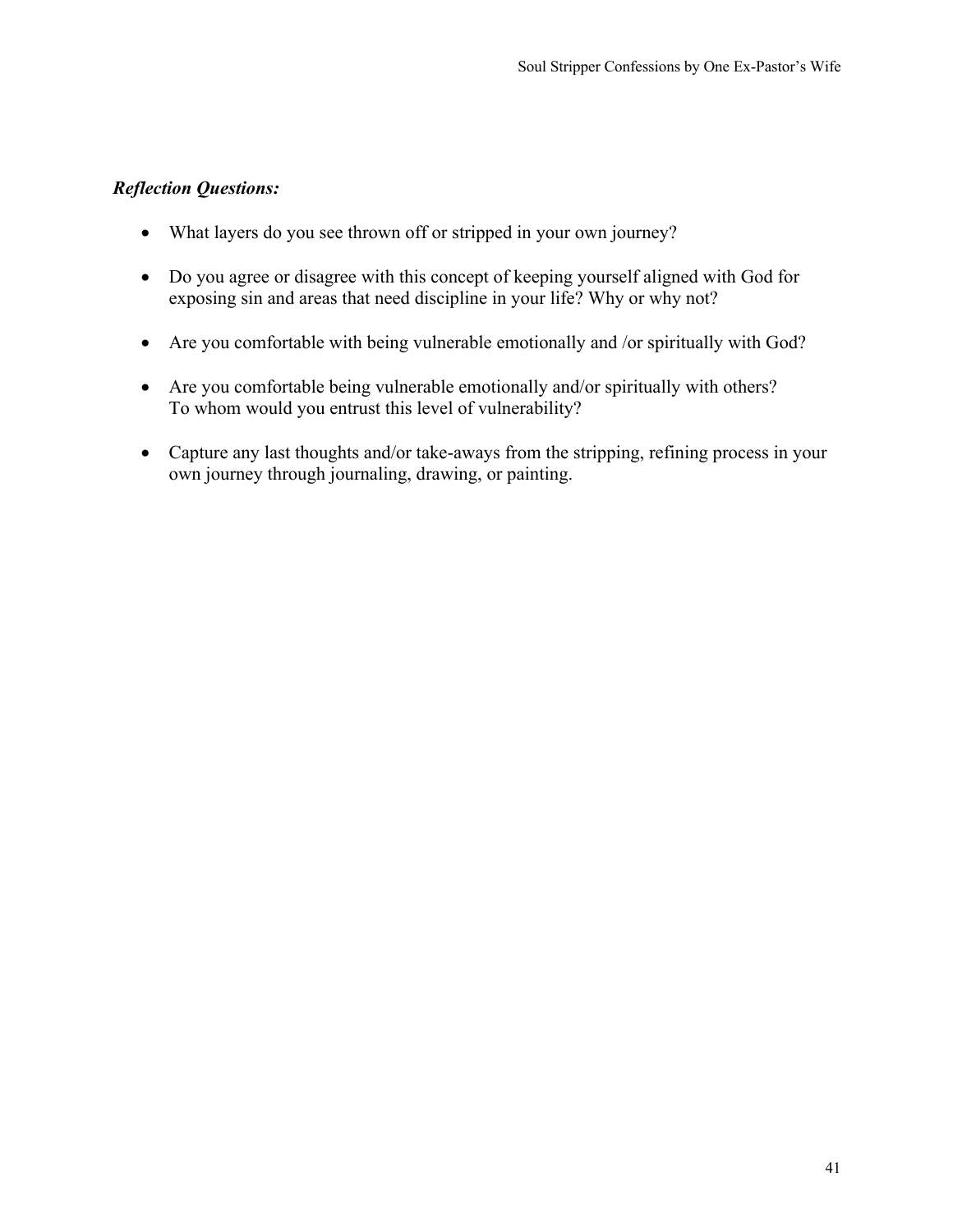- What layers do you see thrown off or stripped in your own journey?
- Do you agree or disagree with this concept of keeping yourself aligned with God for exposing sin and areas that need discipline in your life? Why or why not?
- Are you comfortable with being vulnerable emotionally and /or spiritually with God?
- Are you comfortable being vulnerable emotionally and/or spiritually with others? To whom would you entrust this level of vulnerability?
- Capture any last thoughts and/or take-aways from the stripping, refining process in your own journey through journaling, drawing, or painting.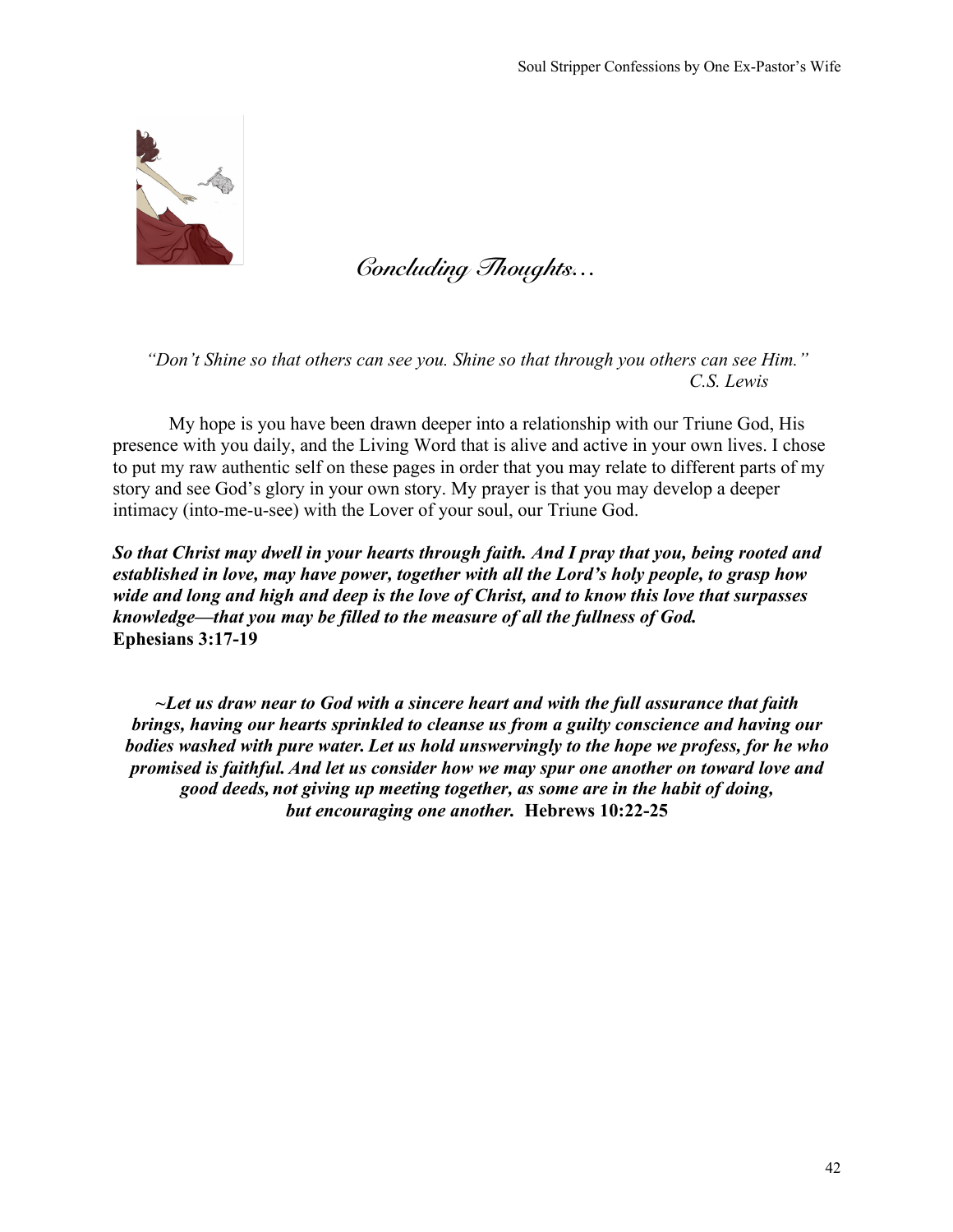

*Concluding Thoughts…*

*"Don't Shine so that others can see you. Shine so that through you others can see Him." C.S. Lewis*

My hope is you have been drawn deeper into a relationship with our Triune God, His presence with you daily, and the Living Word that is alive and active in your own lives. I chose to put my raw authentic self on these pages in order that you may relate to different parts of my story and see God's glory in your own story. My prayer is that you may develop a deeper intimacy (into-me-u-see) with the Lover of your soul, our Triune God.

*So that Christ may dwell in your hearts through faith. And I pray that you, being rooted and established in love, may have power, together with all the Lord's holy people, to grasp how wide and long and high and deep is the love of Christ, and to know this love that surpasses knowledge—that you may be filled to the measure of all the fullness of God.* **Ephesians 3:17-19**

*~Let us draw near to God with a sincere heart and with the full assurance that faith brings, having our hearts sprinkled to cleanse us from a guilty conscience and having our bodies washed with pure water. Let us hold unswervingly to the hope we profess, for he who promised is faithful.And let us consider how we may spur one another on toward love and good deeds, not giving up meeting together, as some are in the habit of doing, but encouraging one another.* **Hebrews 10:22-25**